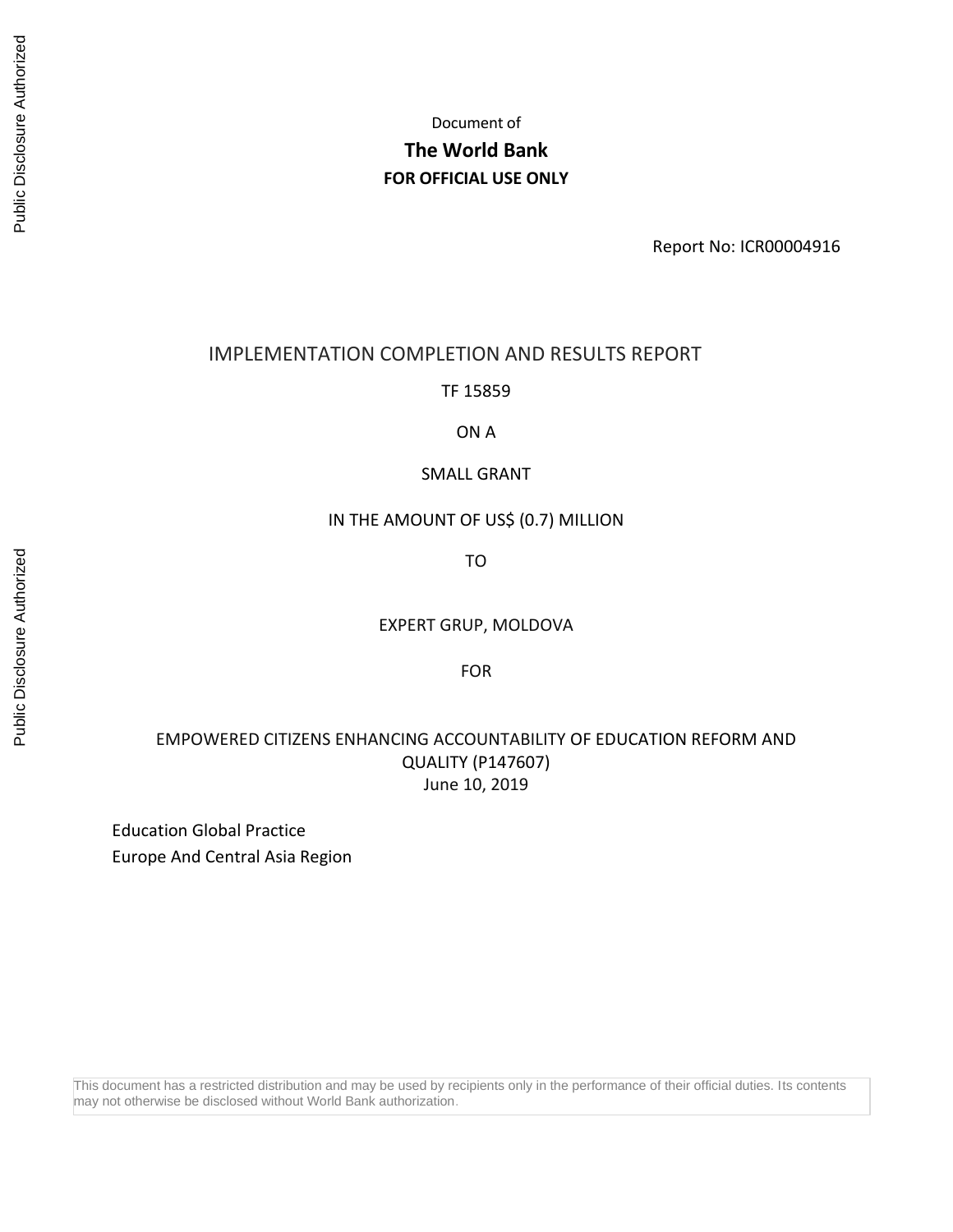Document of

# **The World Bank FOR OFFICIAL USE ONLY**

Report No: ICR00004916

### IMPLEMENTATION COMPLETION AND RESULTS REPORT

TF 15859

ON A

### SMALL GRANT

### IN THE AMOUNT OF US\$ (0.7) MILLION

TO

EXPERT GRUP, MOLDOVA

FOR

## EMPOWERED CITIZENS ENHANCING ACCOUNTABILITY OF EDUCATION REFORM AND QUALITY (P147607) June 10, 2019

Education Global Practice Europe And Central Asia Region

This document has a restricted distribution and may be used by recipients only in the performance of their official duties. Its contents may not otherwise be disclosed without World Bank authorization.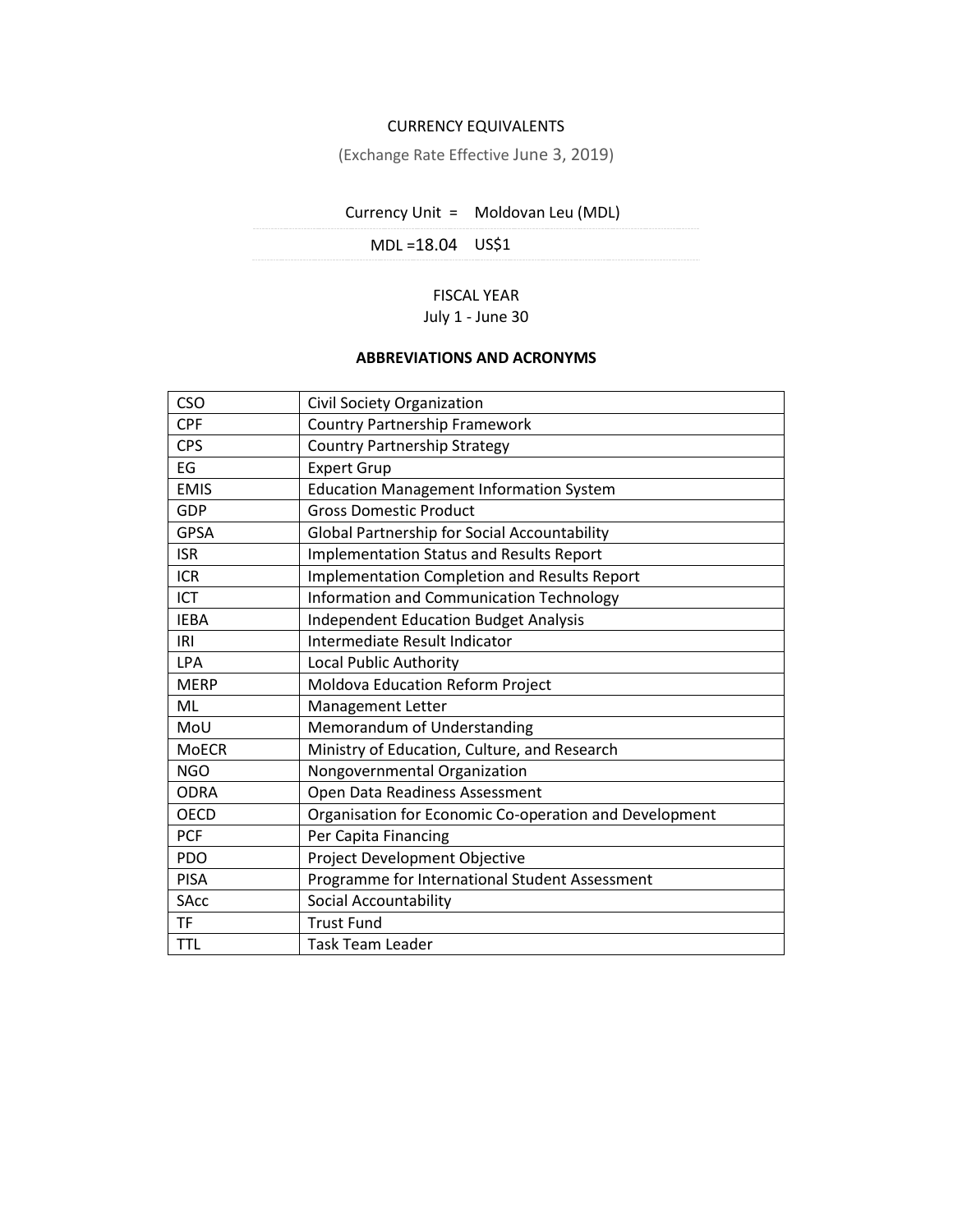### CURRENCY EQUIVALENTS

(Exchange Rate Effective June 3, 2019)

# Currency Unit = Moldovan Leu (MDL)

MDL =18.04 US\$1

### FISCAL YEAR July 1 - June 30

### **ABBREVIATIONS AND ACRONYMS**

| <b>CSO</b>   | Civil Society Organization                             |
|--------------|--------------------------------------------------------|
| <b>CPF</b>   | <b>Country Partnership Framework</b>                   |
| <b>CPS</b>   | <b>Country Partnership Strategy</b>                    |
| EG           | <b>Expert Grup</b>                                     |
| <b>EMIS</b>  | <b>Education Management Information System</b>         |
| GDP          | <b>Gross Domestic Product</b>                          |
| <b>GPSA</b>  | Global Partnership for Social Accountability           |
| <b>ISR</b>   | <b>Implementation Status and Results Report</b>        |
| <b>ICR</b>   | Implementation Completion and Results Report           |
| ICT          | Information and Communication Technology               |
| <b>IEBA</b>  | <b>Independent Education Budget Analysis</b>           |
| IRI          | Intermediate Result Indicator                          |
| <b>LPA</b>   | <b>Local Public Authority</b>                          |
| <b>MERP</b>  | Moldova Education Reform Project                       |
| ML           | Management Letter                                      |
| MoU          | Memorandum of Understanding                            |
| <b>MoECR</b> | Ministry of Education, Culture, and Research           |
| <b>NGO</b>   | Nongovernmental Organization                           |
| <b>ODRA</b>  | Open Data Readiness Assessment                         |
| <b>OECD</b>  | Organisation for Economic Co-operation and Development |
| <b>PCF</b>   | Per Capita Financing                                   |
| PDO          | Project Development Objective                          |
| <b>PISA</b>  | Programme for International Student Assessment         |
| <b>SAcc</b>  | <b>Social Accountability</b>                           |
| <b>TF</b>    | <b>Trust Fund</b>                                      |
| <b>TTL</b>   | Task Team Leader                                       |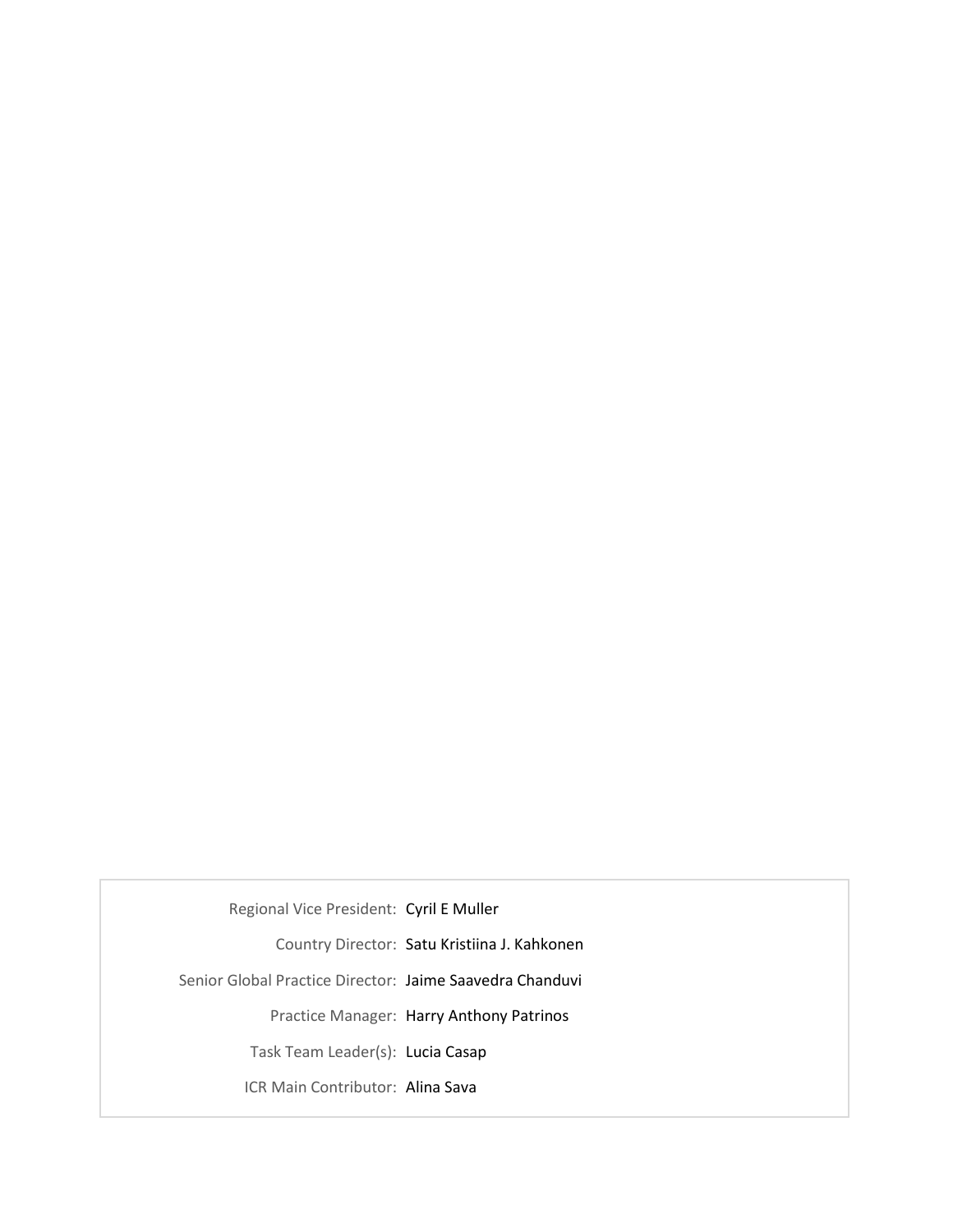Regional Vice President: Cyril E Muller

Country Director: Satu Kristiina J. Kahkonen

Senior Global Practice Director: Jaime Saavedra Chanduvi

Practice Manager: Harry Anthony Patrinos

Task Team Leader(s): Lucia Casap

ICR Main Contributor: Alina Sava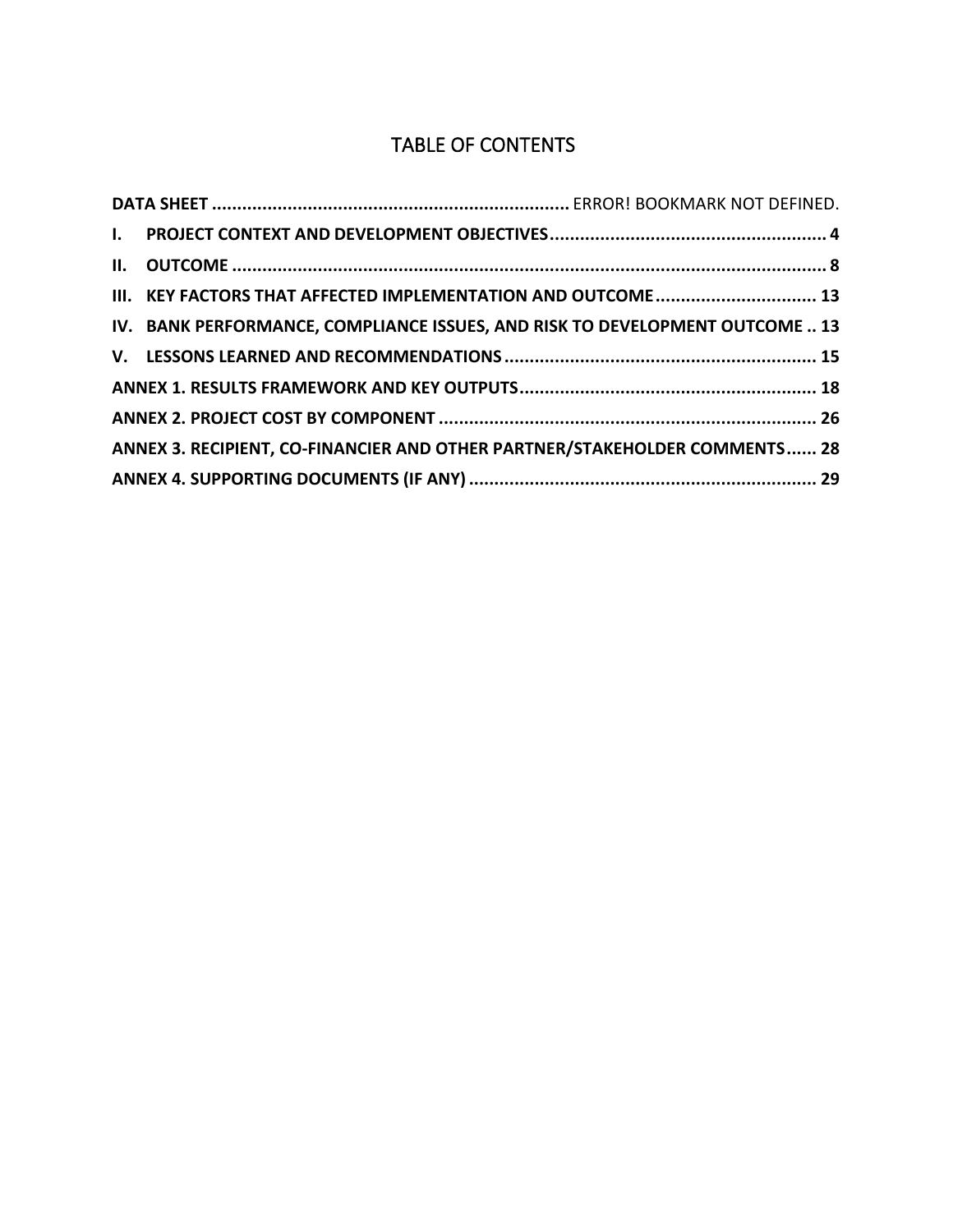# TABLE OF CONTENTS

| III. KEY FACTORS THAT AFFECTED IMPLEMENTATION AND OUTCOME  13                |  |
|------------------------------------------------------------------------------|--|
| IV. BANK PERFORMANCE, COMPLIANCE ISSUES, AND RISK TO DEVELOPMENT OUTCOME  13 |  |
|                                                                              |  |
|                                                                              |  |
|                                                                              |  |
| ANNEX 3. RECIPIENT, CO-FINANCIER AND OTHER PARTNER/STAKEHOLDER COMMENTS 28   |  |
|                                                                              |  |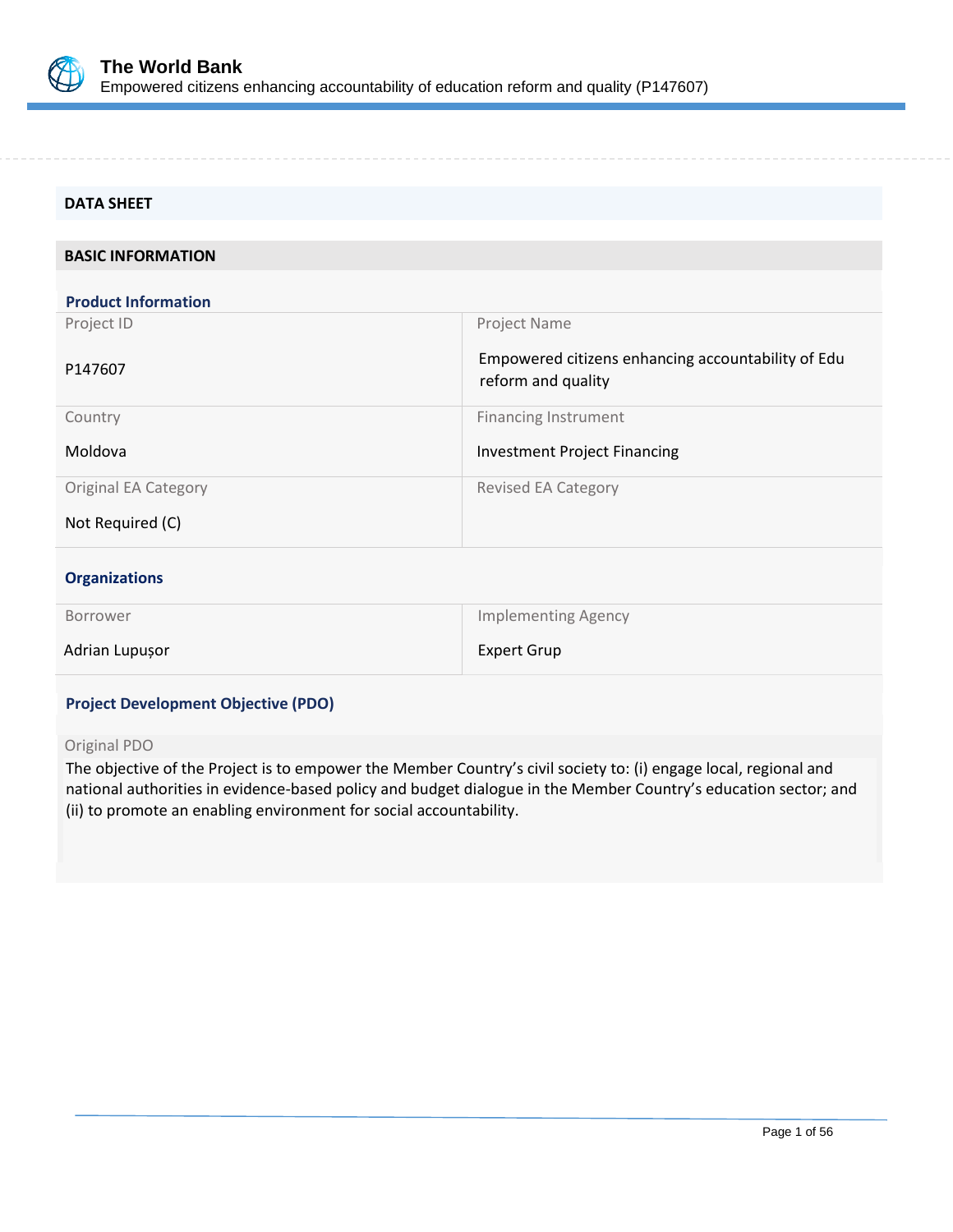

| <b>DATA SHEET</b>           |                                                                          |
|-----------------------------|--------------------------------------------------------------------------|
|                             |                                                                          |
| <b>BASIC INFORMATION</b>    |                                                                          |
|                             |                                                                          |
| <b>Product Information</b>  |                                                                          |
| Project ID                  | Project Name                                                             |
| P147607                     | Empowered citizens enhancing accountability of Edu<br>reform and quality |
| Country                     | Financing Instrument                                                     |
| Moldova                     | Investment Project Financing                                             |
| <b>Original EA Category</b> | <b>Revised EA Category</b>                                               |
| Not Required (C)            |                                                                          |
| <b>Organizations</b>        |                                                                          |
| Borrower                    | <b>Implementing Agency</b>                                               |
| Adrian Lupușor              | <b>Expert Grup</b>                                                       |

### **Project Development Objective (PDO)**

Original PDO

The objective of the Project is to empower the Member Country's civil society to: (i) engage local, regional and national authorities in evidence-based policy and budget dialogue in the Member Country's education sector; and (ii) to promote an enabling environment for social accountability.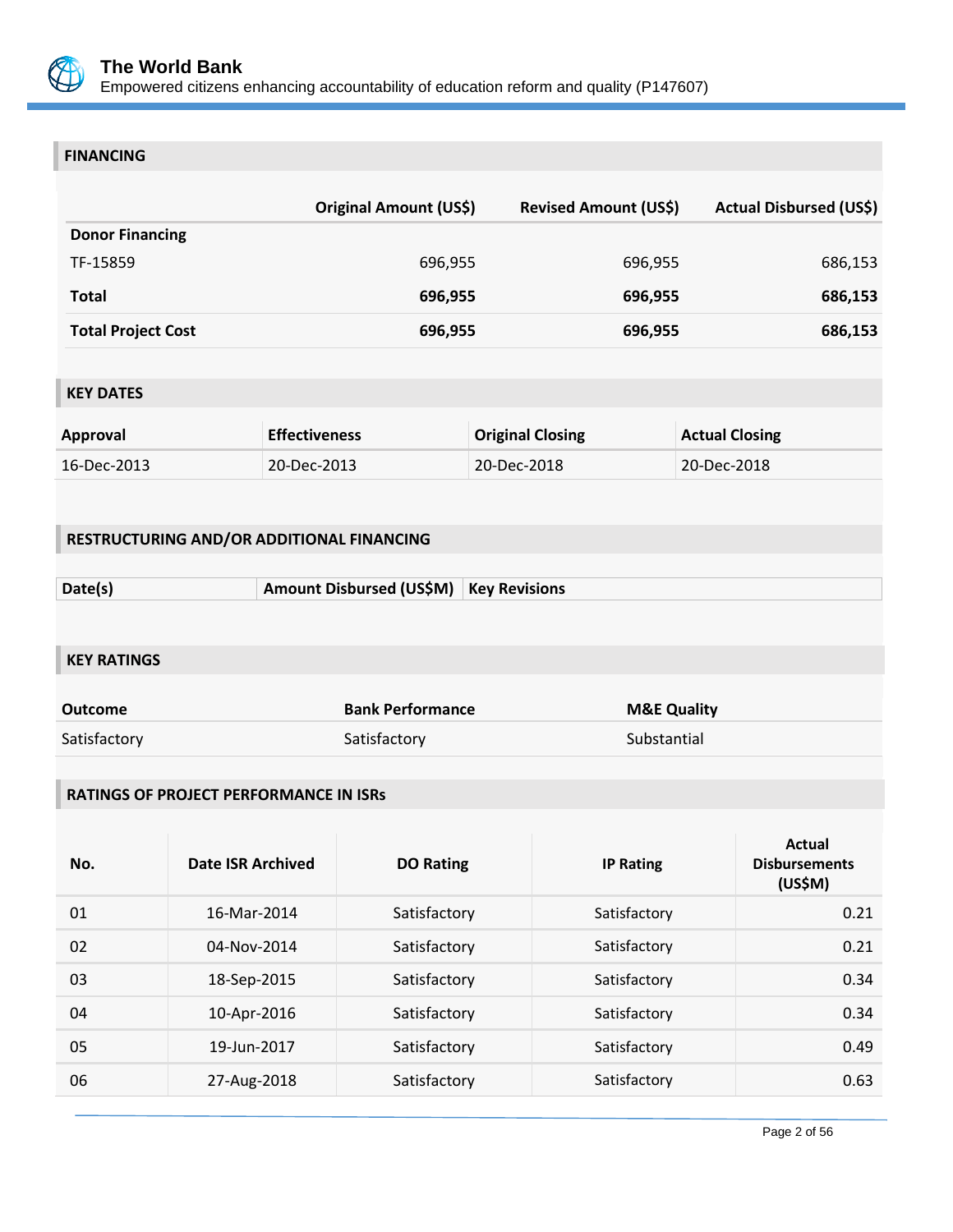

### **FINANCING**

|                           | Original Amount (US\$) | <b>Revised Amount (US\$)</b> | <b>Actual Disbursed (US\$)</b> |
|---------------------------|------------------------|------------------------------|--------------------------------|
| <b>Donor Financing</b>    |                        |                              |                                |
| TF-15859                  | 696,955                | 696,955                      | 686,153                        |
| Total                     | 696,955                | 696,955                      | 686,153                        |
| <b>Total Project Cost</b> | 696,955                | 696,955                      | 686,153                        |

# **KEY DATES**

| Approval    | <b>Effectiveness</b> | <b>Original Closing</b> | <b>Actual Closing</b> |
|-------------|----------------------|-------------------------|-----------------------|
| 16-Dec-2013 | 20-Dec-2013          | 20-Dec-2018             | 20-Dec-2018           |

### **RESTRUCTURING AND/OR ADDITIONAL FINANCING**

| Date(s) | Amount Disbursed (US\$M)   Key Revisions |  |
|---------|------------------------------------------|--|
|         |                                          |  |

### **KEY RATINGS**

| Outcome      | <b>Bank Performance</b> | <b>M&amp;E Quality</b> |
|--------------|-------------------------|------------------------|
| Satisfactory | Satisfactory            | Substantial            |

### **RATINGS OF PROJECT PERFORMANCE IN ISRs**

| No. | Date ISR Archived | <b>DO Rating</b> | <b>IP Rating</b> | <b>Actual</b><br><b>Disbursements</b><br>(US\$M) |
|-----|-------------------|------------------|------------------|--------------------------------------------------|
| 01  | 16-Mar-2014       | Satisfactory     | Satisfactory     | 0.21                                             |
| 02  | 04-Nov-2014       | Satisfactory     | Satisfactory     | 0.21                                             |
| 03  | 18-Sep-2015       | Satisfactory     | Satisfactory     | 0.34                                             |
| 04  | 10-Apr-2016       | Satisfactory     | Satisfactory     | 0.34                                             |
| 05  | 19-Jun-2017       | Satisfactory     | Satisfactory     | 0.49                                             |
| 06  | 27-Aug-2018       | Satisfactory     | Satisfactory     | 0.63                                             |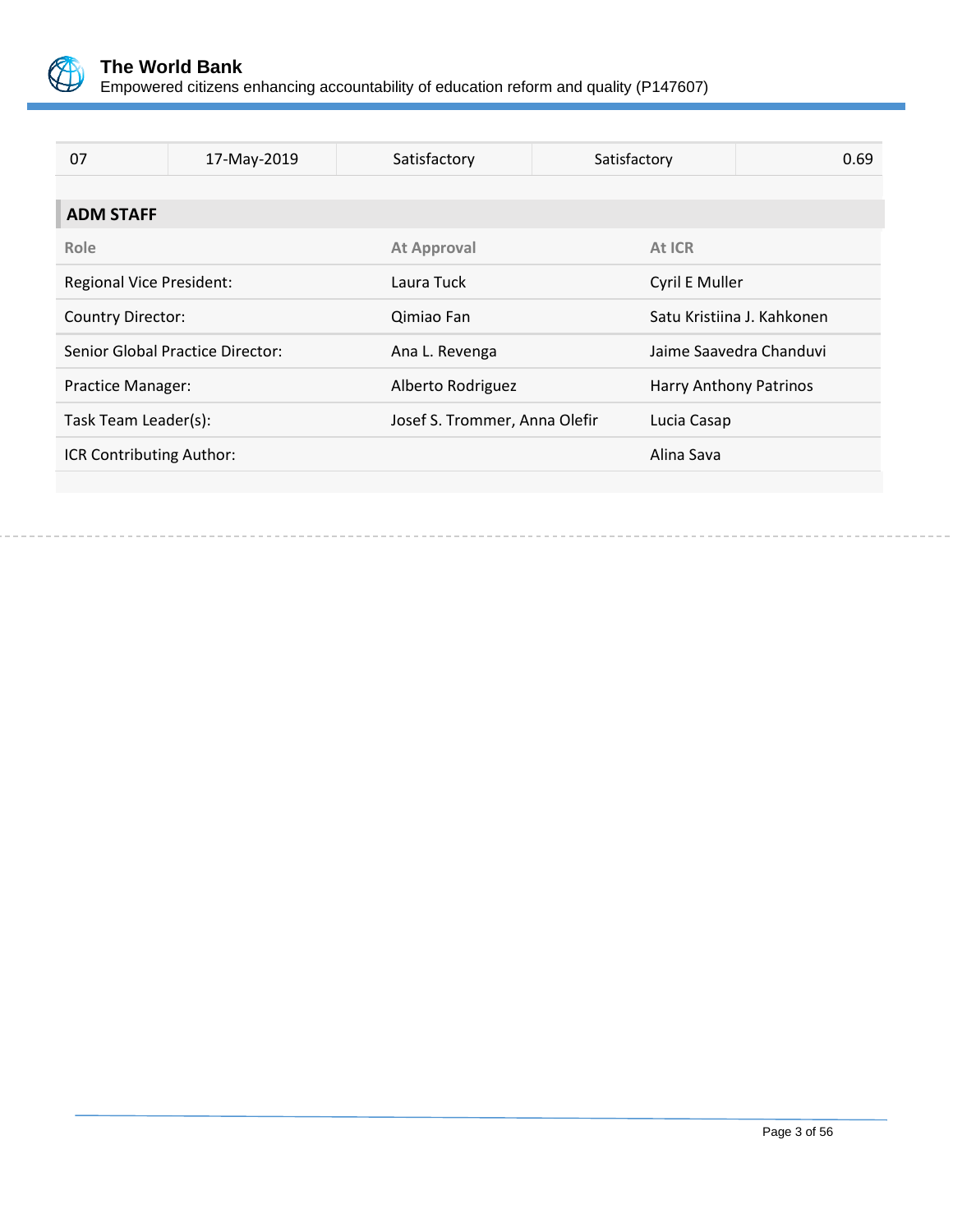

| 07                              | 17-May-2019                      | Satisfactory                  | Satisfactory           | 0.69                       |
|---------------------------------|----------------------------------|-------------------------------|------------------------|----------------------------|
|                                 |                                  |                               |                        |                            |
| <b>ADM STAFF</b>                |                                  |                               |                        |                            |
| Role                            |                                  | <b>At Approval</b>            | At ICR                 |                            |
| <b>Regional Vice President:</b> |                                  | Laura Tuck                    | Cyril E Muller         |                            |
| <b>Country Director:</b>        |                                  | Qimiao Fan                    |                        | Satu Kristiina J. Kahkonen |
|                                 | Senior Global Practice Director: | Ana L. Revenga                |                        | Jaime Saavedra Chanduvi    |
| <b>Practice Manager:</b>        |                                  | Alberto Rodriguez             | Harry Anthony Patrinos |                            |
| Task Team Leader(s):            |                                  | Josef S. Trommer, Anna Olefir | Lucia Casap            |                            |
| ICR Contributing Author:        |                                  |                               | Alina Sava             |                            |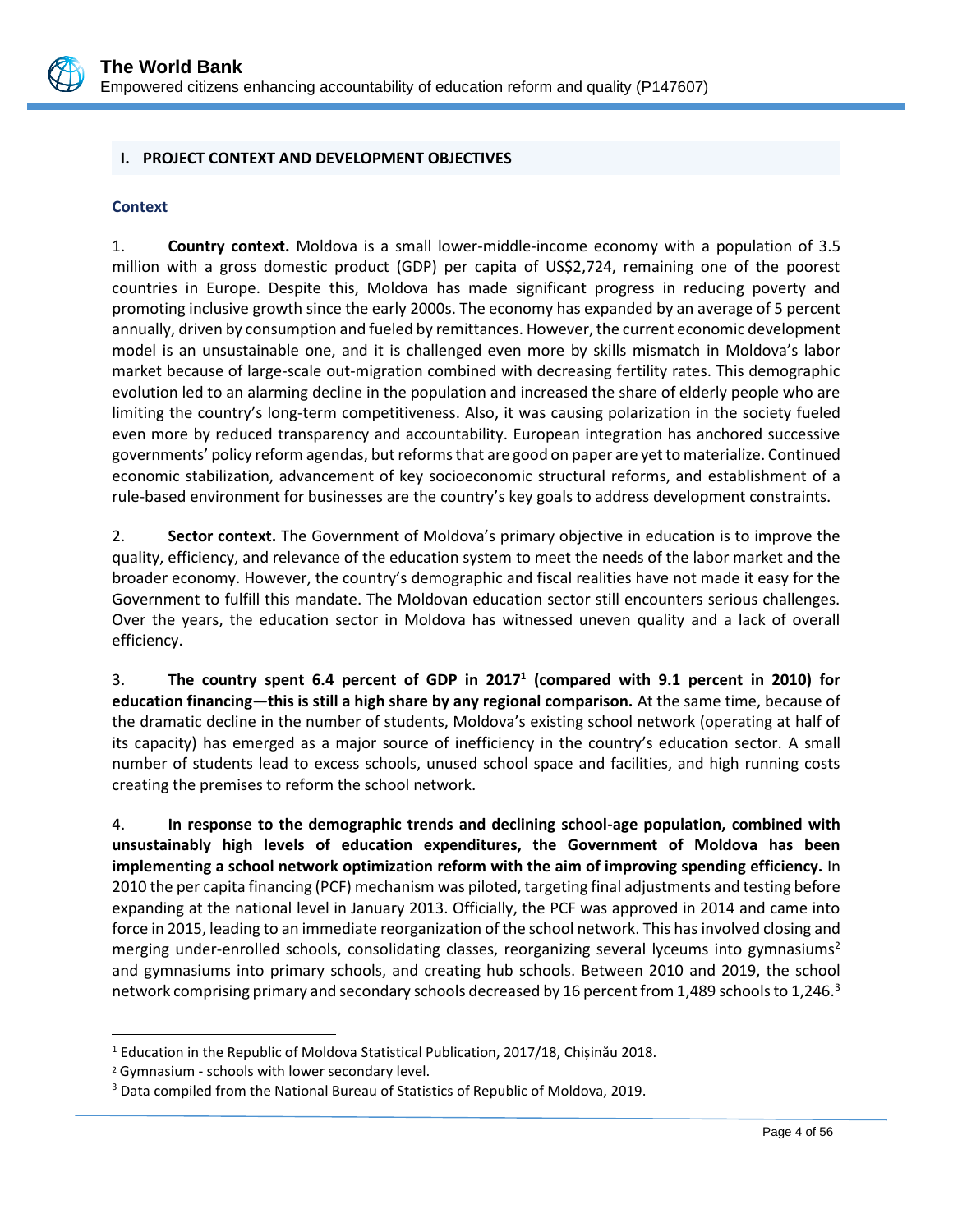

### <span id="page-7-0"></span>**I. PROJECT CONTEXT AND DEVELOPMENT OBJECTIVES**

#### **Context**

1. **Country context.** Moldova is a small lower-middle-income economy with a population of 3.5 million with a gross domestic product (GDP) per capita of US\$2,724, remaining one of the poorest countries in Europe. Despite this, Moldova has made significant progress in reducing poverty and promoting inclusive growth since the early 2000s. The economy has expanded by an average of 5 percent annually, driven by consumption and fueled by remittances. However, the current economic development model is an unsustainable one, and it is challenged even more by skills mismatch in Moldova's labor market because of large-scale out-migration combined with decreasing fertility rates. This demographic evolution led to an alarming decline in the population and increased the share of elderly people who are limiting the country's long-term competitiveness. Also, it was causing polarization in the society fueled even more by reduced transparency and accountability. European integration has anchored successive governments' policy reform agendas, but reforms that are good on paper are yet to materialize. Continued economic stabilization, advancement of key socioeconomic structural reforms, and establishment of a rule-based environment for businesses are the country's key goals to address development constraints.

2. **Sector context.** The Government of Moldova's primary objective in education is to improve the quality, efficiency, and relevance of the education system to meet the needs of the labor market and the broader economy. However, the country's demographic and fiscal realities have not made it easy for the Government to fulfill this mandate. The Moldovan education sector still encounters serious challenges. Over the years, the education sector in Moldova has witnessed uneven quality and a lack of overall efficiency.

3. **The country spent 6.4 percent of GDP in 2017<sup>1</sup> (compared with 9.1 percent in 2010) for education financing—this is still a high share by any regional comparison.** At the same time, because of the dramatic decline in the number of students, Moldova's existing school network (operating at half of its capacity) has emerged as a major source of inefficiency in the country's education sector. A small number of students lead to excess schools, unused school space and facilities, and high running costs creating the premises to reform the school network.

4. **In response to the demographic trends and declining school-age population, combined with unsustainably high levels of education expenditures, the Government of Moldova has been implementing a school network optimization reform with the aim of improving spending efficiency.** In 2010 the per capita financing (PCF) mechanism was piloted, targeting final adjustments and testing before expanding at the national level in January 2013. Officially, the PCF was approved in 2014 and came into force in 2015, leading to an immediate reorganization of the school network. This has involved closing and merging under-enrolled schools, consolidating classes, reorganizing several lyceums into gymnasiums<sup>2</sup> and gymnasiums into primary schools, and creating hub schools. Between 2010 and 2019, the school network comprising primary and secondary schools decreased by 16 percent from 1,489 schools to 1,246.<sup>3</sup>

<sup>&</sup>lt;sup>1</sup> Education in the Republic of Moldova Statistical Publication, 2017/18, Chișinău 2018.

<sup>2</sup> Gymnasium - schools with lower secondary level.

<sup>&</sup>lt;sup>3</sup> Data compiled from the National Bureau of Statistics of Republic of Moldova, 2019.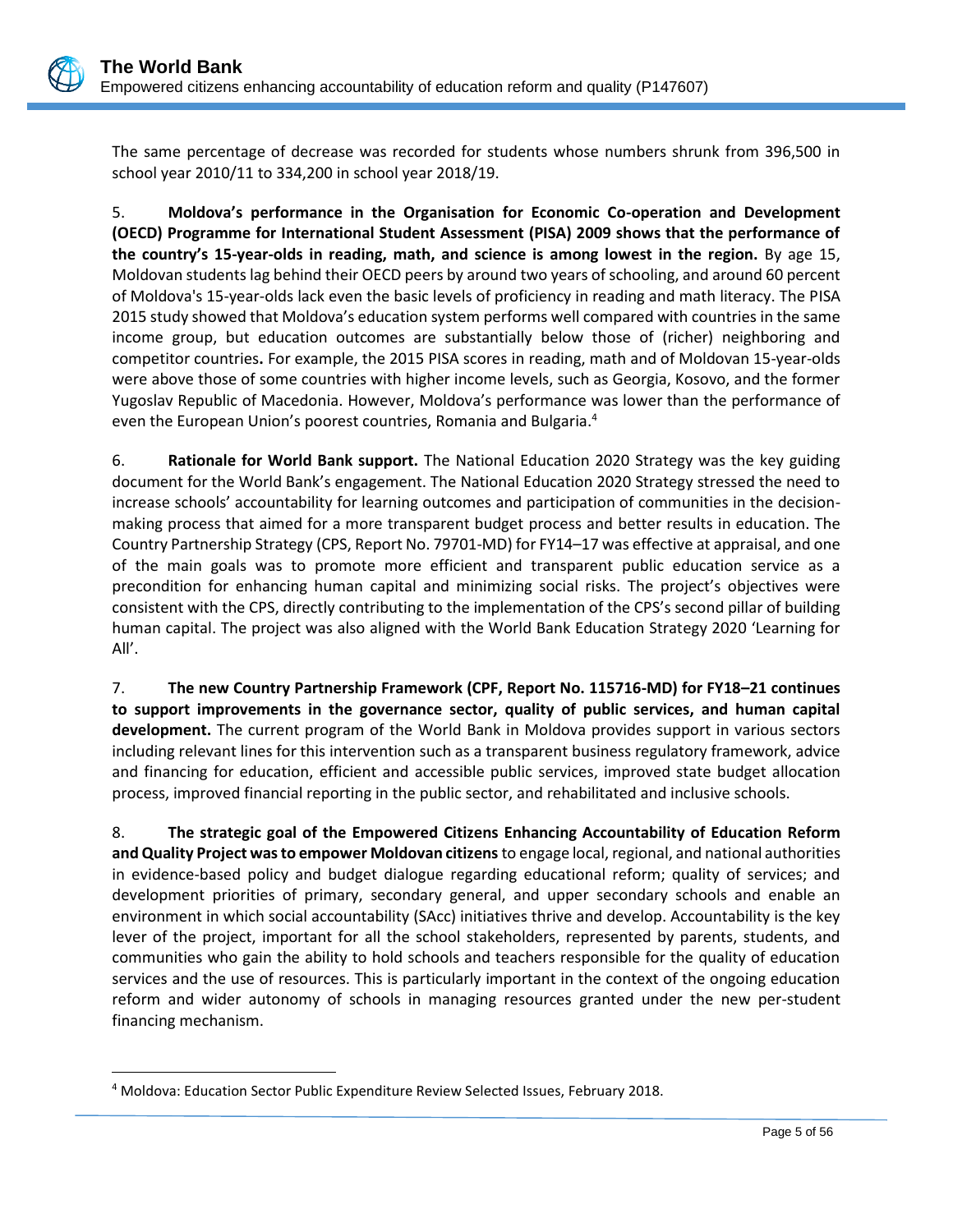The same percentage of decrease was recorded for students whose numbers shrunk from 396,500 in school year 2010/11 to 334,200 in school year 2018/19.

5. **Moldova's performance in the Organisation for Economic Co-operation and Development (OECD) Programme for International Student Assessment (PISA) 2009 shows that the performance of the country's 15-year-olds in reading, math, and science is among lowest in the region.** By age 15, Moldovan students lag behind their OECD peers by around two years of schooling, and around 60 percent of Moldova's 15-year-olds lack even the basic levels of proficiency in reading and math literacy. The PISA 2015 study showed that Moldova's education system performs well compared with countries in the same income group, but education outcomes are substantially below those of (richer) neighboring and competitor countries**.** For example, the 2015 PISA scores in reading, math and of Moldovan 15-year-olds were above those of some countries with higher income levels, such as Georgia, Kosovo, and the former Yugoslav Republic of Macedonia. However, Moldova's performance was lower than the performance of even the European Union's poorest countries, Romania and Bulgaria.<sup>4</sup>

6. **Rationale for World Bank support.** The National Education 2020 Strategy was the key guiding document for the World Bank's engagement. The National Education 2020 Strategy stressed the need to increase schools' accountability for learning outcomes and participation of communities in the decisionmaking process that aimed for a more transparent budget process and better results in education. The Country Partnership Strategy (CPS, Report No. 79701-MD) for FY14–17 was effective at appraisal, and one of the main goals was to promote more efficient and transparent public education service as a precondition for enhancing human capital and minimizing social risks. The project's objectives were consistent with the CPS, directly contributing to the implementation of the CPS's second pillar of building human capital. The project was also aligned with the World Bank Education Strategy 2020 'Learning for All'.

7. **The new Country Partnership Framework (CPF, Report No. 115716-MD) for FY18–21 continues to support improvements in the governance sector, quality of public services, and human capital development.** The current program of the World Bank in Moldova provides support in various sectors including relevant lines for this intervention such as a transparent business regulatory framework, advice and financing for education, efficient and accessible public services, improved state budget allocation process, improved financial reporting in the public sector, and rehabilitated and inclusive schools.

8. **The strategic goal of the Empowered Citizens Enhancing Accountability of Education Reform and Quality Project was to empower Moldovan citizens** to engage local, regional, and national authorities in evidence-based policy and budget dialogue regarding educational reform; quality of services; and development priorities of primary, secondary general, and upper secondary schools and enable an environment in which social accountability (SAcc) initiatives thrive and develop. Accountability is the key lever of the project, important for all the school stakeholders, represented by parents, students, and communities who gain the ability to hold schools and teachers responsible for the quality of education services and the use of resources. This is particularly important in the context of the ongoing education reform and wider autonomy of schools in managing resources granted under the new per-student financing mechanism.

<sup>4</sup> Moldova: Education Sector Public Expenditure Review Selected Issues, February 2018.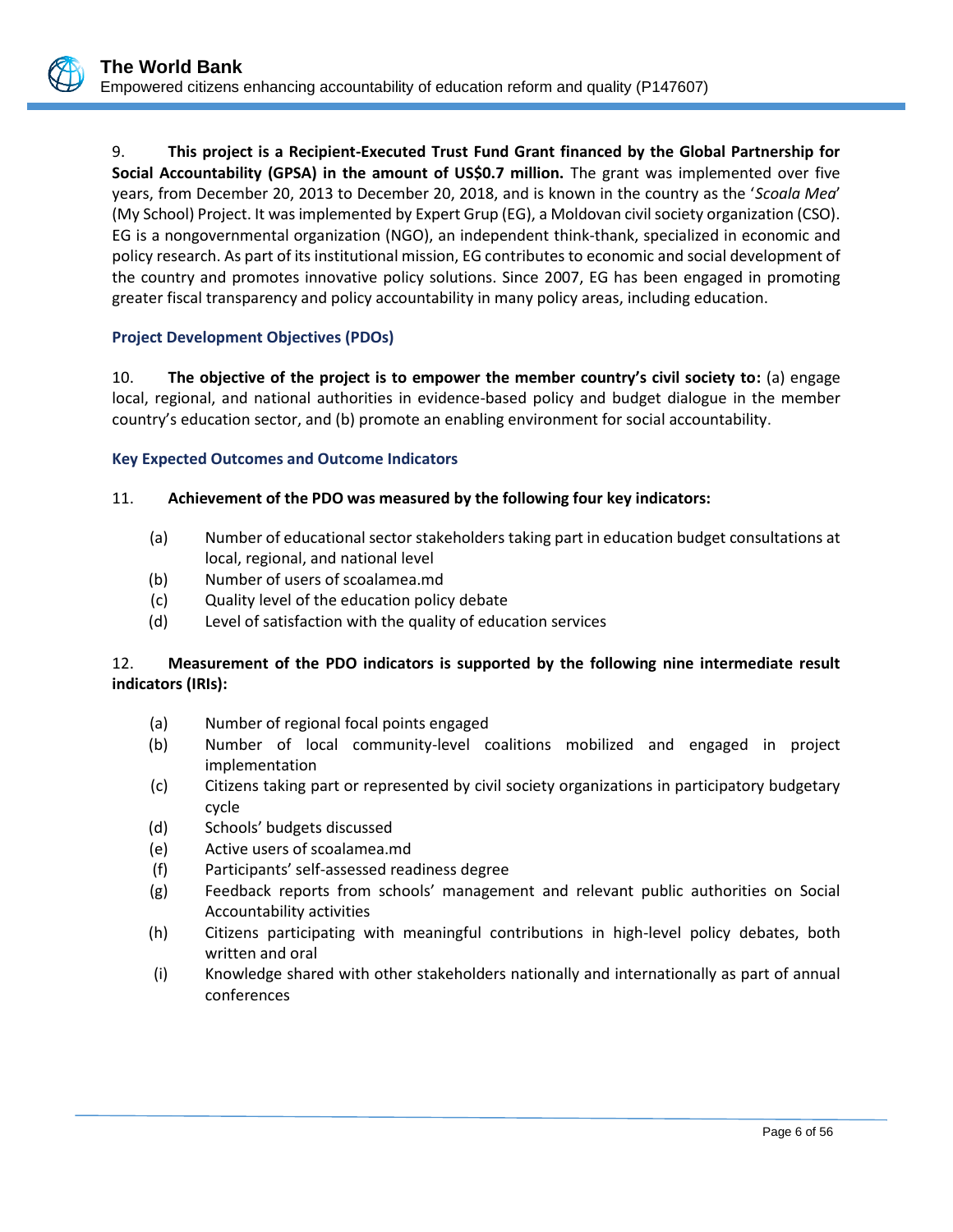9. **This project is a Recipient-Executed Trust Fund Grant financed by the Global Partnership for Social Accountability (GPSA) in the amount of US\$0.7 million.** The grant was implemented over five years, from December 20, 2013 to December 20, 2018, and is known in the country as the '*Scoala Mea*' (My School) Project. It was implemented by Expert Grup (EG), a Moldovan civil society organization (CSO). EG is a nongovernmental organization (NGO), an independent think-thank, specialized in economic and policy research. As part of its institutional mission, EG contributes to economic and social development of the country and promotes innovative policy solutions. Since 2007, EG has been engaged in promoting greater fiscal transparency and policy accountability in many policy areas, including education.

### **Project Development Objectives (PDOs)**

10. **The objective of the project is to empower the member country's civil society to:** (a) engage local, regional, and national authorities in evidence-based policy and budget dialogue in the member country's education sector, and (b) promote an enabling environment for social accountability.

#### **Key Expected Outcomes and Outcome Indicators**

### 11. **Achievement of the PDO was measured by the following four key indicators:**

- (a) Number of educational sector stakeholders taking part in education budget consultations at local, regional, and national level
- (b) Number of users of scoalamea.md
- (c) Quality level of the education policy debate
- (d) Level of satisfaction with the quality of education services

### 12. **Measurement of the PDO indicators is supported by the following nine intermediate result indicators (IRIs):**

- (a) Number of regional focal points engaged
- (b) Number of local community-level coalitions mobilized and engaged in project implementation
- (c) Citizens taking part or represented by civil society organizations in participatory budgetary cycle
- (d) Schools' budgets discussed
- (e) Active users of scoalamea.md
- (f) Participants' self-assessed readiness degree
- (g) Feedback reports from schools' management and relevant public authorities on Social Accountability activities
- (h) Citizens participating with meaningful contributions in high-level policy debates, both written and oral
- (i) Knowledge shared with other stakeholders nationally and internationally as part of annual conferences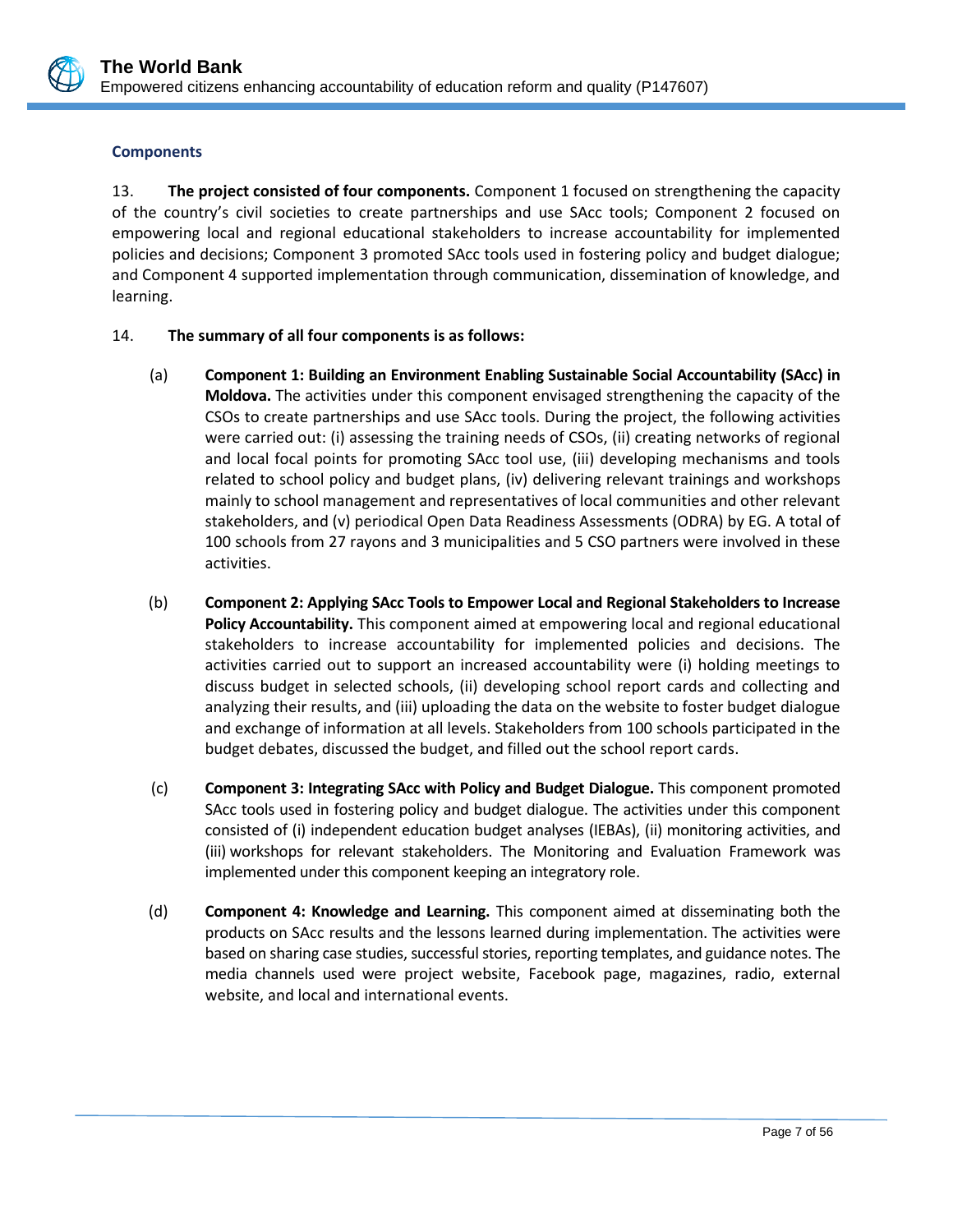

### **Components**

13. **The project consisted of four components.** Component 1 focused on strengthening the capacity of the country's civil societies to create partnerships and use SAcc tools; Component 2 focused on empowering local and regional educational stakeholders to increase accountability for implemented policies and decisions; Component 3 promoted SAcc tools used in fostering policy and budget dialogue; and Component 4 supported implementation through communication, dissemination of knowledge, and learning.

### 14. **The summary of all four components is as follows:**

- (a) **Component 1: Building an Environment Enabling Sustainable Social Accountability (SAcc) in Moldova.** The activities under this component envisaged strengthening the capacity of the CSOs to create partnerships and use SAcc tools. During the project, the following activities were carried out: (i) assessing the training needs of CSOs, (ii) creating networks of regional and local focal points for promoting SAcc tool use, (iii) developing mechanisms and tools related to school policy and budget plans, (iv) delivering relevant trainings and workshops mainly to school management and representatives of local communities and other relevant stakeholders, and (v) periodical Open Data Readiness Assessments (ODRA) by EG. A total of 100 schools from 27 rayons and 3 municipalities and 5 CSO partners were involved in these activities.
- (b) **Component 2: Applying SAcc Tools to Empower Local and Regional Stakeholders to Increase Policy Accountability.** This component aimed at empowering local and regional educational stakeholders to increase accountability for implemented policies and decisions. The activities carried out to support an increased accountability were (i) holding meetings to discuss budget in selected schools, (ii) developing school report cards and collecting and analyzing their results, and (iii) uploading the data on the website to foster budget dialogue and exchange of information at all levels. Stakeholders from 100 schools participated in the budget debates, discussed the budget, and filled out the school report cards.
- (c) **Component 3: Integrating SAcc with Policy and Budget Dialogue.** This component promoted SAcc tools used in fostering policy and budget dialogue. The activities under this component consisted of (i) independent education budget analyses (IEBAs), (ii) monitoring activities, and (iii) workshops for relevant stakeholders. The Monitoring and Evaluation Framework was implemented under this component keeping an integratory role.
- (d) **Component 4: Knowledge and Learning.** This component aimed at disseminating both the products on SAcc results and the lessons learned during implementation. The activities were based on sharing case studies, successful stories, reporting templates, and guidance notes. The media channels used were project website, Facebook page, magazines, radio, external website, and local and international events.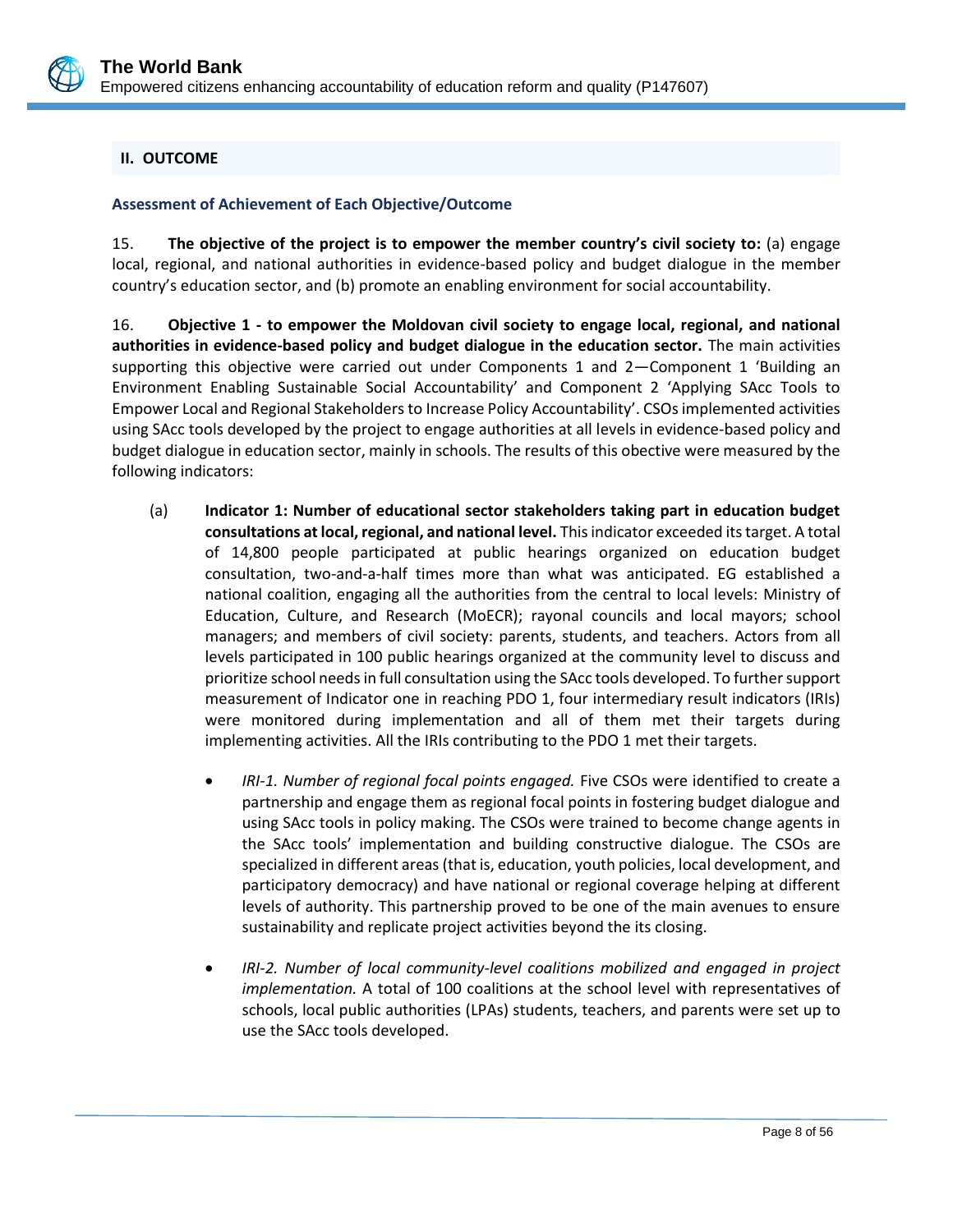

### <span id="page-11-0"></span>**II. OUTCOME**

### **Assessment of Achievement of Each Objective/Outcome**

15. **The objective of the project is to empower the member country's civil society to:** (a) engage local, regional, and national authorities in evidence-based policy and budget dialogue in the member country's education sector, and (b) promote an enabling environment for social accountability.

16. **Objective 1 - to empower the Moldovan civil society to engage local, regional, and national authorities in evidence-based policy and budget dialogue in the education sector.** The main activities supporting this objective were carried out under Components 1 and 2—Component 1 'Building an Environment Enabling Sustainable Social Accountability' and Component 2 'Applying SAcc Tools to Empower Local and Regional Stakeholders to Increase Policy Accountability'. CSOs implemented activities using SAcc tools developed by the project to engage authorities at all levels in evidence-based policy and budget dialogue in education sector, mainly in schools. The results of this obective were measured by the following indicators:

- (a) **Indicator 1: Number of educational sector stakeholders taking part in education budget consultations at local, regional, and national level.** This indicator exceeded its target. A total of 14,800 people participated at public hearings organized on education budget consultation, two-and-a-half times more than what was anticipated. EG established a national coalition, engaging all the authorities from the central to local levels: Ministry of Education, Culture, and Research (MoECR); rayonal councils and local mayors; school managers; and members of civil society: parents, students, and teachers. Actors from all levels participated in 100 public hearings organized at the community level to discuss and prioritize school needs in full consultation using the SAcc tools developed. To further support measurement of Indicator one in reaching PDO 1, four intermediary result indicators (IRIs) were monitored during implementation and all of them met their targets during implementing activities. All the IRIs contributing to the PDO 1 met their targets.
	- *IRI-1. Number of regional focal points engaged.* Five CSOs were identified to create a partnership and engage them as regional focal points in fostering budget dialogue and using SAcc tools in policy making. The CSOs were trained to become change agents in the SAcc tools' implementation and building constructive dialogue. The CSOs are specialized in different areas (that is, education, youth policies, local development, and participatory democracy) and have national or regional coverage helping at different levels of authority. This partnership proved to be one of the main avenues to ensure sustainability and replicate project activities beyond the its closing.
	- *IRI-2. Number of local community-level coalitions mobilized and engaged in project implementation.* A total of 100 coalitions at the school level with representatives of schools, local public authorities (LPAs) students, teachers, and parents were set up to use the SAcc tools developed.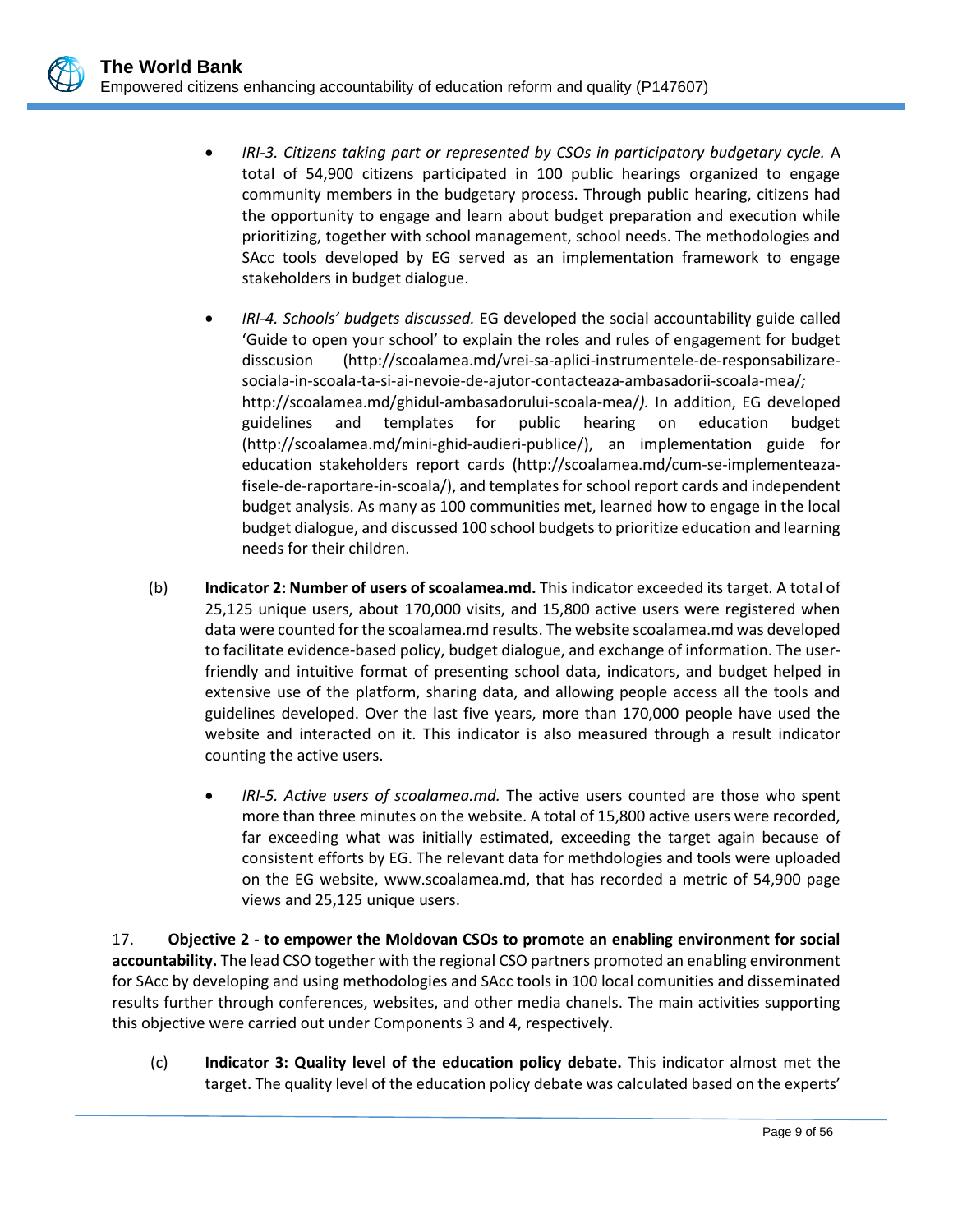

- *IRI-3. Citizens taking part or represented by CSOs in participatory budgetary cycle.* A total of 54,900 citizens participated in 100 public hearings organized to engage community members in the budgetary process. Through public hearing, citizens had the opportunity to engage and learn about budget preparation and execution while prioritizing, together with school management, school needs. The methodologies and SAcc tools developed by EG served as an implementation framework to engage stakeholders in budget dialogue.
- *IRI-4. Schools' budgets discussed.* EG developed the social accountability guide called 'Guide to open your school' to explain the roles and rules of engagement for budget disscusion [\(http://scoalamea.md/vrei-sa-aplici-instrumentele-de-responsabilizare](http://scoalamea.md/vrei-sa-aplici-instrumentele-de-responsabilizare-sociala-in-scoala-ta-si-ai-nevoie-de-ajutor-contacteaza-ambasadorii-scoala-mea/)[sociala-in-scoala-ta-si-ai-nevoie-de-ajutor-contacteaza-ambasadorii-scoala-mea/](http://scoalamea.md/vrei-sa-aplici-instrumentele-de-responsabilizare-sociala-in-scoala-ta-si-ai-nevoie-de-ajutor-contacteaza-ambasadorii-scoala-mea/)*;*  <http://scoalamea.md/ghidul-ambasadorului-scoala-mea/>*).* In addition, EG developed guidelines and templates for public hearing on education budget [\(http://scoalamea.md/mini-ghid-audieri-publice/\)](http://scoalamea.md/mini-ghid-audieri-publice/), an implementation guide for education stakeholders report cards [\(http://scoalamea.md/cum-se-implementeaza](http://scoalamea.md/cum-se-implementeaza-fisele-de-raportare-in-scoala/)[fisele-de-raportare-in-scoala/\)](http://scoalamea.md/cum-se-implementeaza-fisele-de-raportare-in-scoala/), and templates for school report cards and independent budget analysis. As many as 100 communities met, learned how to engage in the local budget dialogue, and discussed 100 school budgets to prioritize education and learning needs for their children.
- (b) **Indicator 2: Number of users of scoalamea.md.** This indicator exceeded its target*.* A total of 25,125 unique users, about 170,000 visits, and 15,800 active users were registered when data were counted for the scoalamea.md results. The website scoalamea.md was developed to facilitate evidence-based policy, budget dialogue, and exchange of information. The userfriendly and intuitive format of presenting school data, indicators, and budget helped in extensive use of the platform, sharing data, and allowing people access all the tools and guidelines developed. Over the last five years, more than 170,000 people have used the website and interacted on it. This indicator is also measured through a result indicator counting the active users.
	- *IRI-5. Active users of scoalamea.md.* The active users counted are those who spent more than three minutes on the website. A total of 15,800 active users were recorded, far exceeding what was initially estimated, exceeding the target again because of consistent efforts by EG. The relevant data for methdologies and tools were uploaded on the EG website, [www.scoalamea.md,](http://www.scoalamea.md/) that has recorded a metric of 54,900 page views and 25,125 unique users.

17. **Objective 2 - to empower the Moldovan CSOs to promote an enabling environment for social accountability.** The lead CSO together with the regional CSO partners promoted an enabling environment for SAcc by developing and using methodologies and SAcc tools in 100 local comunities and disseminated results further through conferences, websites, and other media chanels. The main activities supporting this objective were carried out under Components 3 and 4, respectively.

(c) **Indicator 3: Quality level of the education policy debate.** This indicator almost met the target. The quality level of the education policy debate was calculated based on the experts'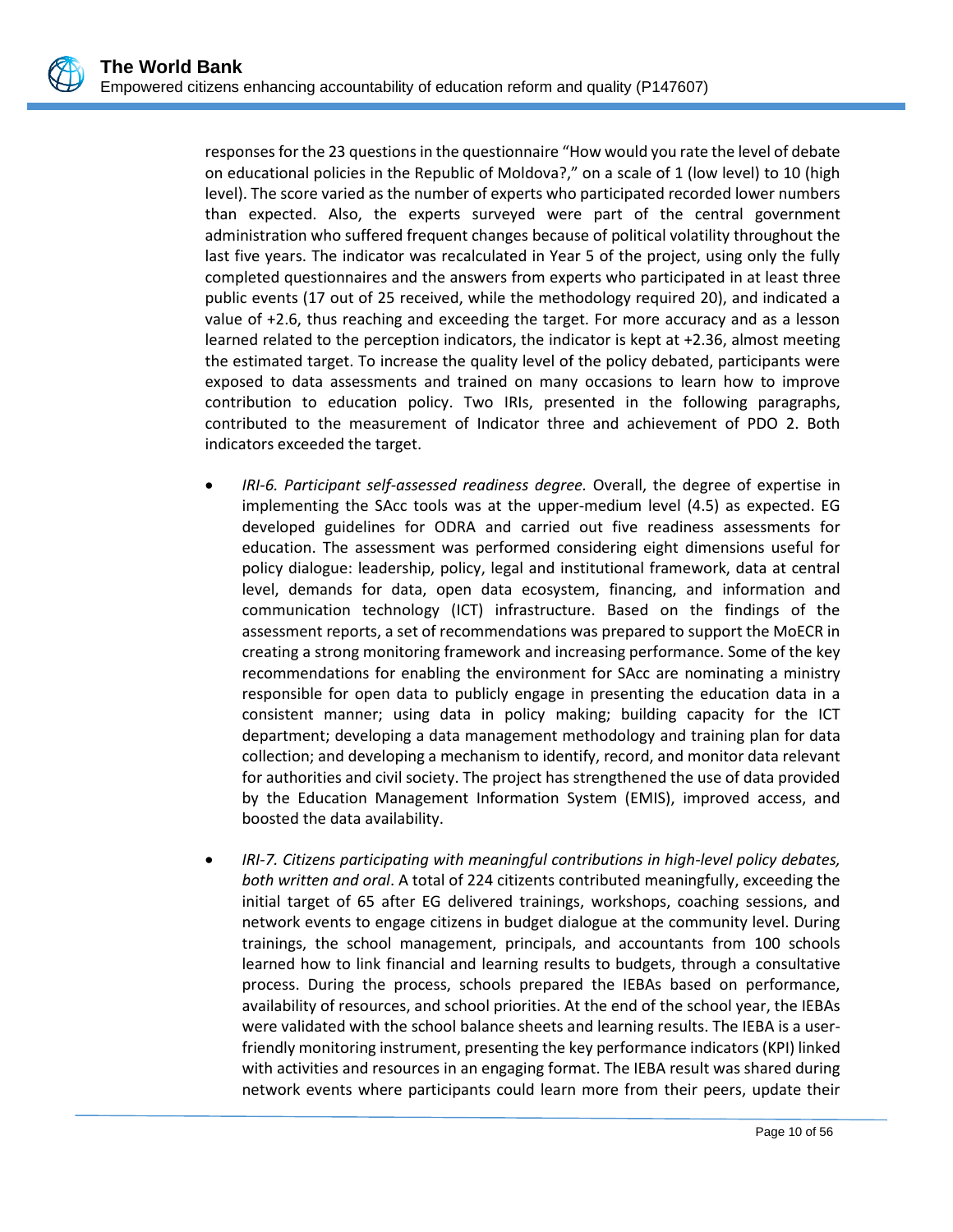responses for the 23 questions in the questionnaire "How would you rate the level of debate on educational policies in the Republic of Moldova?," on a scale of 1 (low level) to 10 (high level). The score varied as the number of experts who participated recorded lower numbers than expected. Also, the experts surveyed were part of the central government administration who suffered frequent changes because of political volatility throughout the last five years. The indicator was recalculated in Year 5 of the project, using only the fully completed questionnaires and the answers from experts who participated in at least three public events (17 out of 25 received, while the methodology required 20), and indicated a value of +2.6, thus reaching and exceeding the target. For more accuracy and as a lesson learned related to the perception indicators, the indicator is kept at +2.36, almost meeting the estimated target. To increase the quality level of the policy debated, participants were exposed to data assessments and trained on many occasions to learn how to improve contribution to education policy. Two IRIs, presented in the following paragraphs, contributed to the measurement of Indicator three and achievement of PDO 2. Both indicators exceeded the target.

- *IRI-6. Participant self-assessed readiness degree.* Overall, the degree of expertise in implementing the SAcc tools was at the upper-medium level (4.5) as expected. EG developed guidelines for ODRA and carried out five readiness assessments for education. The assessment was performed considering eight dimensions useful for policy dialogue: leadership, policy, legal and institutional framework, data at central level, demands for data, open data ecosystem, financing, and information and communication technology (ICT) infrastructure. Based on the findings of the assessment reports, a set of recommendations was prepared to support the MoECR in creating a strong monitoring framework and increasing performance. Some of the key recommendations for enabling the environment for SAcc are nominating a ministry responsible for open data to publicly engage in presenting the education data in a consistent manner; using data in policy making; building capacity for the ICT department; developing a data management methodology and training plan for data collection; and developing a mechanism to identify, record, and monitor data relevant for authorities and civil society. The project has strengthened the use of data provided by the Education Management Information System (EMIS), improved access, and boosted the data availability.
- *IRI-7. Citizens participating with meaningful contributions in high-level policy debates, both written and oral*. A total of 224 citizents contributed meaningfully, exceeding the initial target of 65 after EG delivered trainings, workshops, coaching sessions, and network events to engage citizens in budget dialogue at the community level. During trainings, the school management, principals, and accountants from 100 schools learned how to link financial and learning results to budgets, through a consultative process. During the process, schools prepared the IEBAs based on performance, availability of resources, and school priorities. At the end of the school year, the IEBAs were validated with the school balance sheets and learning results. The IEBA is a userfriendly monitoring instrument, presenting the key performance indicators (KPI) linked with activities and resources in an engaging format. The IEBA result was shared during network events where participants could learn more from their peers, update their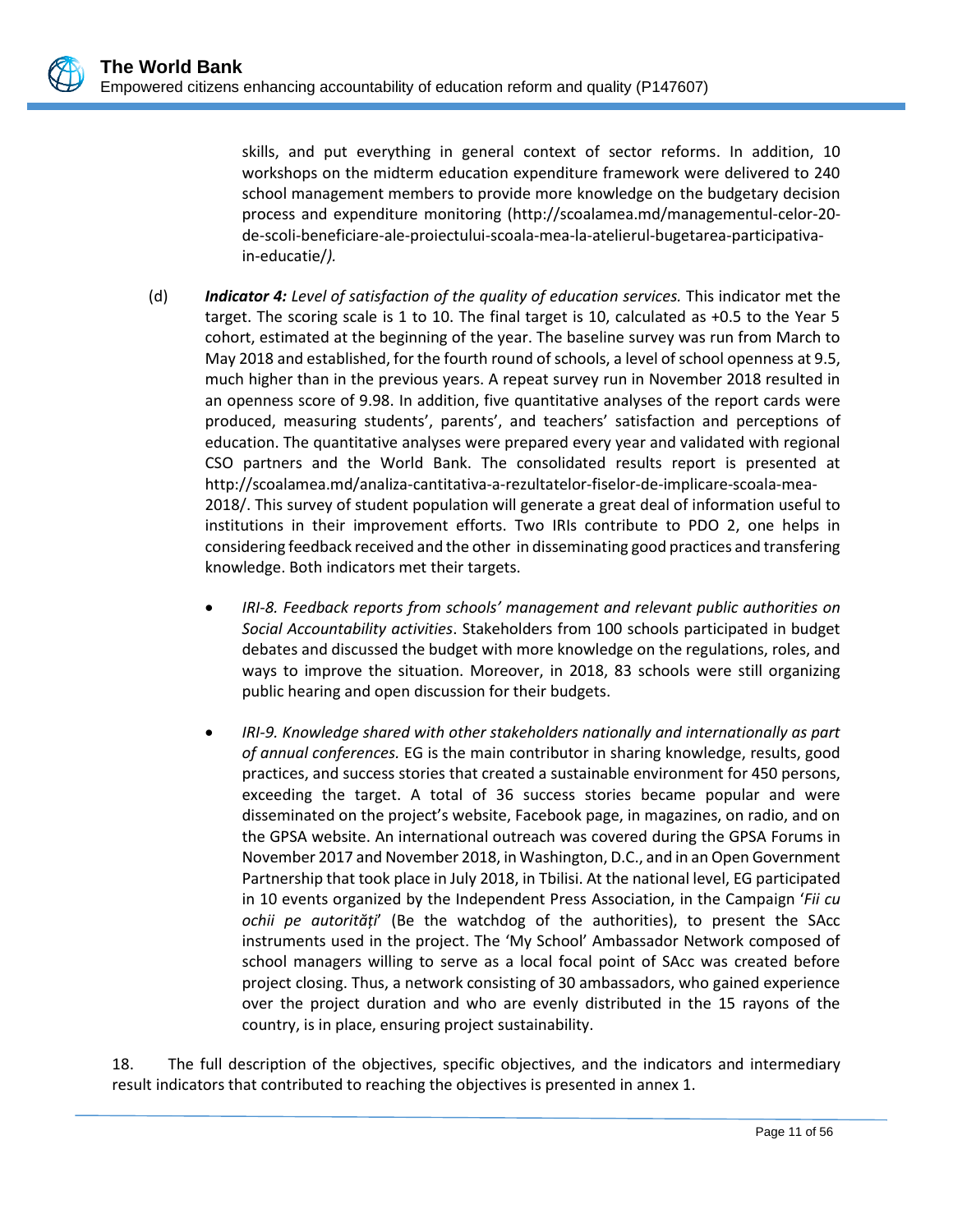skills, and put everything in general context of sector reforms. In addition, 10 workshops on the midterm education expenditure framework were delivered to 240 school management members to provide more knowledge on the budgetary decision process and expenditure monitoring [\(http://scoalamea.md/managementul-celor-20](http://scoalamea.md/managementul-celor-20-de-scoli-beneficiare-ale-proiectului-scoala-mea-la-atelierul-bugetarea-participativa-in-educatie/) [de-scoli-beneficiare-ale-proiectului-scoala-mea-la-atelierul-bugetarea-participativa](http://scoalamea.md/managementul-celor-20-de-scoli-beneficiare-ale-proiectului-scoala-mea-la-atelierul-bugetarea-participativa-in-educatie/)[in-educatie/](http://scoalamea.md/managementul-celor-20-de-scoli-beneficiare-ale-proiectului-scoala-mea-la-atelierul-bugetarea-participativa-in-educatie/)*).*

- (d) *Indicator 4: Level of satisfaction of the quality of education services.* This indicator met the target. The scoring scale is 1 to 10. The final target is 10, calculated as +0.5 to the Year 5 cohort, estimated at the beginning of the year. The baseline survey was run from March to May 2018 and established, for the fourth round of schools, a level of school openness at 9.5, much higher than in the previous years. A repeat survey run in November 2018 resulted in an openness score of 9.98. In addition, five quantitative analyses of the report cards were produced, measuring students', parents', and teachers' satisfaction and perceptions of education. The quantitative analyses were prepared every year and validated with regional CSO partners and the World Bank. The consolidated results report is presented at [http://scoalamea.md/analiza-cantitativa-a-rezultatelor-fiselor-de-implicare-scoala-mea-](http://scoalamea.md/analiza-cantitativa-a-rezultatelor-fiselor-de-implicare-scoala-mea-2018/)[2018/.](http://scoalamea.md/analiza-cantitativa-a-rezultatelor-fiselor-de-implicare-scoala-mea-2018/) This survey of student population will generate a great deal of information useful to institutions in their improvement efforts. Two IRIs contribute to PDO 2, one helps in considering feedback received and the other in disseminating good practices and transfering knowledge. Both indicators met their targets.
	- *IRI-8. Feedback reports from schools' management and relevant public authorities on Social Accountability activities*. Stakeholders from 100 schools participated in budget debates and discussed the budget with more knowledge on the regulations, roles, and ways to improve the situation. Moreover, in 2018, 83 schools were still organizing public hearing and open discussion for their budgets.
	- *IRI-9. Knowledge shared with other stakeholders nationally and internationally as part of annual conferences.* EG is the main contributor in sharing knowledge, results, good practices, and success stories that created a sustainable environment for 450 persons, exceeding the target. A total of 36 success stories became popular and were disseminated on the project's website, Facebook page, in magazines, on radio, and on the GPSA website. An international outreach was covered during the GPSA Forums in November 2017 and November 2018, in Washington, D.C., and in an Open Government Partnership that took place in July 2018, in Tbilisi. At the national level, EG participated in 10 events organized by the Independent Press Association, in the Campaign '*Fii cu ochii pe autorități*' (Be the watchdog of the authorities), to present the SAcc instruments used in the project. The 'My School' Ambassador Network composed of school managers willing to serve as a local focal point of SAcc was created before project closing. Thus, a network consisting of 30 ambassadors, who gained experience over the project duration and who are evenly distributed in the 15 rayons of the country, is in place, ensuring project sustainability.

18. The full description of the objectives, specific objectives, and the indicators and intermediary result indicators that contributed to reaching the objectives is presented in annex 1.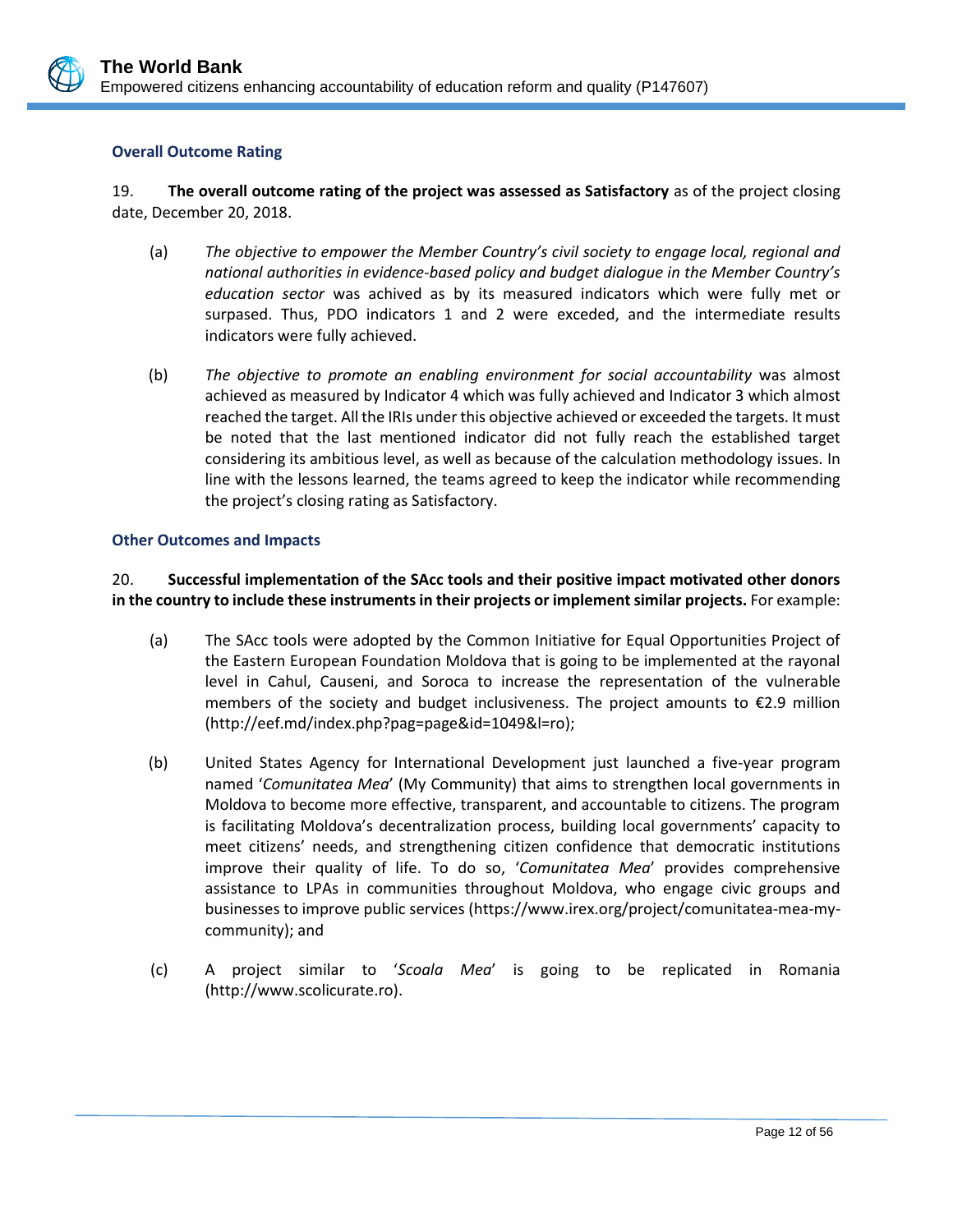

### **Overall Outcome Rating**

19. **The overall outcome rating of the project was assessed as Satisfactory** as of the project closing date, December 20, 2018.

- (a) *The objective to empower the Member Country's civil society to engage local, regional and national authorities in evidence-based policy and budget dialogue in the Member Country's education sector* was achived as by its measured indicators which were fully met or surpased. Thus, PDO indicators 1 and 2 were exceded, and the intermediate results indicators were fully achieved.
- (b) *The objective to promote an enabling environment for social accountability* was almost achieved as measured by Indicator 4 which was fully achieved and Indicator 3 which almost reached the target. All the IRIs under this objective achieved or exceeded the targets. It must be noted that the last mentioned indicator did not fully reach the established target considering its ambitious level, as well as because of the calculation methodology issues. In line with the lessons learned, the teams agreed to keep the indicator while recommending the project's closing rating as Satisfactory.

#### **Other Outcomes and Impacts**

### 20. **Successful implementation of the SAcc tools and their positive impact motivated other donors in the country to include these instruments in their projects or implement similar projects.** For example:

- (a) The SAcc tools were adopted by the Common Initiative for Equal Opportunities Project of the Eastern European Foundation Moldova that is going to be implemented at the rayonal level in Cahul, Causeni, and Soroca to increase the representation of the vulnerable members of the society and budget inclusiveness. The project amounts to  $\epsilon$ 2.9 million [\(http://eef.md/index.php?pag=page&id=1049&l=ro\)](http://eef.md/index.php?pag=page&id=1049&l=ro);
- (b) United States Agency for International Development just launched a five-year program named '*Comunitatea Mea*' (My Community) that aims to strengthen local governments in Moldova to become more effective, transparent, and accountable to citizens. The program is facilitating Moldova's decentralization process, building local governments' capacity to meet citizens' needs, and strengthening citizen confidence that democratic institutions improve their quality of life. To do so, '*Comunitatea Mea*' provides comprehensive assistance to LPAs in communities throughout Moldova, who engage civic groups and businesses to improve public services [\(https://www.irex.org/project/comunitatea-mea-my](https://www.irex.org/project/comunitatea-mea-my-community)[community\)](https://www.irex.org/project/comunitatea-mea-my-community); and
- (c) A project similar to '*Scoala Mea*' is going to be replicated in Romania [\(http://www.scolicurate.ro\)](http://www.scolicurate.ro/).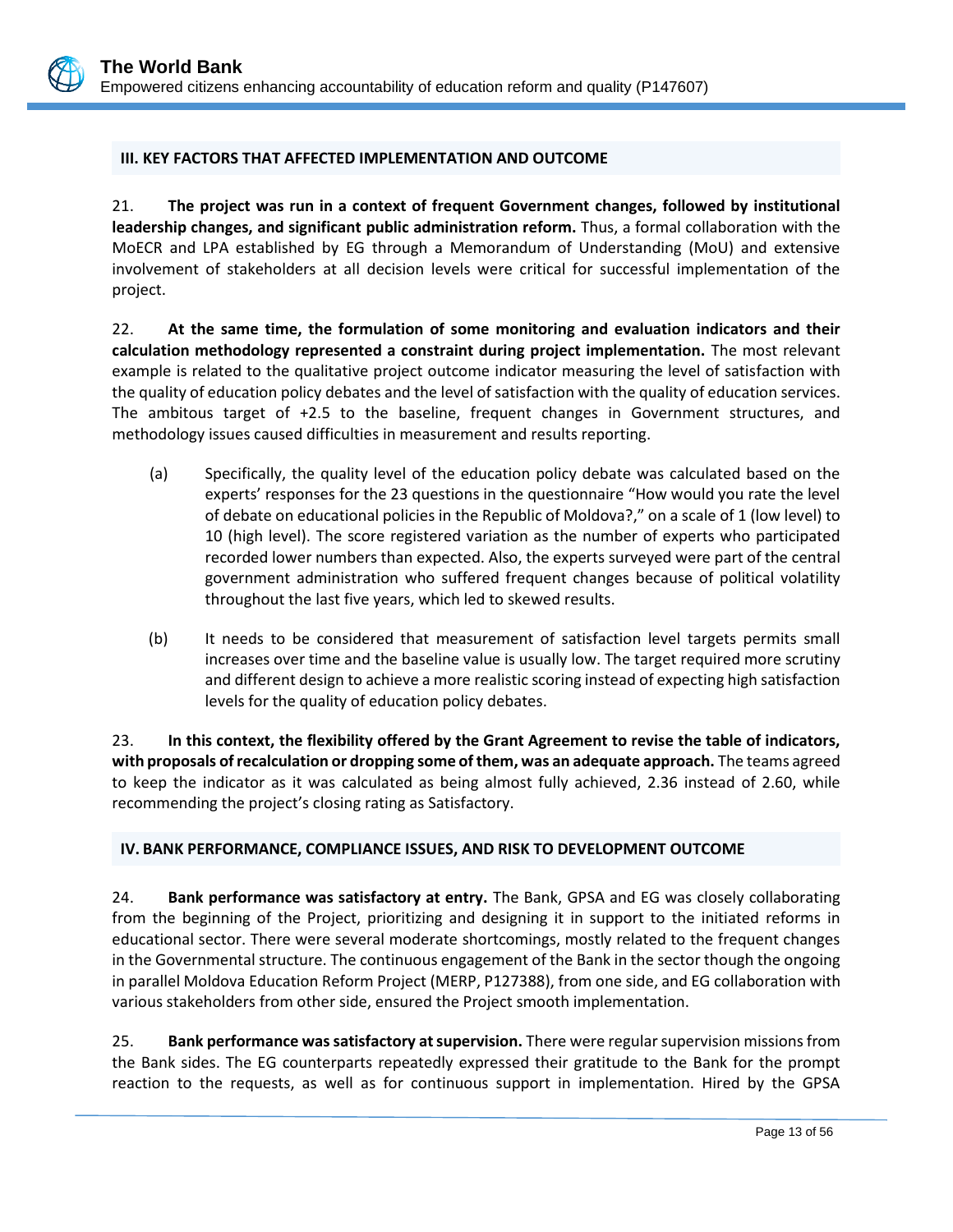### <span id="page-16-0"></span>**III. KEY FACTORS THAT AFFECTED IMPLEMENTATION AND OUTCOME**

21. **The project was run in a context of frequent Government changes, followed by institutional leadership changes, and significant public administration reform.** Thus, a formal collaboration with the MoECR and LPA established by EG through a Memorandum of Understanding (MoU) and extensive involvement of stakeholders at all decision levels were critical for successful implementation of the project.

22. **At the same time, the formulation of some monitoring and evaluation indicators and their calculation methodology represented a constraint during project implementation.** The most relevant example is related to the qualitative project outcome indicator measuring the level of satisfaction with the quality of education policy debates and the level of satisfaction with the quality of education services. The ambitous target of +2.5 to the baseline, frequent changes in Government structures, and methodology issues caused difficulties in measurement and results reporting.

- (a) Specifically, the quality level of the education policy debate was calculated based on the experts' responses for the 23 questions in the questionnaire "How would you rate the level of debate on educational policies in the Republic of Moldova?," on a scale of 1 (low level) to 10 (high level). The score registered variation as the number of experts who participated recorded lower numbers than expected. Also, the experts surveyed were part of the central government administration who suffered frequent changes because of political volatility throughout the last five years, which led to skewed results.
- (b) It needs to be considered that measurement of satisfaction level targets permits small increases over time and the baseline value is usually low. The target required more scrutiny and different design to achieve a more realistic scoring instead of expecting high satisfaction levels for the quality of education policy debates.

23. **In this context, the flexibility offered by the Grant Agreement to revise the table of indicators, with proposals of recalculation or dropping some of them, was an adequate approach.** The teams agreed to keep the indicator as it was calculated as being almost fully achieved, 2.36 instead of 2.60, while recommending the project's closing rating as Satisfactory.

#### <span id="page-16-1"></span>**IV. BANK PERFORMANCE, COMPLIANCE ISSUES, AND RISK TO DEVELOPMENT OUTCOME**

24. **Bank performance was satisfactory at entry.** The Bank, GPSA and EG was closely collaborating from the beginning of the Project, prioritizing and designing it in support to the initiated reforms in educational sector. There were several moderate shortcomings, mostly related to the frequent changes in the Governmental structure. The continuous engagement of the Bank in the sector though the ongoing in parallel Moldova Education Reform Project (MERP, P127388), from one side, and EG collaboration with various stakeholders from other side, ensured the Project smooth implementation.

25. **Bank performance was satisfactory at supervision.** There were regular supervision missions from the Bank sides. The EG counterparts repeatedly expressed their gratitude to the Bank for the prompt reaction to the requests, as well as for continuous support in implementation. Hired by the GPSA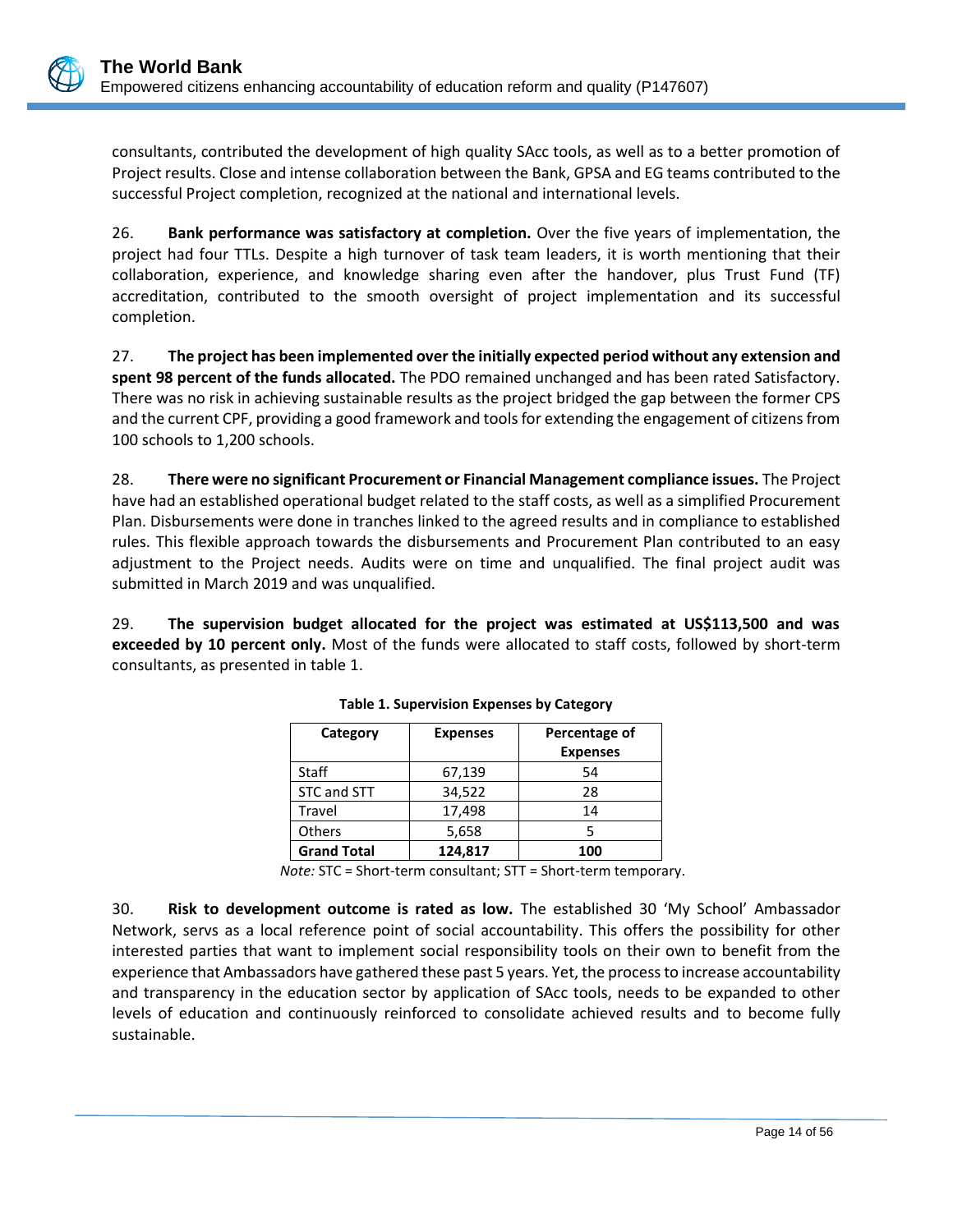consultants, contributed the development of high quality SAcc tools, as well as to a better promotion of Project results. Close and intense collaboration between the Bank, GPSA and EG teams contributed to the successful Project completion, recognized at the national and international levels.

26. **Bank performance was satisfactory at completion.** Over the five years of implementation, the project had four TTLs. Despite a high turnover of task team leaders, it is worth mentioning that their collaboration, experience, and knowledge sharing even after the handover, plus Trust Fund (TF) accreditation, contributed to the smooth oversight of project implementation and its successful completion.

27. **The project has been implemented over the initially expected period without any extension and spent 98 percent of the funds allocated.** The PDO remained unchanged and has been rated Satisfactory. There was no risk in achieving sustainable results as the project bridged the gap between the former CPS and the current CPF, providing a good framework and tools for extending the engagement of citizens from 100 schools to 1,200 schools.

28. **There were no significant Procurement or Financial Management compliance issues.** The Project have had an established operational budget related to the staff costs, as well as a simplified Procurement Plan. Disbursements were done in tranches linked to the agreed results and in compliance to established rules. This flexible approach towards the disbursements and Procurement Plan contributed to an easy adjustment to the Project needs. Audits were on time and unqualified. The final project audit was submitted in March 2019 and was unqualified.

29. **The supervision budget allocated for the project was estimated at US\$113,500 and was exceeded by 10 percent only.** Most of the funds were allocated to staff costs, followed by short-term consultants, as presented in table 1.

| Category           | <b>Expenses</b> | Percentage of<br><b>Expenses</b> |
|--------------------|-----------------|----------------------------------|
| Staff              | 67,139          | 54                               |
| STC and STT        | 34,522          | 28                               |
| Travel             | 17,498          | 14                               |
| <b>Others</b>      | 5,658           |                                  |
| <b>Grand Total</b> | 124,817         | 100                              |

**Table 1. Supervision Expenses by Category**

*Note:* STC = Short-term consultant; STT = Short-term temporary.

30. **Risk to development outcome is rated as low.** The established 30 'My School' Ambassador Network, servs as a local reference point of social accountability. This offers the possibility for other interested parties that want to implement social responsibility tools on their own to benefit from the experience that Ambassadors have gathered these past 5 years. Yet, the process to increase accountability and transparency in the education sector by application of SAcc tools, needs to be expanded to other levels of education and continuously reinforced to consolidate achieved results and to become fully sustainable.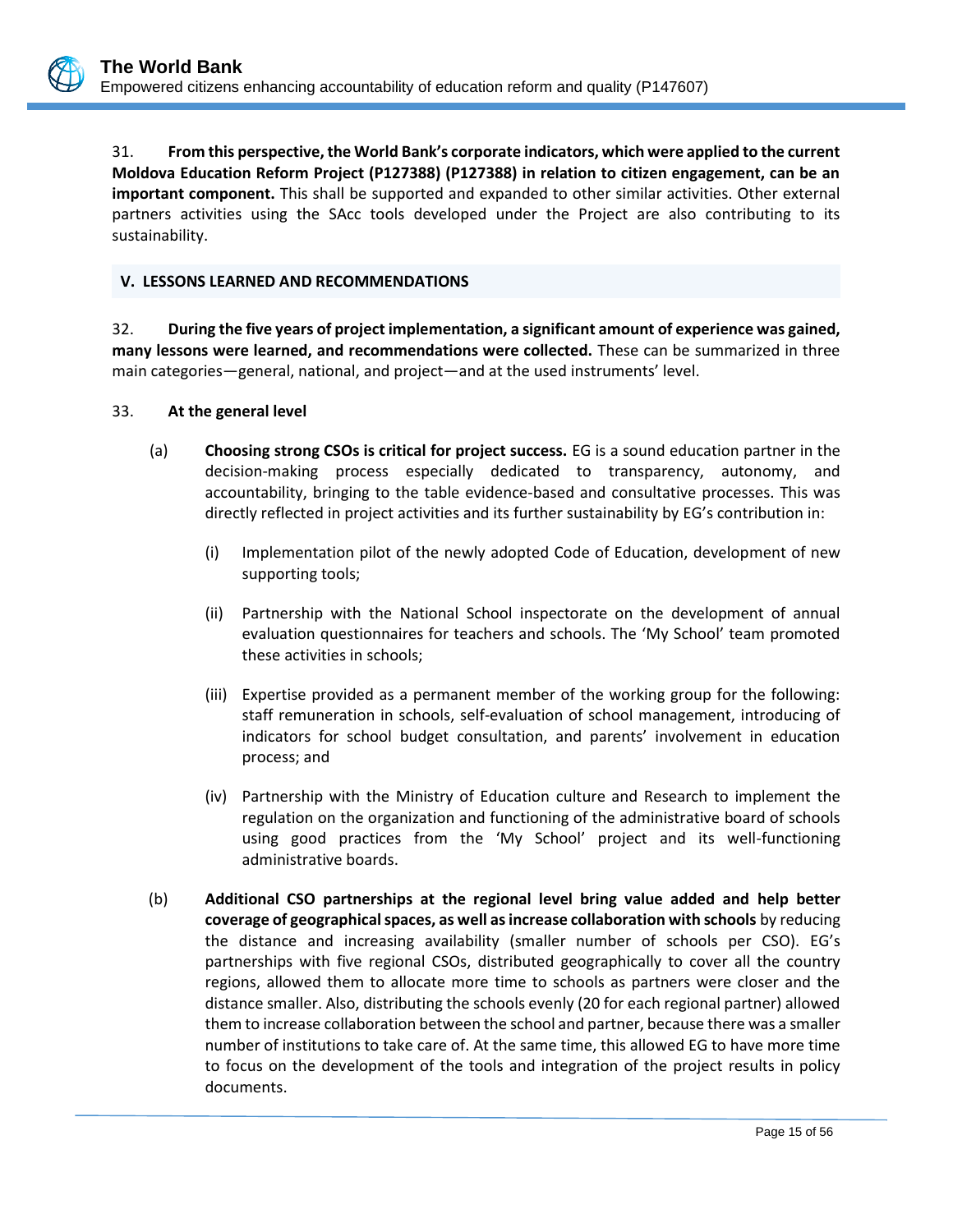31. **From this perspective, the World Bank's corporate indicators, which were applied to the current Moldova Education Reform Project (P127388) (P127388) in relation to citizen engagement, can be an important component.** This shall be supported and expanded to other similar activities. Other external partners activities using the SAcc tools developed under the Project are also contributing to its sustainability.

### <span id="page-18-0"></span>**V. LESSONS LEARNED AND RECOMMENDATIONS**

32. **During the five years of project implementation, a significant amount of experience was gained, many lessons were learned, and recommendations were collected.** These can be summarized in three main categories—general, national, and project—and at the used instruments' level.

#### 33. **At the general level**

- (a) **Choosing strong CSOs is critical for project success.** EG is a sound education partner in the decision-making process especially dedicated to transparency, autonomy, and accountability, bringing to the table evidence-based and consultative processes. This was directly reflected in project activities and its further sustainability by EG's contribution in:
	- (i) Implementation pilot of the newly adopted Code of Education, development of new supporting tools;
	- (ii) Partnership with the National School inspectorate on the development of annual evaluation questionnaires for teachers and schools. The 'My School' team promoted these activities in schools;
	- (iii) Expertise provided as a permanent member of the working group for the following: staff remuneration in schools, self-evaluation of school management, introducing of indicators for school budget consultation, and parents' involvement in education process; and
	- (iv) Partnership with the Ministry of Education culture and Research to implement the regulation on the organization and functioning of the administrative board of schools using good practices from the 'My School' project and its well-functioning administrative boards.
- (b) **Additional CSO partnerships at the regional level bring value added and help better coverage of geographical spaces, as well as increase collaboration with schools** by reducing the distance and increasing availability (smaller number of schools per CSO). EG's partnerships with five regional CSOs, distributed geographically to cover all the country regions, allowed them to allocate more time to schools as partners were closer and the distance smaller. Also, distributing the schools evenly (20 for each regional partner) allowed them to increase collaboration between the school and partner, because there was a smaller number of institutions to take care of. At the same time, this allowed EG to have more time to focus on the development of the tools and integration of the project results in policy documents.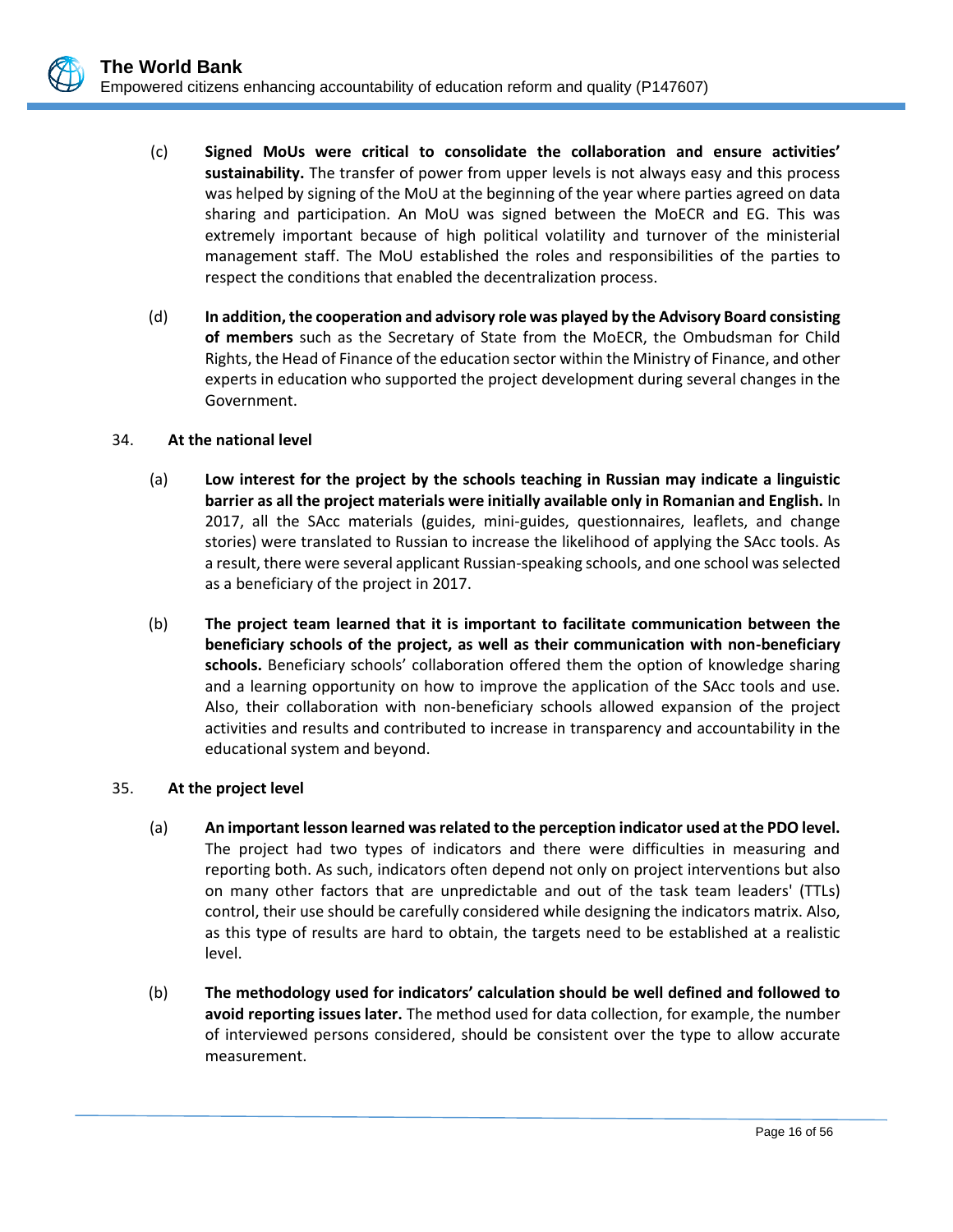- (c) **Signed MoUs were critical to consolidate the collaboration and ensure activities' sustainability.** The transfer of power from upper levels is not always easy and this process was helped by signing of the MoU at the beginning of the year where parties agreed on data sharing and participation. An MoU was signed between the MoECR and EG. This was extremely important because of high political volatility and turnover of the ministerial management staff. The MoU established the roles and responsibilities of the parties to respect the conditions that enabled the decentralization process.
- (d) **In addition, the cooperation and advisory role was played by the Advisory Board consisting of members** such as the Secretary of State from the MoECR, the Ombudsman for Child Rights, the Head of Finance of the education sector within the Ministry of Finance, and other experts in education who supported the project development during several changes in the Government.

### 34. **At the national level**

- (a) **Low interest for the project by the schools teaching in Russian may indicate a linguistic barrier as all the project materials were initially available only in Romanian and English.** In 2017, all the SAcc materials (guides, mini-guides, questionnaires, leaflets, and change stories) were translated to Russian to increase the likelihood of applying the SAcc tools. As a result, there were several applicant Russian-speaking schools, and one school was selected as a beneficiary of the project in 2017.
- (b) **The project team learned that it is important to facilitate communication between the beneficiary schools of the project, as well as their communication with non-beneficiary schools.** Beneficiary schools' collaboration offered them the option of knowledge sharing and a learning opportunity on how to improve the application of the SAcc tools and use. Also, their collaboration with non-beneficiary schools allowed expansion of the project activities and results and contributed to increase in transparency and accountability in the educational system and beyond.

#### 35. **At the project level**

- (a) **An important lesson learned was related to the perception indicator used at the PDO level.** The project had two types of indicators and there were difficulties in measuring and reporting both. As such, indicators often depend not only on project interventions but also on many other factors that are unpredictable and out of the task team leaders' (TTLs) control, their use should be carefully considered while designing the indicators matrix. Also, as this type of results are hard to obtain, the targets need to be established at a realistic level.
- (b) **The methodology used for indicators' calculation should be well defined and followed to avoid reporting issues later.** The method used for data collection, for example, the number of interviewed persons considered, should be consistent over the type to allow accurate measurement.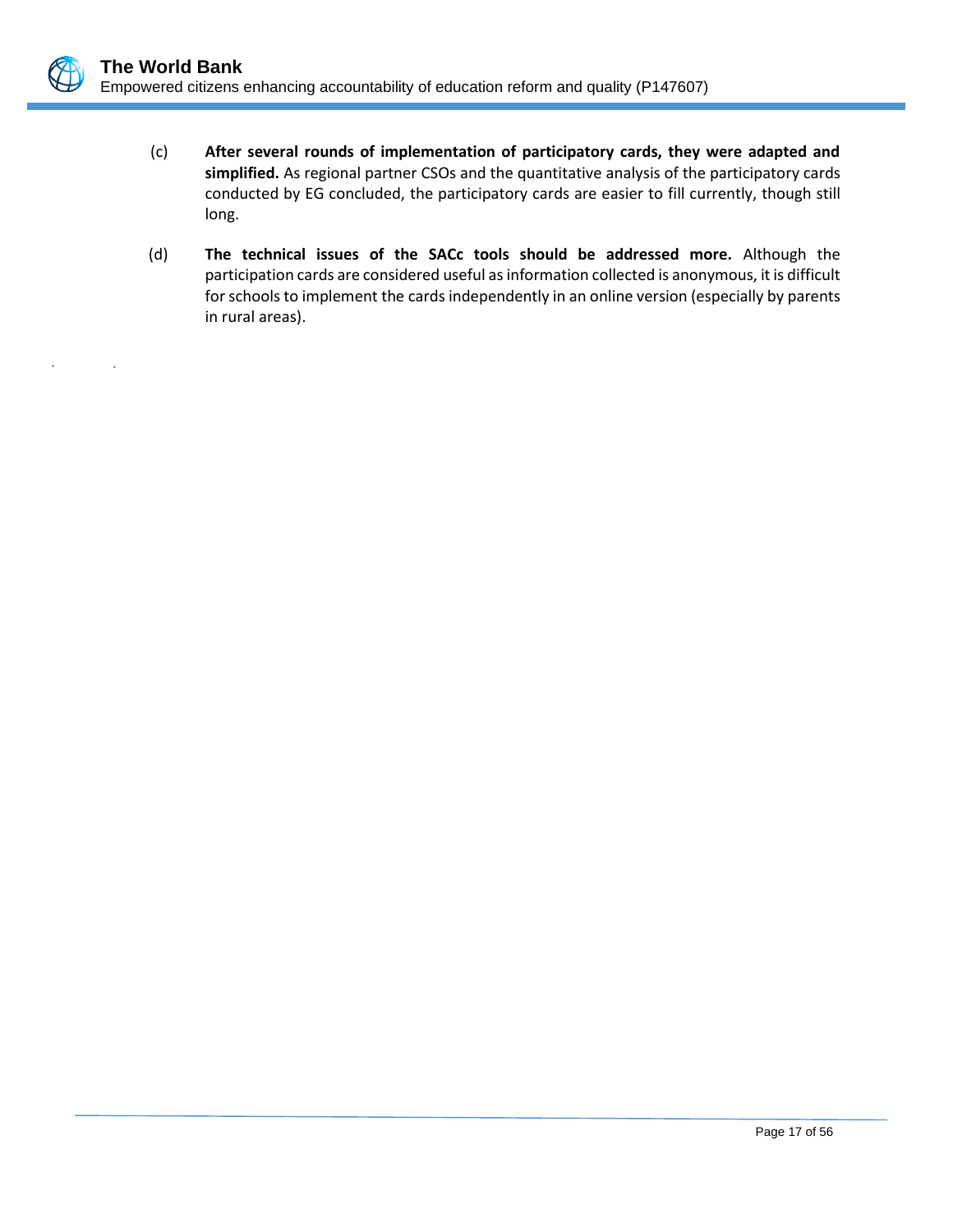. .

- (c) **After several rounds of implementation of participatory cards, they were adapted and simplified.** As regional partner CSOs and the quantitative analysis of the participatory cards conducted by EG concluded, the participatory cards are easier to fill currently, though still long.
- (d) **The technical issues of the SACc tools should be addressed more.** Although the participation cards are considered useful as information collected is anonymous, it is difficult for schools to implement the cards independently in an online version (especially by parents in rural areas).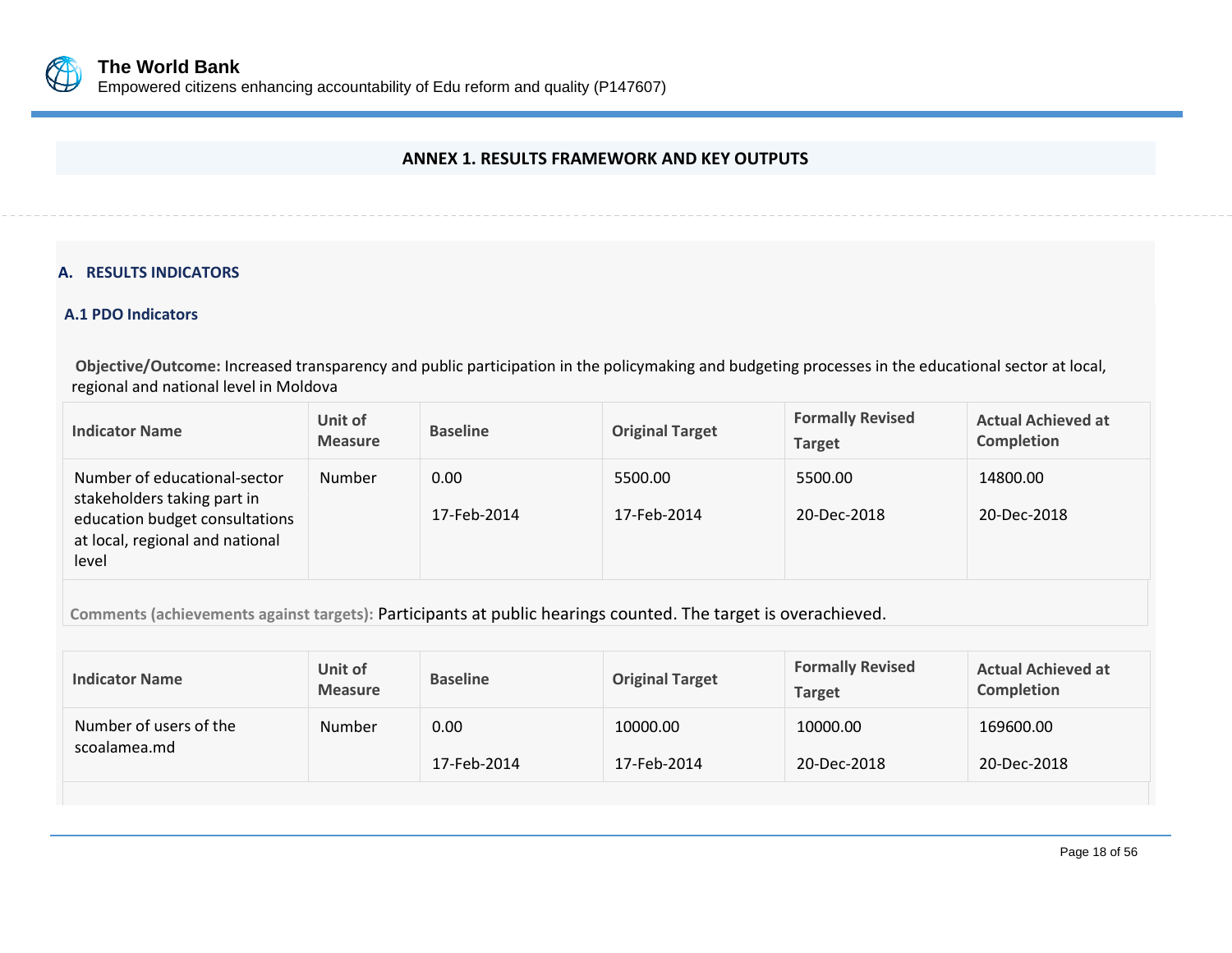

### **ANNEX 1. RESULTS FRAMEWORK AND KEY OUTPUTS**

### **A. RESULTS INDICATORS**

### **A.1 PDO Indicators**

**Objective/Outcome:** Increased transparency and public participation in the policymaking and budgeting processes in the educational sector at local, regional and national level in Moldova

<span id="page-21-0"></span>

| <b>Indicator Name</b>                                                                                                                     | Unit of<br><b>Measure</b> | <b>Baseline</b>     | <b>Original Target</b> | <b>Formally Revised</b><br><b>Target</b> | <b>Actual Achieved at</b><br>Completion |
|-------------------------------------------------------------------------------------------------------------------------------------------|---------------------------|---------------------|------------------------|------------------------------------------|-----------------------------------------|
| Number of educational-sector<br>stakeholders taking part in<br>education budget consultations<br>at local, regional and national<br>level | Number                    | 0.00<br>17-Feb-2014 | 5500.00<br>17-Feb-2014 | 5500.00<br>20-Dec-2018                   | 14800.00<br>20-Dec-2018                 |

**Comments (achievements against targets):** Participants at public hearings counted. The target is overachieved.

| <b>Indicator Name</b>                  | Unit of<br><b>Measure</b> | <b>Baseline</b>     | <b>Original Target</b>  | <b>Formally Revised</b><br><b>Target</b> | <b>Actual Achieved at</b><br>Completion |
|----------------------------------------|---------------------------|---------------------|-------------------------|------------------------------------------|-----------------------------------------|
| Number of users of the<br>scoalamea.md | Number                    | 0.00<br>17-Feb-2014 | 10000.00<br>17-Feb-2014 | 10000.00<br>20-Dec-2018                  | 169600.00<br>20-Dec-2018                |
|                                        |                           |                     |                         |                                          |                                         |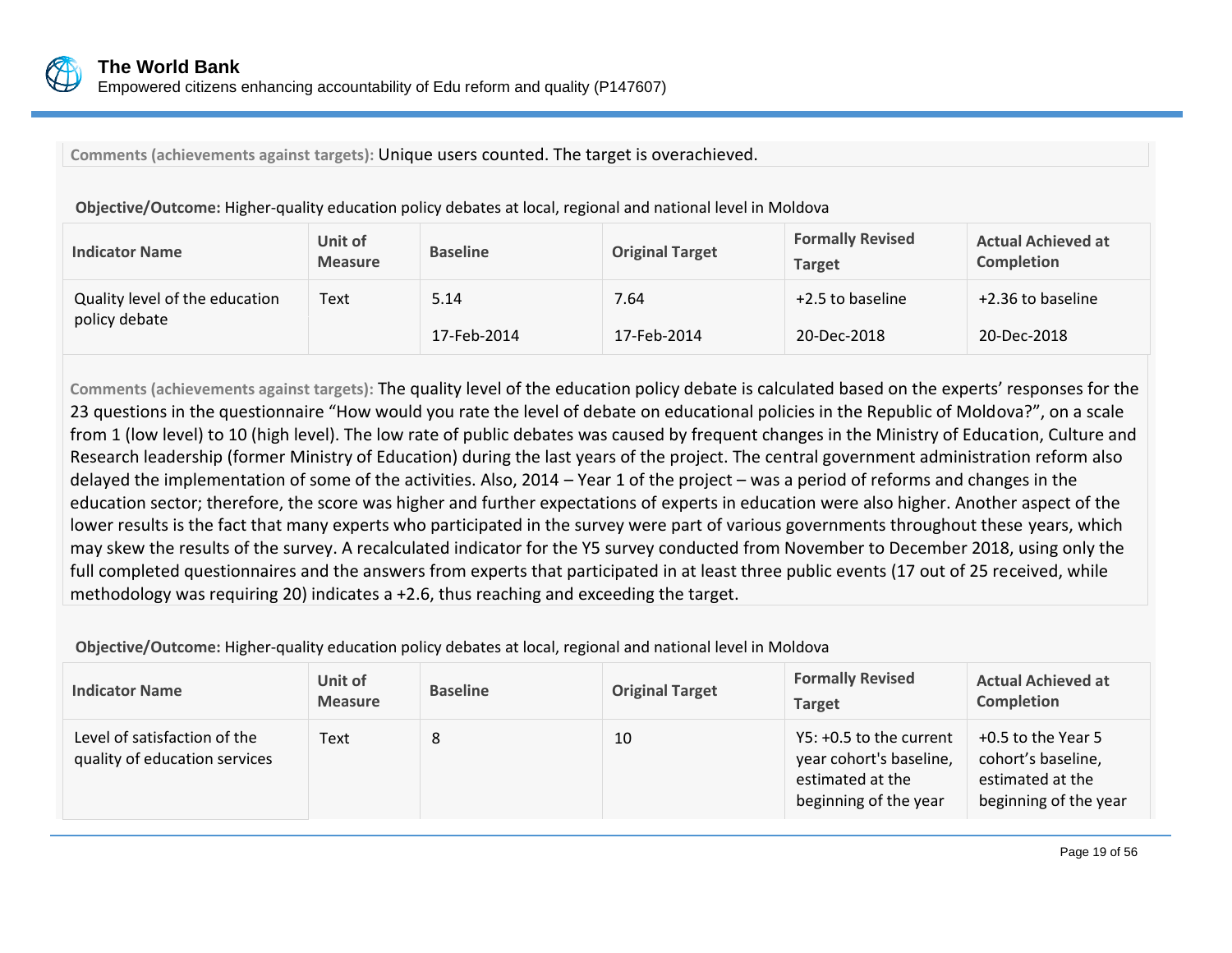

**Comments (achievements against targets):** Unique users counted. The target is overachieved.

| <b>Indicator Name</b>                           | Unit of<br><b>Measure</b> | <b>Baseline</b> | <b>Original Target</b> | <b>Formally Revised</b><br><b>Target</b> | <b>Actual Achieved at</b><br><b>Completion</b> |
|-------------------------------------------------|---------------------------|-----------------|------------------------|------------------------------------------|------------------------------------------------|
| Quality level of the education<br>policy debate | Text                      | 5.14            | 7.64                   | +2.5 to baseline                         | +2.36 to baseline                              |
|                                                 |                           | 17-Feb-2014     | 17-Feb-2014            | 20-Dec-2018                              | 20-Dec-2018                                    |

**Objective/Outcome:** Higher-quality education policy debates at local, regional and national level in Moldova

**Comments (achievements against targets):** The quality level of the education policy debate is calculated based on the experts' responses for the 23 questions in the questionnaire "How would you rate the level of debate on educational policies in the Republic of Moldova?", on a scale from 1 (low level) to 10 (high level). The low rate of public debates was caused by frequent changes in the Ministry of Education, Culture and Research leadership (former Ministry of Education) during the last years of the project. The central government administration reform also delayed the implementation of some of the activities. Also, 2014 – Year 1 of the project – was a period of reforms and changes in the education sector; therefore, the score was higher and further expectations of experts in education were also higher. Another aspect of the lower results is the fact that many experts who participated in the survey were part of various governments throughout these years, which may skew the results of the survey. A recalculated indicator for the Y5 survey conducted from November to December 2018, using only the full completed questionnaires and the answers from experts that participated in at least three public events (17 out of 25 received, while methodology was requiring 20) indicates a +2.6, thus reaching and exceeding the target.

**Objective/Outcome:** Higher-quality education policy debates at local, regional and national level in Moldova

| <b>Indicator Name</b>                                         | Unit of<br><b>Measure</b> | <b>Baseline</b> | <b>Original Target</b> | <b>Formally Revised</b><br><b>Target</b>                                                        | <b>Actual Achieved at</b><br><b>Completion</b>                                        |
|---------------------------------------------------------------|---------------------------|-----------------|------------------------|-------------------------------------------------------------------------------------------------|---------------------------------------------------------------------------------------|
| Level of satisfaction of the<br>quality of education services | Text                      | 8               | 10                     | Y5: +0.5 to the current<br>year cohort's baseline,<br>estimated at the<br>beginning of the year | +0.5 to the Year 5<br>cohort's baseline,<br>estimated at the<br>beginning of the year |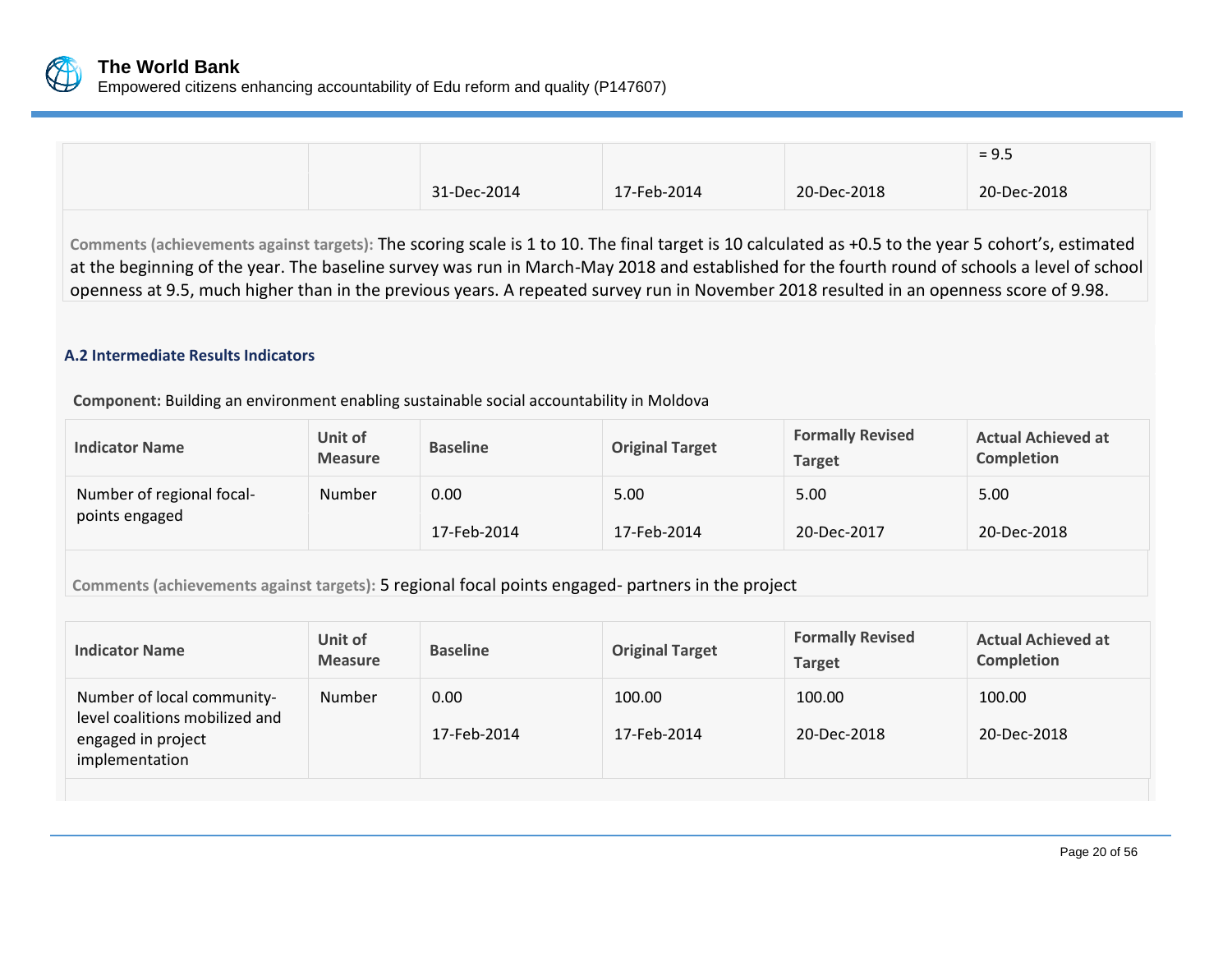

|                                                                                                                                                                                                                                                                                                                                                                                                                                               |             |             |             | $= 9.5$     |
|-----------------------------------------------------------------------------------------------------------------------------------------------------------------------------------------------------------------------------------------------------------------------------------------------------------------------------------------------------------------------------------------------------------------------------------------------|-------------|-------------|-------------|-------------|
|                                                                                                                                                                                                                                                                                                                                                                                                                                               | 31-Dec-2014 | 17-Feb-2014 | 20-Dec-2018 | 20-Dec-2018 |
| Comments (achievements against targets): The scoring scale is 1 to 10. The final target is 10 calculated as +0.5 to the year 5 cohort's, estimated<br>at the beginning of the year. The baseline survey was run in March-May 2018 and established for the fourth round of schools a level of school<br>openness at 9.5, much higher than in the previous years. A repeated survey run in November 2018 resulted in an openness score of 9.98. |             |             |             |             |

### **A.2 Intermediate Results Indicators**

**Component:** Building an environment enabling sustainable social accountability in Moldova

| <b>Indicator Name</b>     | Unit of<br><b>Measure</b> | <b>Baseline</b> | <b>Original Target</b> | <b>Formally Revised</b><br><b>Target</b> | <b>Actual Achieved at</b><br><b>Completion</b> |
|---------------------------|---------------------------|-----------------|------------------------|------------------------------------------|------------------------------------------------|
| Number of regional focal- | Number                    | 0.00            | 5.00                   | 5.00                                     | 5.00                                           |
| points engaged            |                           | 17-Feb-2014     | 17-Feb-2014            | 20-Dec-2017                              | 20-Dec-2018                                    |

**Comments (achievements against targets):** 5 regional focal points engaged- partners in the project

| <b>Indicator Name</b>                                                                                | Unit of<br><b>Measure</b> | <b>Baseline</b>     | <b>Original Target</b> | <b>Formally Revised</b><br><b>Target</b> | <b>Actual Achieved at</b><br><b>Completion</b> |
|------------------------------------------------------------------------------------------------------|---------------------------|---------------------|------------------------|------------------------------------------|------------------------------------------------|
| Number of local community-<br>level coalitions mobilized and<br>engaged in project<br>implementation | Number                    | 0.00<br>17-Feb-2014 | 100.00<br>17-Feb-2014  | 100.00<br>20-Dec-2018                    | 100.00<br>20-Dec-2018                          |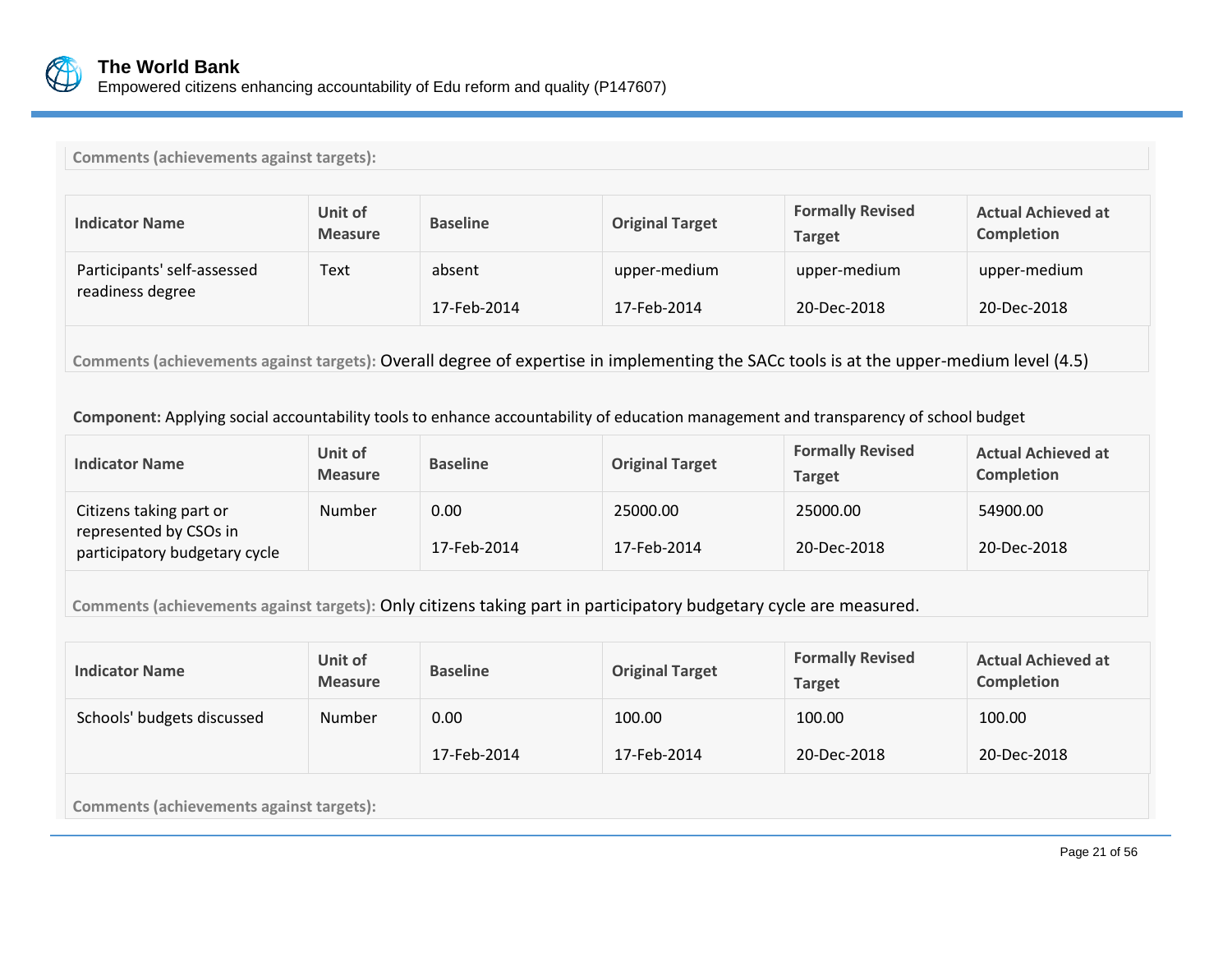

|  | <b>Comments (achievements against targets):</b> |  |  |  |
|--|-------------------------------------------------|--|--|--|
|--|-------------------------------------------------|--|--|--|

| <b>Indicator Name</b>                                                                                                                  | Unit of<br><b>Measure</b> | <b>Baseline</b>       | <b>Original Target</b>      | <b>Formally Revised</b><br><b>Target</b> | <b>Actual Achieved at</b><br><b>Completion</b> |  |  |
|----------------------------------------------------------------------------------------------------------------------------------------|---------------------------|-----------------------|-----------------------------|------------------------------------------|------------------------------------------------|--|--|
| Participants' self-assessed<br>readiness degree                                                                                        | Text                      | absent<br>17-Feb-2014 | upper-medium<br>17-Feb-2014 | upper-medium<br>20-Dec-2018              | upper-medium<br>20-Dec-2018                    |  |  |
| Comments (achievements against targets): Overall degree of expertise in implementing the SACc tools is at the upper-medium level (4.5) |                           |                       |                             |                                          |                                                |  |  |

### **Component:** Applying social accountability tools to enhance accountability of education management and transparency of school budget

| <b>Indicator Name</b>                                                              | Unit of<br><b>Measure</b> | <b>Baseline</b>     | <b>Original Target</b>  | <b>Formally Revised</b><br>Target | <b>Actual Achieved at</b><br><b>Completion</b> |
|------------------------------------------------------------------------------------|---------------------------|---------------------|-------------------------|-----------------------------------|------------------------------------------------|
| Citizens taking part or<br>represented by CSOs in<br>participatory budgetary cycle | Number                    | 0.00<br>17-Feb-2014 | 25000.00<br>17-Feb-2014 | 25000.00<br>20-Dec-2018           | 54900.00<br>20-Dec-2018                        |

**Comments (achievements against targets):** Only citizens taking part in participatory budgetary cycle are measured.

| <b>Indicator Name</b>                           | Unit of<br><b>Measure</b> | <b>Baseline</b> | <b>Original Target</b> | <b>Formally Revised</b><br><b>Target</b> | <b>Actual Achieved at</b><br>Completion |  |  |
|-------------------------------------------------|---------------------------|-----------------|------------------------|------------------------------------------|-----------------------------------------|--|--|
| Schools' budgets discussed                      | <b>Number</b>             | 0.00            | 100.00                 | 100.00                                   | 100.00                                  |  |  |
|                                                 |                           | 17-Feb-2014     | 17-Feb-2014            | 20-Dec-2018                              | 20-Dec-2018                             |  |  |
| <b>Comments (achievements against targets):</b> |                           |                 |                        |                                          |                                         |  |  |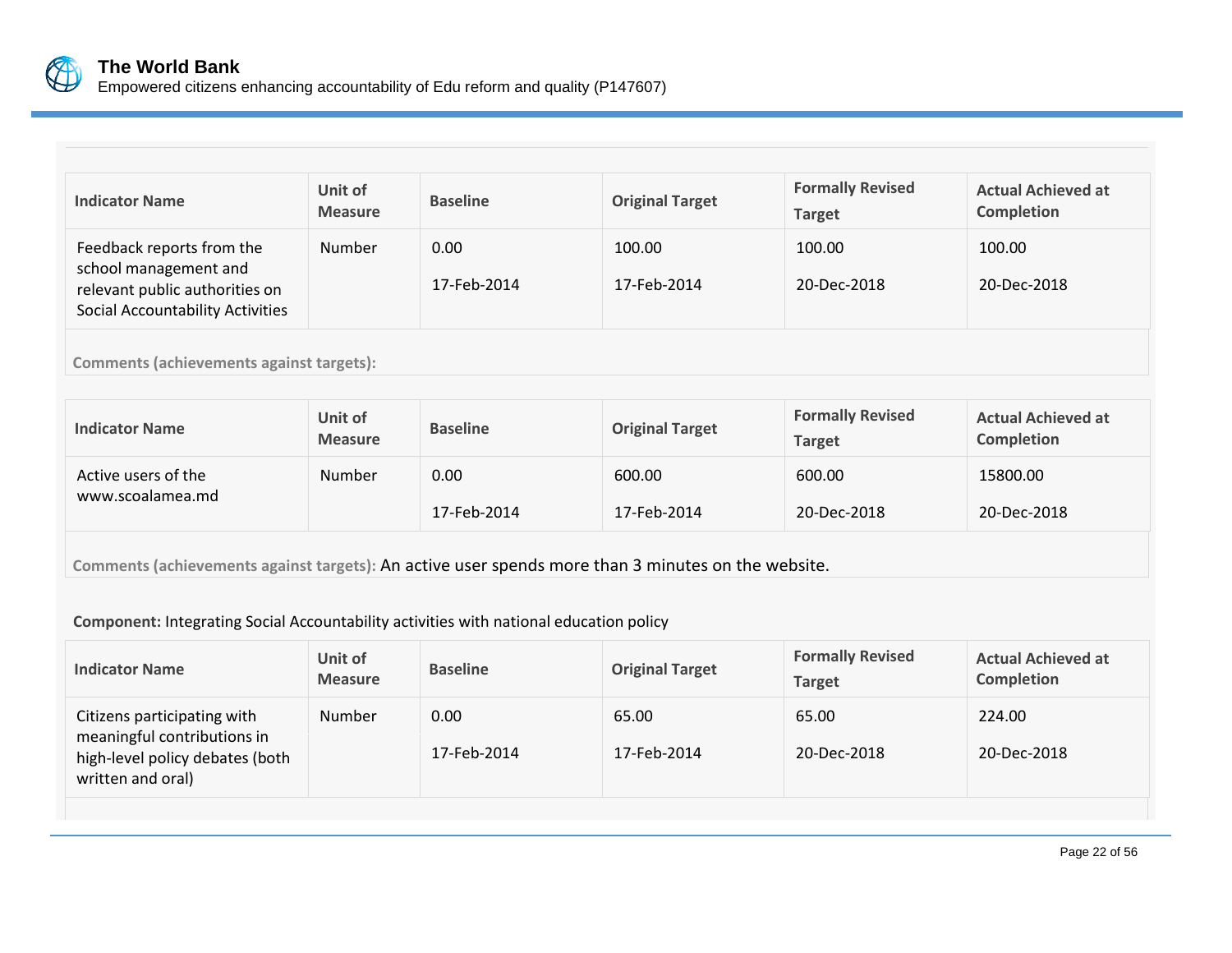

Empowered citizens enhancing accountability of Edu reform and quality (P147607)

| <b>Indicator Name</b>                                                                                                           | <b>Unit of</b><br><b>Measure</b> | <b>Baseline</b>     | <b>Original Target</b> | <b>Formally Revised</b><br><b>Target</b> | <b>Actual Achieved at</b><br><b>Completion</b> |  |  |
|---------------------------------------------------------------------------------------------------------------------------------|----------------------------------|---------------------|------------------------|------------------------------------------|------------------------------------------------|--|--|
| Feedback reports from the<br>school management and<br>relevant public authorities on<br><b>Social Accountability Activities</b> | <b>Number</b>                    | 0.00<br>17-Feb-2014 | 100.00<br>17-Feb-2014  | 100.00<br>20-Dec-2018                    | 100.00<br>20-Dec-2018                          |  |  |
| <b>Comments (achievements against targets):</b>                                                                                 |                                  |                     |                        |                                          |                                                |  |  |

| <b>Indicator Name</b> | Unit of<br><b>Measure</b> | <b>Baseline</b> | <b>Original Target</b> | <b>Formally Revised</b><br><b>Target</b> | <b>Actual Achieved at</b><br><b>Completion</b> |
|-----------------------|---------------------------|-----------------|------------------------|------------------------------------------|------------------------------------------------|
| Active users of the   | Number                    | 0.00            | 600.00                 | 600.00                                   | 15800.00                                       |
| www.scoalamea.md      |                           | 17-Feb-2014     | 17-Feb-2014            | 20-Dec-2018                              | 20-Dec-2018                                    |

**Comments (achievements against targets):** An active user spends more than 3 minutes on the website.

### **Component:** Integrating Social Accountability activities with national education policy

| <b>Indicator Name</b>                                                                                              | Unit of<br><b>Measure</b> | <b>Baseline</b>     | <b>Original Target</b> | <b>Formally Revised</b><br><b>Target</b> | <b>Actual Achieved at</b><br><b>Completion</b> |
|--------------------------------------------------------------------------------------------------------------------|---------------------------|---------------------|------------------------|------------------------------------------|------------------------------------------------|
| Citizens participating with<br>meaningful contributions in<br>high-level policy debates (both<br>written and oral) | Number                    | 0.00<br>17-Feb-2014 | 65.00<br>17-Feb-2014   | 65.00<br>20-Dec-2018                     | 224.00<br>20-Dec-2018                          |
|                                                                                                                    |                           |                     |                        |                                          |                                                |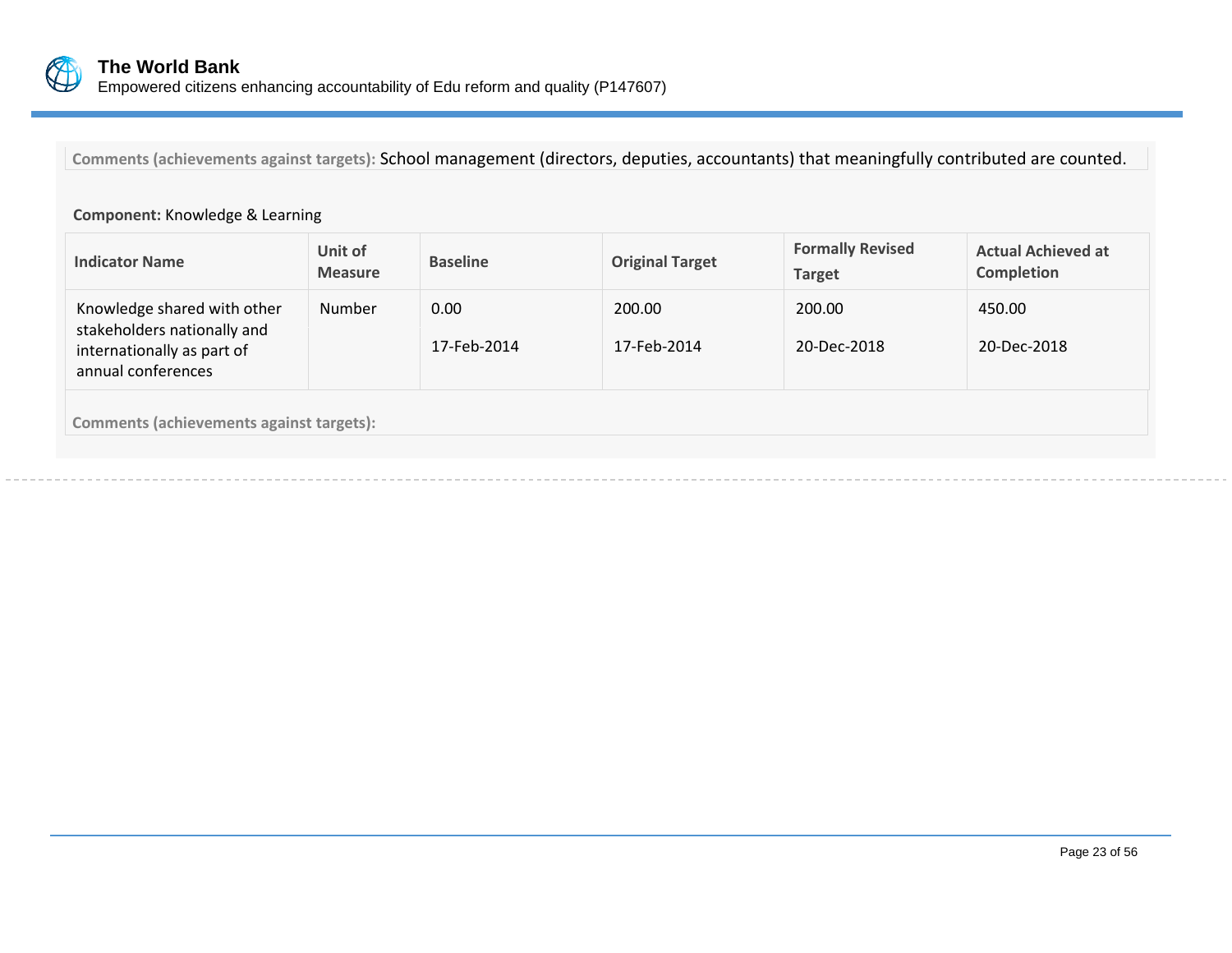

**Comments (achievements against targets):** School management (directors, deputies, accountants) that meaningfully contributed are counted.

### **Component:** Knowledge & Learning

| <b>Indicator Name</b>                                                                                          | Unit of<br><b>Measure</b> | <b>Baseline</b>     | <b>Original Target</b> | <b>Formally Revised</b><br><b>Target</b> | <b>Actual Achieved at</b><br><b>Completion</b> |
|----------------------------------------------------------------------------------------------------------------|---------------------------|---------------------|------------------------|------------------------------------------|------------------------------------------------|
| Knowledge shared with other<br>stakeholders nationally and<br>internationally as part of<br>annual conferences | <b>Number</b>             | 0.00<br>17-Feb-2014 | 200.00<br>17-Feb-2014  | 200.00<br>20-Dec-2018                    | 450.00<br>20-Dec-2018                          |
| <b>Comments (achievements against targets):</b>                                                                |                           |                     |                        |                                          |                                                |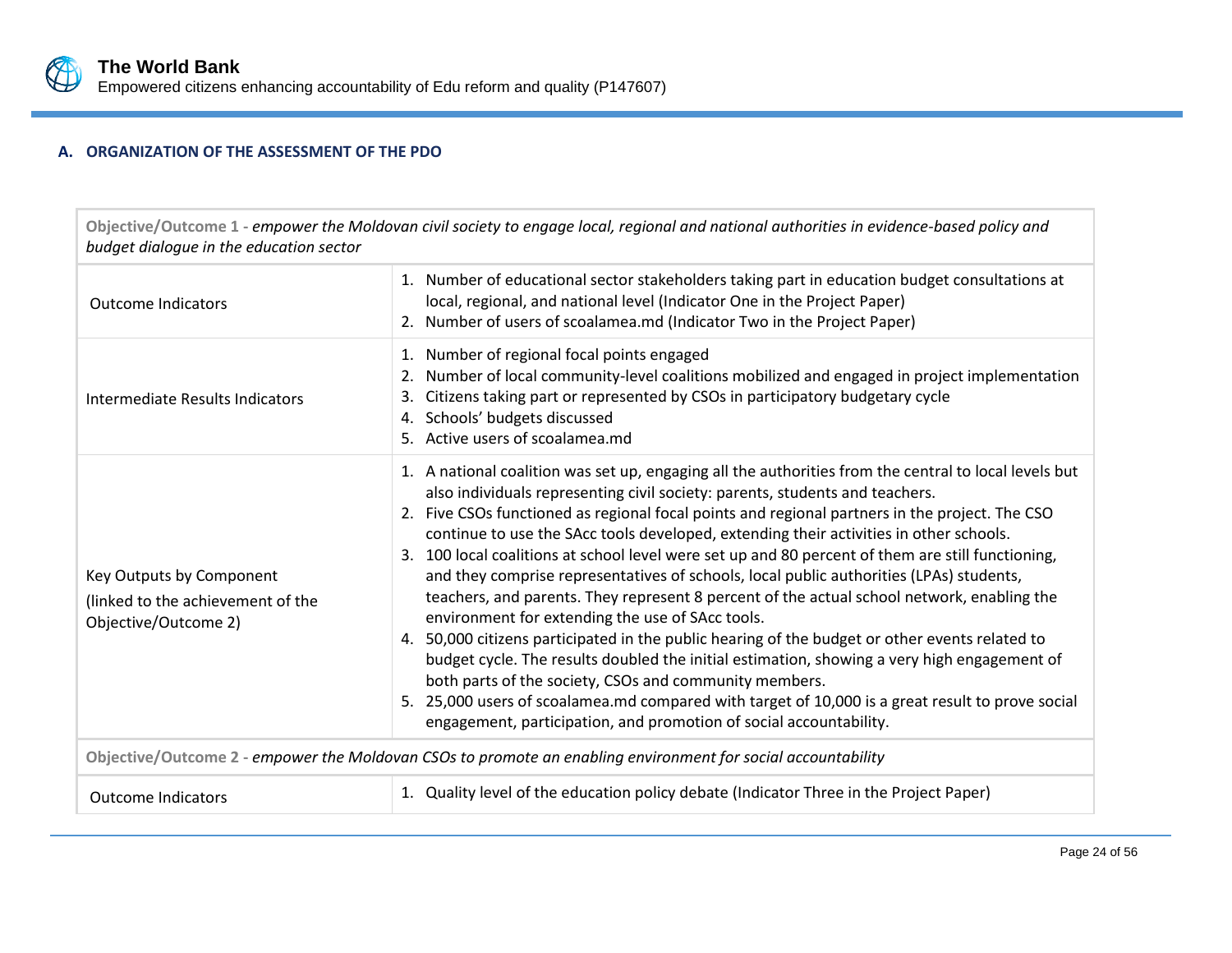

### **A. ORGANIZATION OF THE ASSESSMENT OF THE PDO**

**Objective/Outcome 1 -** *empower the Moldovan civil society to engage local, regional and national authorities in evidence-based policy and budget dialogue in the education sector*

| <b>Outcome Indicators</b>                                                             | 1. Number of educational sector stakeholders taking part in education budget consultations at<br>local, regional, and national level (Indicator One in the Project Paper)<br>2. Number of users of scoalamea.md (Indicator Two in the Project Paper)                                                                                                                                                                                                                                                                                                                                                                                                                                                                                                                                                                                                                                                                                                                                                                                                                                                                                                                        |  |  |  |  |
|---------------------------------------------------------------------------------------|-----------------------------------------------------------------------------------------------------------------------------------------------------------------------------------------------------------------------------------------------------------------------------------------------------------------------------------------------------------------------------------------------------------------------------------------------------------------------------------------------------------------------------------------------------------------------------------------------------------------------------------------------------------------------------------------------------------------------------------------------------------------------------------------------------------------------------------------------------------------------------------------------------------------------------------------------------------------------------------------------------------------------------------------------------------------------------------------------------------------------------------------------------------------------------|--|--|--|--|
| Intermediate Results Indicators                                                       | Number of regional focal points engaged<br>1.<br>Number of local community-level coalitions mobilized and engaged in project implementation<br>2.<br>Citizens taking part or represented by CSOs in participatory budgetary cycle<br>3.<br>4. Schools' budgets discussed<br>5. Active users of scoalamea.md                                                                                                                                                                                                                                                                                                                                                                                                                                                                                                                                                                                                                                                                                                                                                                                                                                                                 |  |  |  |  |
| Key Outputs by Component<br>(linked to the achievement of the<br>Objective/Outcome 2) | 1. A national coalition was set up, engaging all the authorities from the central to local levels but<br>also individuals representing civil society: parents, students and teachers.<br>2. Five CSOs functioned as regional focal points and regional partners in the project. The CSO<br>continue to use the SAcc tools developed, extending their activities in other schools.<br>3. 100 local coalitions at school level were set up and 80 percent of them are still functioning,<br>and they comprise representatives of schools, local public authorities (LPAs) students,<br>teachers, and parents. They represent 8 percent of the actual school network, enabling the<br>environment for extending the use of SAcc tools.<br>4. 50,000 citizens participated in the public hearing of the budget or other events related to<br>budget cycle. The results doubled the initial estimation, showing a very high engagement of<br>both parts of the society, CSOs and community members.<br>25,000 users of scoalamea.md compared with target of 10,000 is a great result to prove social<br>5.<br>engagement, participation, and promotion of social accountability. |  |  |  |  |
|                                                                                       | Objective/Outcome 2 - empower the Moldovan CSOs to promote an enabling environment for social accountability                                                                                                                                                                                                                                                                                                                                                                                                                                                                                                                                                                                                                                                                                                                                                                                                                                                                                                                                                                                                                                                                |  |  |  |  |
| <b>Outcome Indicators</b>                                                             | 1. Quality level of the education policy debate (Indicator Three in the Project Paper)                                                                                                                                                                                                                                                                                                                                                                                                                                                                                                                                                                                                                                                                                                                                                                                                                                                                                                                                                                                                                                                                                      |  |  |  |  |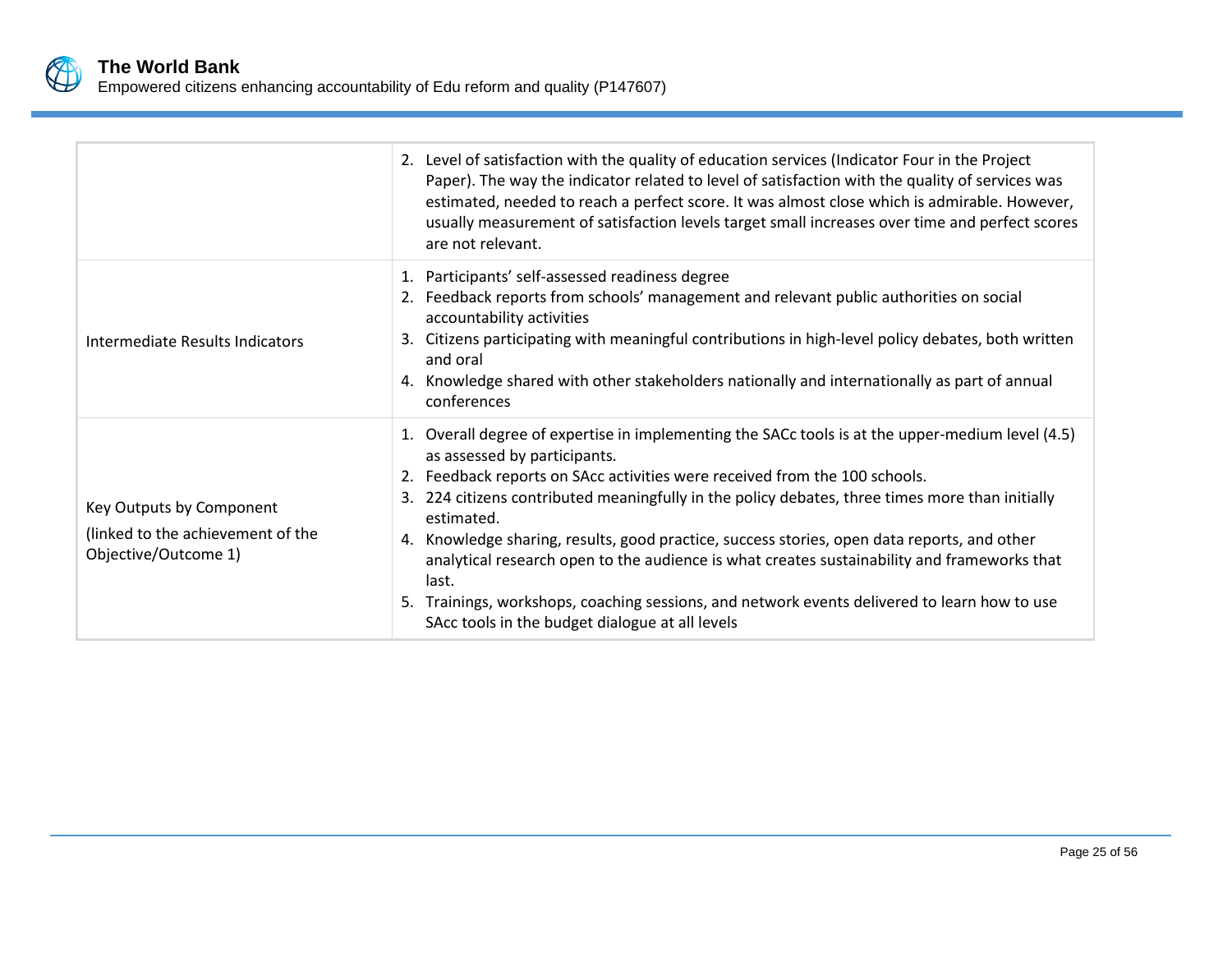

|                                                                                       | 2. Level of satisfaction with the quality of education services (Indicator Four in the Project<br>Paper). The way the indicator related to level of satisfaction with the quality of services was<br>estimated, needed to reach a perfect score. It was almost close which is admirable. However,<br>usually measurement of satisfaction levels target small increases over time and perfect scores<br>are not relevant.                                                                                                                                                                                                                                                                  |
|---------------------------------------------------------------------------------------|-------------------------------------------------------------------------------------------------------------------------------------------------------------------------------------------------------------------------------------------------------------------------------------------------------------------------------------------------------------------------------------------------------------------------------------------------------------------------------------------------------------------------------------------------------------------------------------------------------------------------------------------------------------------------------------------|
| Intermediate Results Indicators                                                       | 1. Participants' self-assessed readiness degree<br>2. Feedback reports from schools' management and relevant public authorities on social<br>accountability activities<br>3. Citizens participating with meaningful contributions in high-level policy debates, both written<br>and oral<br>4. Knowledge shared with other stakeholders nationally and internationally as part of annual<br>conferences                                                                                                                                                                                                                                                                                   |
| Key Outputs by Component<br>(linked to the achievement of the<br>Objective/Outcome 1) | 1. Overall degree of expertise in implementing the SACc tools is at the upper-medium level (4.5)<br>as assessed by participants.<br>2. Feedback reports on SAcc activities were received from the 100 schools.<br>224 citizens contributed meaningfully in the policy debates, three times more than initially<br>estimated.<br>Knowledge sharing, results, good practice, success stories, open data reports, and other<br>4.<br>analytical research open to the audience is what creates sustainability and frameworks that<br>last.<br>5. Trainings, workshops, coaching sessions, and network events delivered to learn how to use<br>SAcc tools in the budget dialogue at all levels |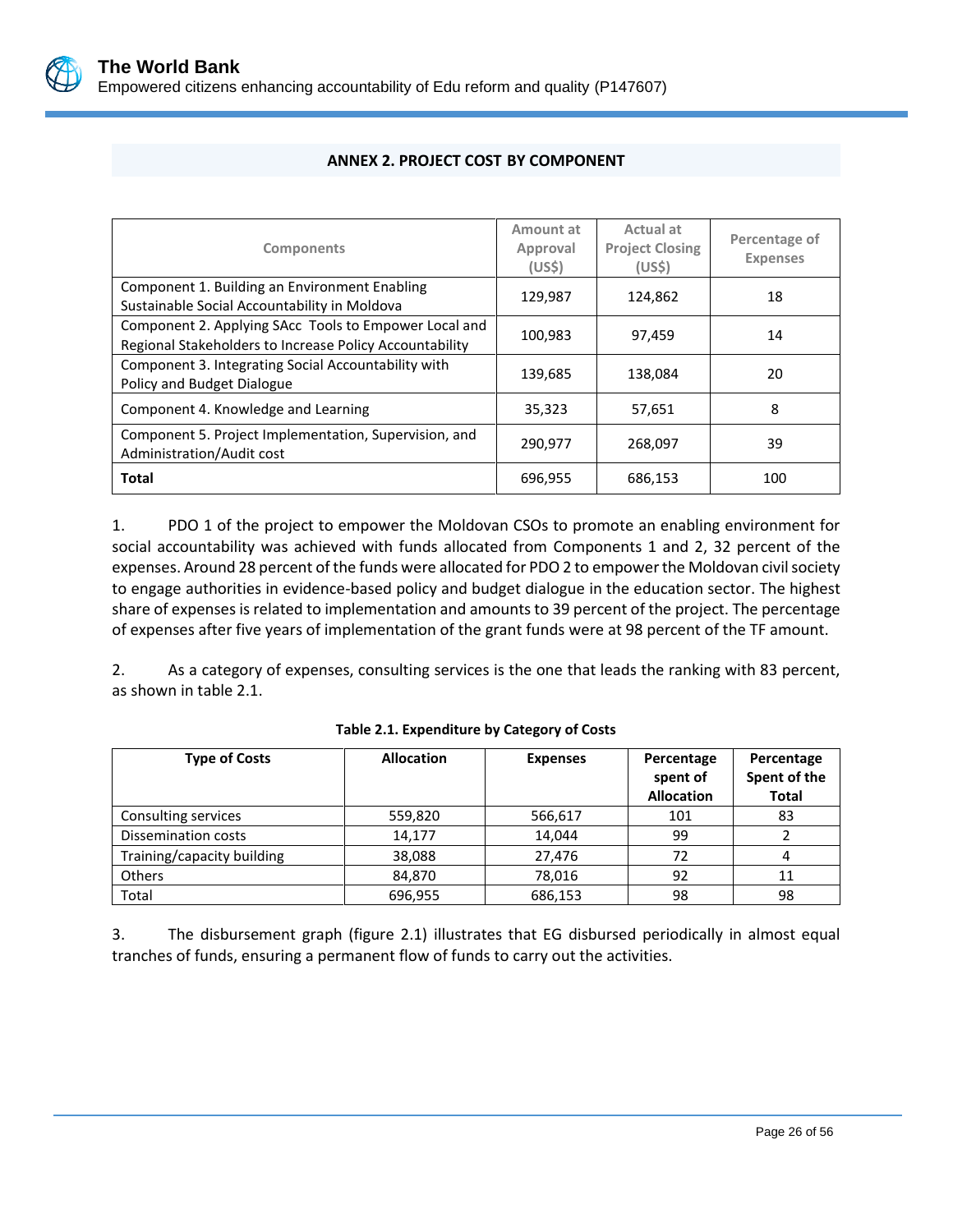

<span id="page-29-0"></span>

| <b>Components</b>                                                                                                | Amount at<br>Approval<br>(USS) | Actual at<br><b>Project Closing</b><br>(US <sub>5</sub> ) | Percentage of<br><b>Expenses</b> |
|------------------------------------------------------------------------------------------------------------------|--------------------------------|-----------------------------------------------------------|----------------------------------|
| Component 1. Building an Environment Enabling<br>Sustainable Social Accountability in Moldova                    | 129,987                        | 124,862                                                   | 18                               |
| Component 2. Applying SAcc Tools to Empower Local and<br>Regional Stakeholders to Increase Policy Accountability | 100,983                        | 97,459                                                    | 14                               |
| Component 3. Integrating Social Accountability with<br>Policy and Budget Dialogue                                | 139,685                        | 138,084                                                   | 20                               |
| Component 4. Knowledge and Learning                                                                              | 35,323                         | 57,651                                                    | 8                                |
| Component 5. Project Implementation, Supervision, and<br>Administration/Audit cost                               | 290,977                        | 268.097                                                   | 39                               |
| <b>Total</b>                                                                                                     | 696,955                        | 686,153                                                   | 100                              |

### **ANNEX 2. PROJECT COST BY COMPONENT**

1. PDO 1 of the project to empower the Moldovan CSOs to promote an enabling environment for social accountability was achieved with funds allocated from Components 1 and 2, 32 percent of the expenses. Around 28 percent of the funds were allocated for PDO 2 to empower the Moldovan civil society to engage authorities in evidence-based policy and budget dialogue in the education sector. The highest share of expenses is related to implementation and amounts to 39 percent of the project. The percentage of expenses after five years of implementation of the grant funds were at 98 percent of the TF amount.

2. As a category of expenses, consulting services is the one that leads the ranking with 83 percent, as shown in table 2.1.

| <b>Type of Costs</b>       | <b>Allocation</b> | <b>Expenses</b> | Percentage<br>spent of<br><b>Allocation</b> | Percentage<br>Spent of the<br><b>Total</b> |
|----------------------------|-------------------|-----------------|---------------------------------------------|--------------------------------------------|
| Consulting services        | 559,820           | 566,617         | 101                                         | 83                                         |
| <b>Dissemination costs</b> | 14,177            | 14,044          | 99                                          |                                            |
| Training/capacity building | 38,088            | 27,476          | 72                                          |                                            |
| <b>Others</b>              | 84,870            | 78,016          | 92                                          | 11                                         |
| Total                      | 696,955           | 686,153         | 98                                          | 98                                         |

#### **Table 2.1. Expenditure by Category of Costs**

3. The disbursement graph (figure 2.1) illustrates that EG disbursed periodically in almost equal tranches of funds, ensuring a permanent flow of funds to carry out the activities.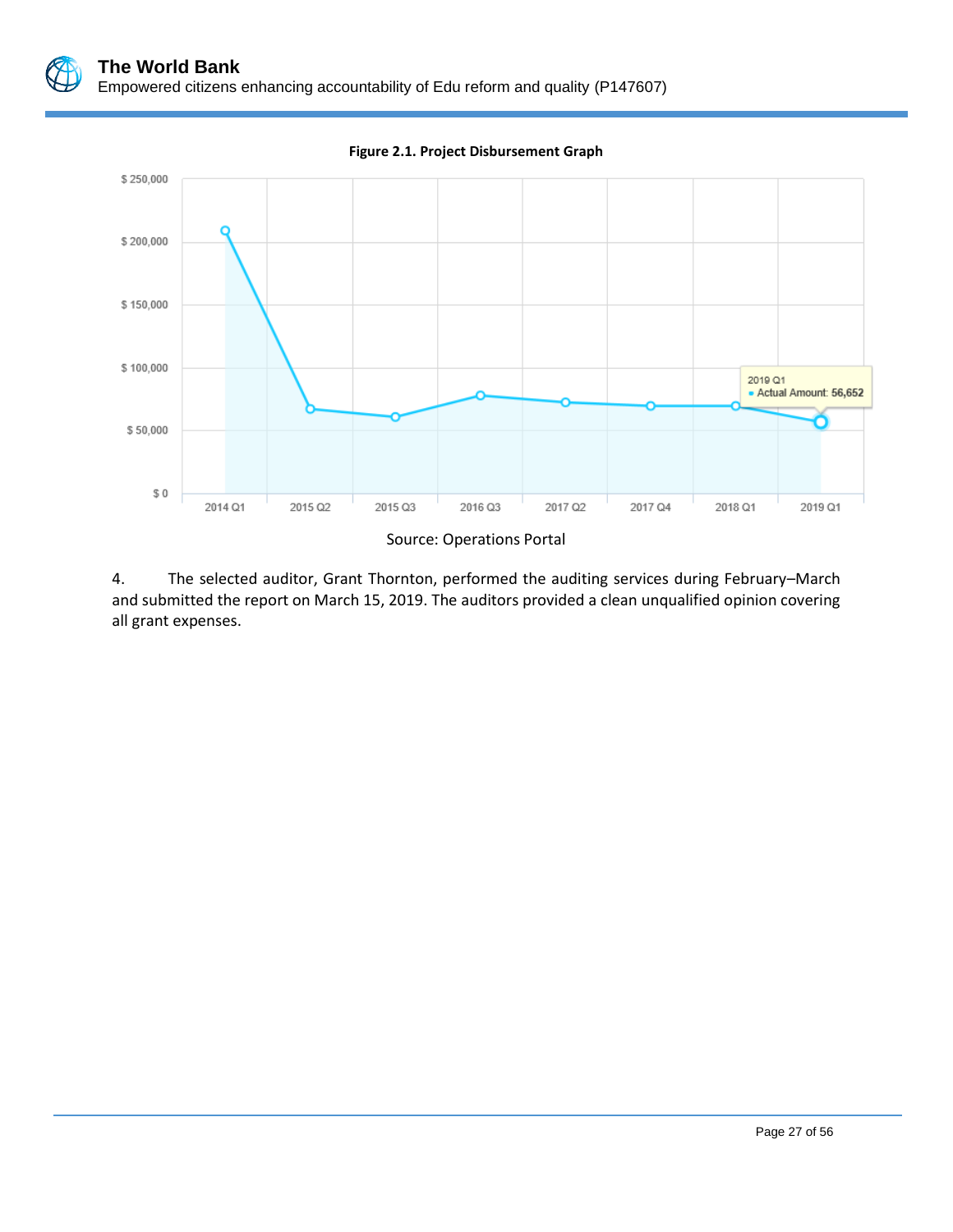

**Figure 2.1. Project Disbursement Graph**

Source: Operations Portal

4. The selected auditor, Grant Thornton, performed the auditing services during February–March and submitted the report on March 15, 2019. The auditors provided a clean unqualified opinion covering all grant expenses.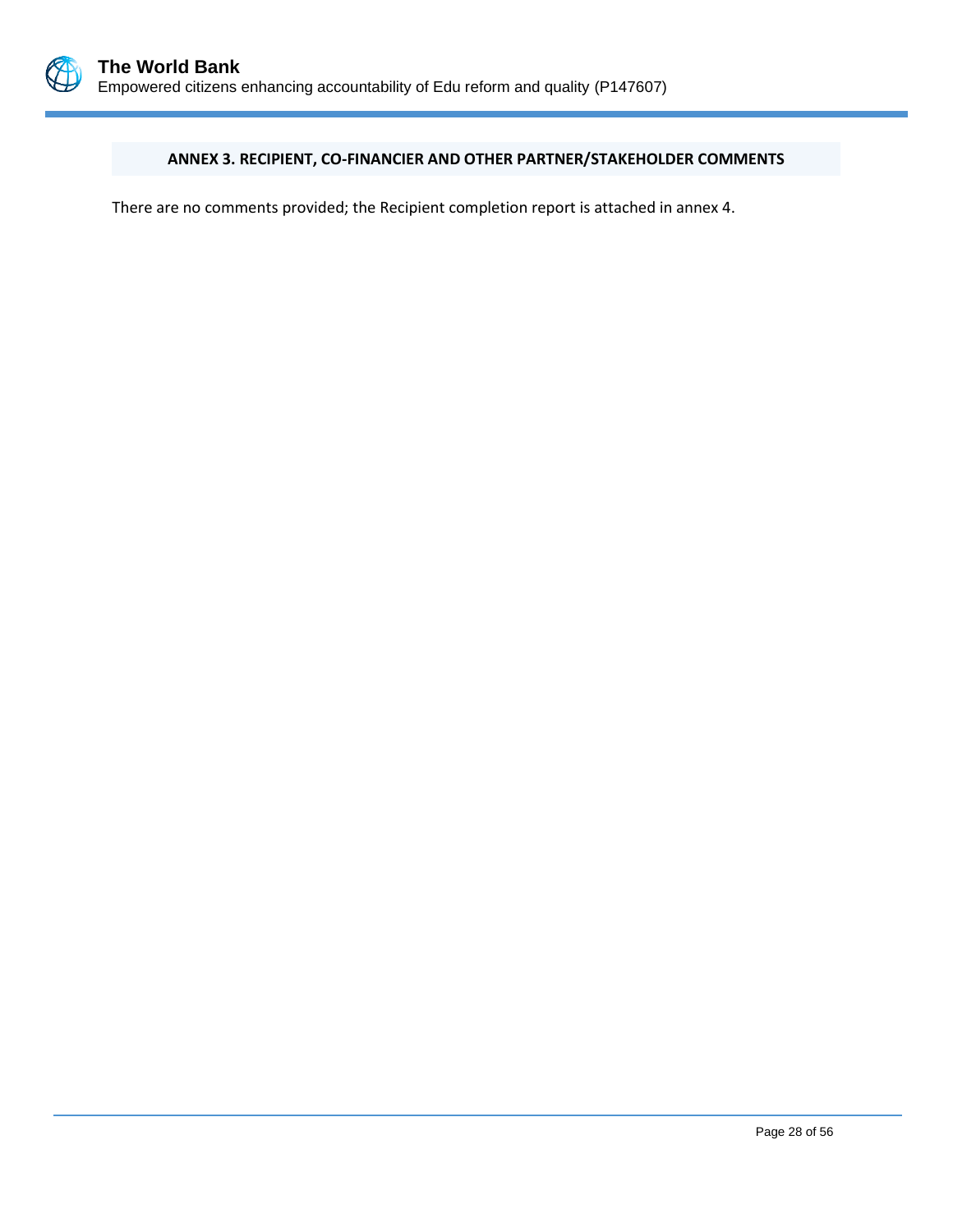

### <span id="page-31-0"></span>**ANNEX 3. RECIPIENT, CO-FINANCIER AND OTHER PARTNER/STAKEHOLDER COMMENTS**

There are no comments provided; the Recipient completion report is attached in annex 4.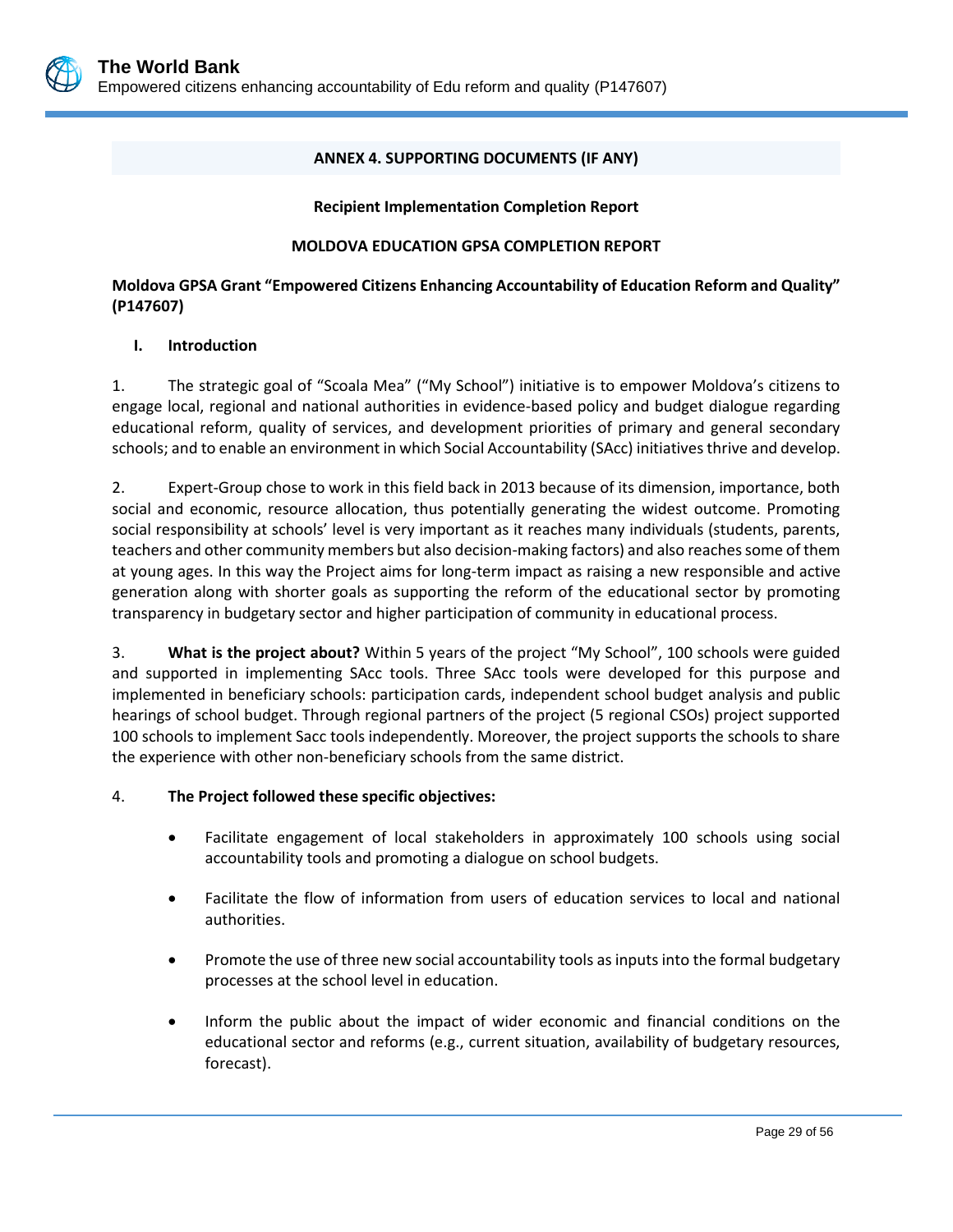### **ANNEX 4. SUPPORTING DOCUMENTS (IF ANY)**

#### **Recipient Implementation Completion Report**

### **MOLDOVA EDUCATION GPSA COMPLETION REPORT**

### <span id="page-32-0"></span>**Moldova GPSA Grant "Empowered Citizens Enhancing Accountability of Education Reform and Quality" (P147607)**

### **I. Introduction**

1. The strategic goal of "Scoala Mea" ("My School") initiative is to empower Moldova's citizens to engage local, regional and national authorities in evidence-based policy and budget dialogue regarding educational reform, quality of services, and development priorities of primary and general secondary schools; and to enable an environment in which Social Accountability (SAcc) initiatives thrive and develop.

2. Expert-Group chose to work in this field back in 2013 because of its dimension, importance, both social and economic, resource allocation, thus potentially generating the widest outcome. Promoting social responsibility at schools' level is very important as it reaches many individuals (students, parents, teachers and other community members but also decision-making factors) and also reaches some of them at young ages. In this way the Project aims for long-term impact as raising a new responsible and active generation along with shorter goals as supporting the reform of the educational sector by promoting transparency in budgetary sector and higher participation of community in educational process.

3. **What is the project about?** Within 5 years of the project "My School", 100 schools were guided and supported in implementing SAcc tools. Three SAcc tools were developed for this purpose and implemented in beneficiary schools: participation cards, independent school budget analysis and public hearings of school budget. Through regional partners of the project (5 regional CSOs) project supported 100 schools to implement Sacc tools independently. Moreover, the project supports the schools to share the experience with other non-beneficiary schools from the same district.

### 4. **The Project followed these specific objectives:**

- Facilitate engagement of local stakeholders in approximately 100 schools using social accountability tools and promoting a dialogue on school budgets.
- Facilitate the flow of information from users of education services to local and national authorities.
- Promote the use of three new social accountability tools as inputs into the formal budgetary processes at the school level in education.
- Inform the public about the impact of wider economic and financial conditions on the educational sector and reforms (e.g., current situation, availability of budgetary resources, forecast).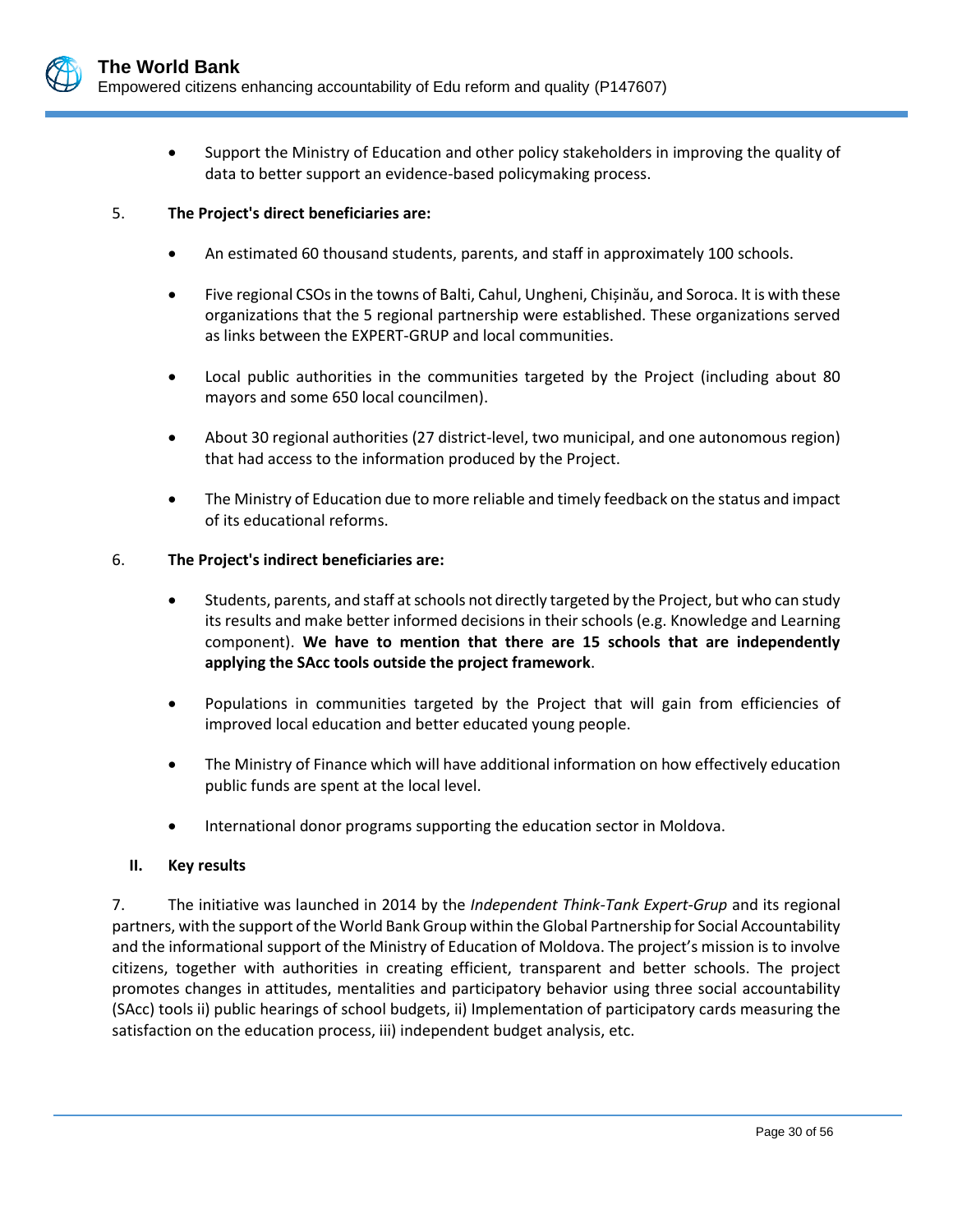

• Support the Ministry of Education and other policy stakeholders in improving the quality of data to better support an evidence-based policymaking process.

### 5. **The Project's direct beneficiaries are:**

- An estimated 60 thousand students, parents, and staff in approximately 100 schools.
- Five regional CSOs in the towns of Balti, Cahul, Ungheni, Chișinău, and Soroca. It is with these organizations that the 5 regional partnership were established. These organizations served as links between the EXPERT-GRUP and local communities.
- Local public authorities in the communities targeted by the Project (including about 80 mayors and some 650 local councilmen).
- About 30 regional authorities (27 district-level, two municipal, and one autonomous region) that had access to the information produced by the Project.
- The Ministry of Education due to more reliable and timely feedback on the status and impact of its educational reforms.

#### 6. **The Project's indirect beneficiaries are:**

- Students, parents, and staff at schools not directly targeted by the Project, but who can study its results and make better informed decisions in their schools (e.g. Knowledge and Learning component). **We have to mention that there are 15 schools that are independently applying the SAcc tools outside the project framework**.
- Populations in communities targeted by the Project that will gain from efficiencies of improved local education and better educated young people.
- The Ministry of Finance which will have additional information on how effectively education public funds are spent at the local level.
- International donor programs supporting the education sector in Moldova.

#### **II. Key results**

7. The initiative was launched in 2014 by the *[Independent Think-Tank Expert-Grup](http://www.expert-grup.org/ro/)* and its regional partners, with the support of the World Bank Group within the Global Partnership for Social Accountability and the informational support of the Ministry of Education of Moldova. The project's mission is to involve citizens, together with authorities in creating efficient, transparent and better schools. The project promotes changes in attitudes, mentalities and participatory behavior using three social accountability (SAcc) tools ii) public hearings of school budgets, ii) Implementation of participatory cards measuring the satisfaction on the education process, iii) independent budget analysis, etc.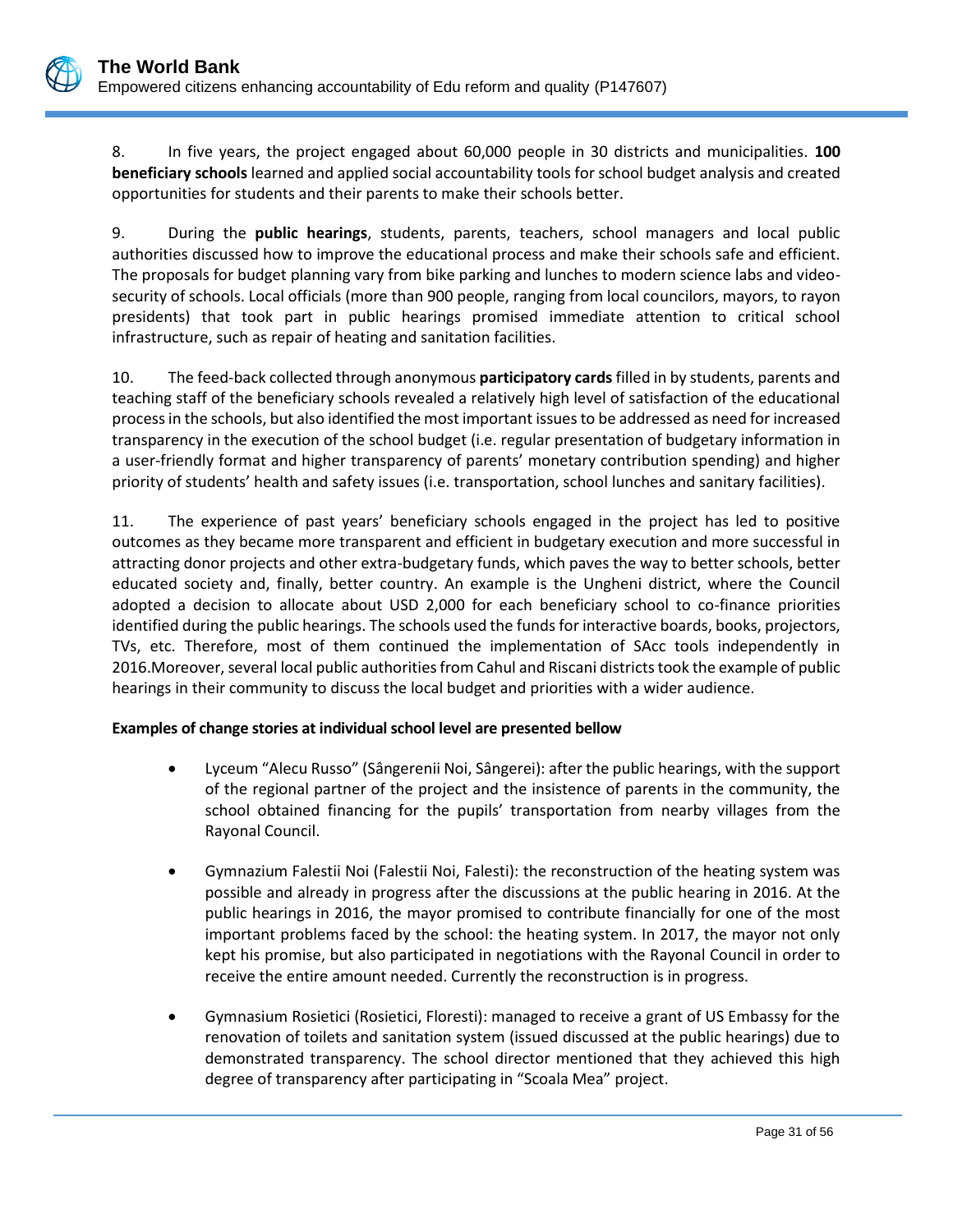8. In five years, the project engaged about 60,000 people in 30 districts and municipalities. **100 beneficiary schools** learned and applied social accountability tools for school budget analysis and created opportunities for students and their parents to make their schools better.

9. During the **public hearings**, students, parents, teachers, school managers and local public authorities discussed how to improve the educational process and make their schools safe and efficient. The proposals for budget planning vary from bike parking and lunches to modern science labs and videosecurity of schools. Local officials (more than 900 people, ranging from local councilors, mayors, to rayon presidents) that took part in public hearings promised immediate attention to critical school infrastructure, such as repair of heating and sanitation facilities.

10. The feed-back collected through anonymous **participatory cards**filled in by students, parents and teaching staff of the beneficiary schools revealed a relatively high level of satisfaction of the educational process in the schools, but also identified the most important issues to be addressed as need for increased transparency in the execution of the school budget (i.e. regular presentation of budgetary information in a user-friendly format and higher transparency of parents' monetary contribution spending) and higher priority of students' health and safety issues (i.e. transportation, school lunches and sanitary facilities).

11. The experience of past years' beneficiary schools engaged in the project has led to positive outcomes as they became more transparent and efficient in budgetary execution and more successful in attracting donor projects and other extra-budgetary funds, which paves the way to better schools, better educated society and, finally, better country. An example is the Ungheni district, where the Council adopted a decision to allocate about USD 2,000 for each beneficiary school to co-finance priorities identified during the public hearings. The schools used the funds for interactive boards, books, projectors, TVs, etc. Therefore, most of them continued the implementation of SAcc tools independently in 2016.Moreover, several local public authorities from Cahul and Riscani districts took the example of public hearings in their community to discuss the local budget and priorities with a wider audience.

### **Examples of change stories at individual school level are presented bellow**

- Lyceum "Alecu Russo" (Sângerenii Noi, Sângerei): after the public hearings, with the support of the regional partner of the project and the insistence of parents in the community, the school obtained financing for the pupils' transportation from nearby villages from the Rayonal Council.
- Gymnazium Falestii Noi (Falestii Noi, Falesti): the reconstruction of the heating system was possible and already in progress after the discussions at the public hearing in 2016. At the public hearings in 2016, the mayor promised to contribute financially for one of the most important problems faced by the school: the heating system. In 2017, the mayor not only kept his promise, but also participated in negotiations with the Rayonal Council in order to receive the entire amount needed. Currently the reconstruction is in progress.
- Gymnasium Rosietici (Rosietici, Floresti): managed to receive a grant of US Embassy for the renovation of toilets and sanitation system (issued discussed at the public hearings) due to demonstrated transparency. The school director mentioned that they achieved this high degree of transparency after participating in "Scoala Mea" project.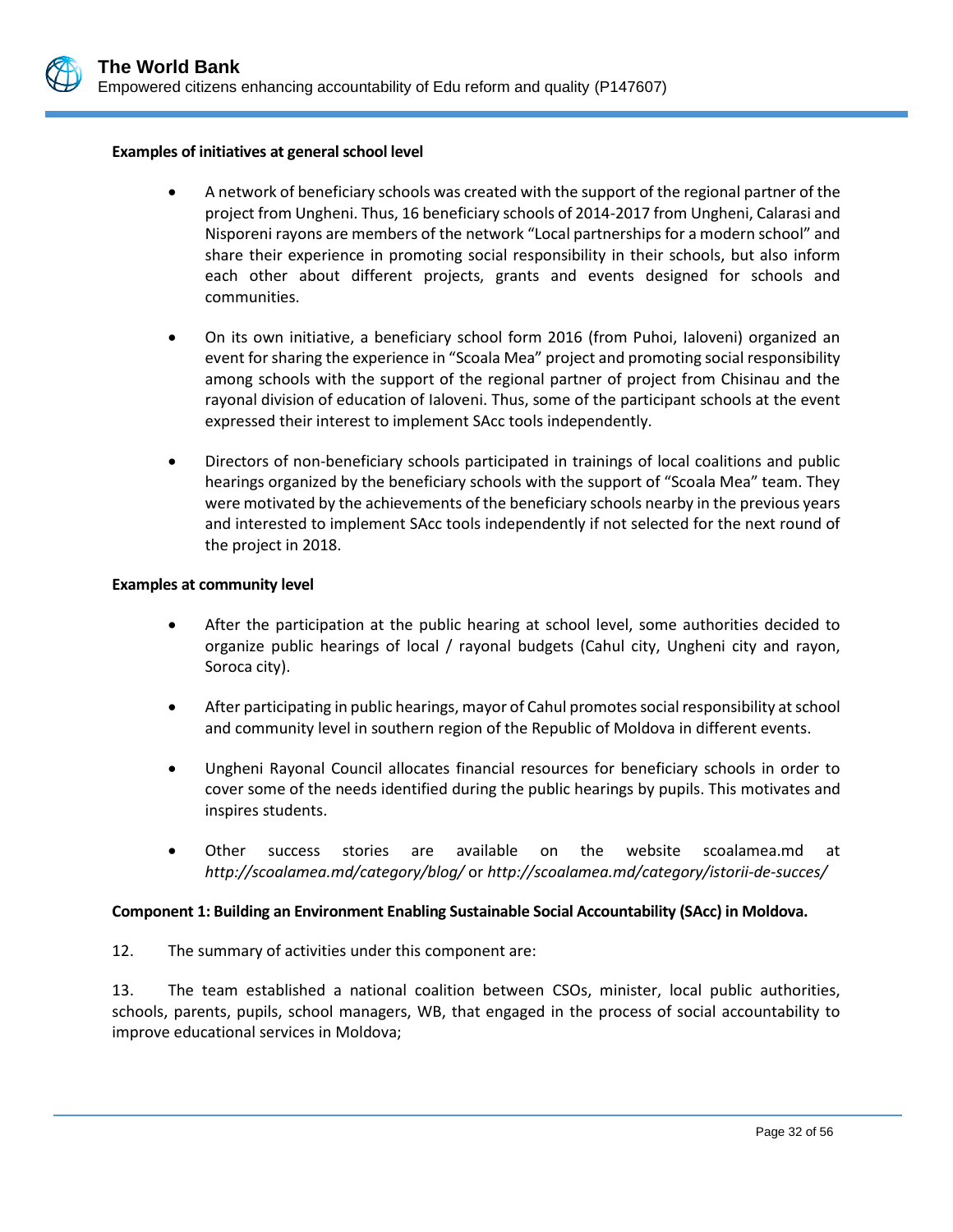

#### **Examples of initiatives at general school level**

- A network of beneficiary schools was created with the support of the regional partner of the project from Ungheni. Thus, 16 beneficiary schools of 2014-2017 from Ungheni, Calarasi and Nisporeni rayons are members of the network "Local partnerships for a modern school" and share their experience in promoting social responsibility in their schools, but also inform each other about different projects, grants and events designed for schools and communities.
- On its own initiative, a beneficiary school form 2016 (from Puhoi, Ialoveni) organized an event for sharing the experience in "Scoala Mea" project and promoting social responsibility among schools with the support of the regional partner of project from Chisinau and the rayonal division of education of Ialoveni. Thus, some of the participant schools at the event expressed their interest to implement SAcc tools independently.
- Directors of non-beneficiary schools participated in trainings of local coalitions and public hearings organized by the beneficiary schools with the support of "Scoala Mea" team. They were motivated by the achievements of the beneficiary schools nearby in the previous years and interested to implement SAcc tools independently if not selected for the next round of the project in 2018.

#### **Examples at community level**

- After the participation at the public hearing at school level, some authorities decided to organize public hearings of local / rayonal budgets (Cahul city, Ungheni city and rayon, Soroca city).
- After participating in public hearings, mayor of Cahul promotes social responsibility at school and community level in southern region of the Republic of Moldova in different events.
- Ungheni Rayonal Council allocates financial resources for beneficiary schools in order to cover some of the needs identified during the public hearings by pupils. This motivates and inspires students.
- Other success stories are available on the website scoalamea.md at *<http://scoalamea.md/category/blog/>* or *<http://scoalamea.md/category/istorii-de-succes/>*

#### **Component 1: Building an Environment Enabling Sustainable Social Accountability (SAcc) in Moldova.**

12. The summary of activities under this component are:

13. The team established a national coalition between CSOs, minister, local public authorities, schools, parents, pupils, school managers, WB, that engaged in the process of social accountability to improve educational services in Moldova;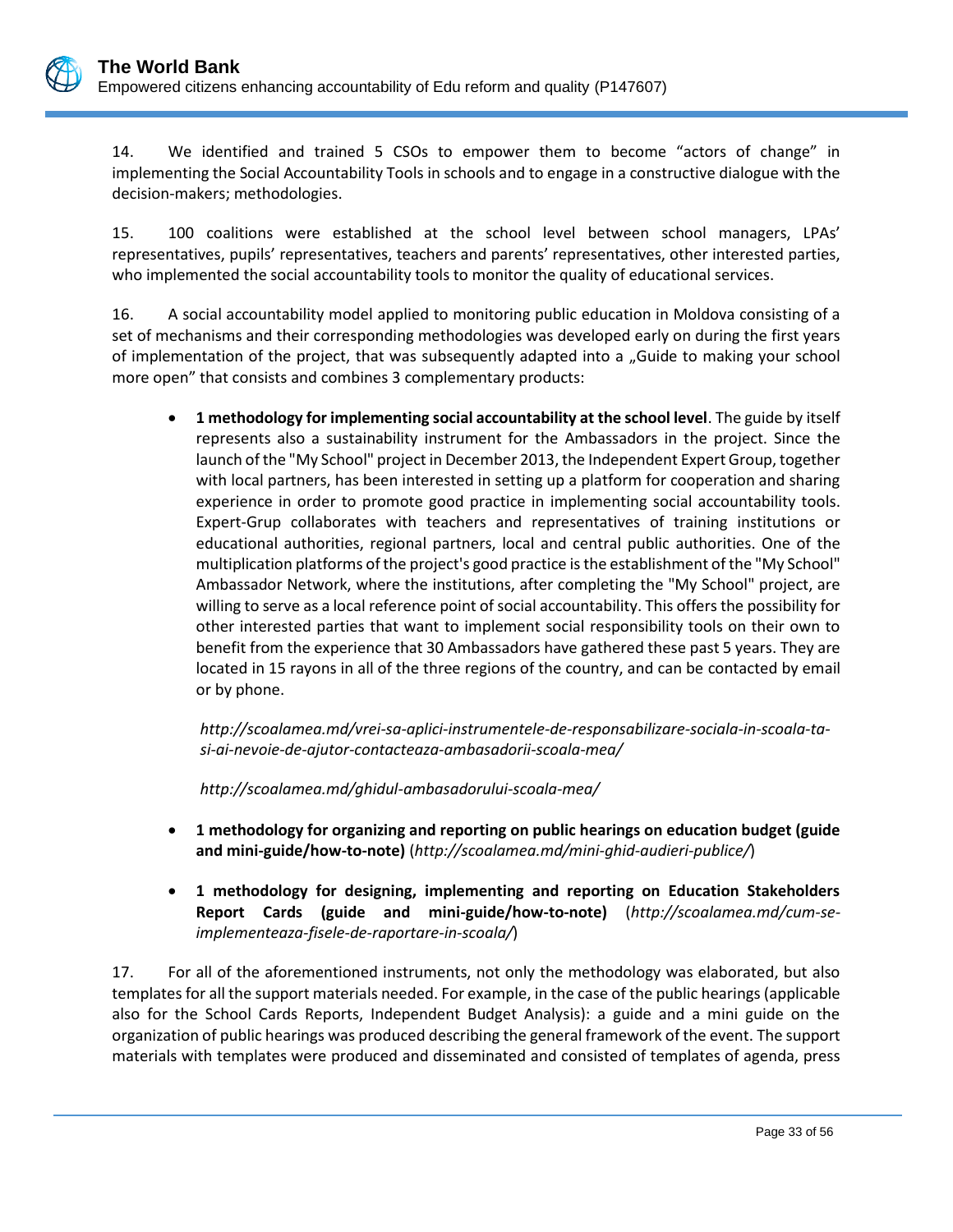14. We identified and trained 5 CSOs to empower them to become "actors of change" in implementing the Social Accountability Tools in schools and to engage in a constructive dialogue with the decision-makers; methodologies.

15. 100 coalitions were established at the school level between school managers, LPAs' representatives, pupils' representatives, teachers and parents' representatives, other interested parties, who implemented the social accountability tools to monitor the quality of educational services.

16. A social accountability model applied to monitoring public education in Moldova consisting of a set of mechanisms and their corresponding methodologies was developed early on during the first years of implementation of the project, that was subsequently adapted into a "Guide to making your school more open" that consists and combines 3 complementary products:

• **1 methodology for implementing social accountability at the school level**. The guide by itself represents also a sustainability instrument for the Ambassadors in the project. Since the launch of the "My School" project in December 2013, the Independent Expert Group, together with local partners, has been interested in setting up a platform for cooperation and sharing experience in order to promote good practice in implementing social accountability tools. Expert-Grup collaborates with teachers and representatives of training institutions or educational authorities, regional partners, local and central public authorities. One of the multiplication platforms of the project's good practice is the establishment of the "My School" Ambassador Network, where the institutions, after completing the "My School" project, are willing to serve as a local reference point of social accountability. This offers the possibility for other interested parties that want to implement social responsibility tools on their own to benefit from the experience that 30 Ambassadors have gathered these past 5 years. They are located in 15 rayons in all of the three regions of the country, and can be contacted by email or by phone.

*[http://scoalamea.md/vrei-sa-aplici-instrumentele-de-responsabilizare-sociala-in-scoala-ta](http://scoalamea.md/vrei-sa-aplici-instrumentele-de-responsabilizare-sociala-in-scoala-ta-si-ai-nevoie-de-ajutor-contacteaza-ambasadorii-scoala-mea/)[si-ai-nevoie-de-ajutor-contacteaza-ambasadorii-scoala-mea/](http://scoalamea.md/vrei-sa-aplici-instrumentele-de-responsabilizare-sociala-in-scoala-ta-si-ai-nevoie-de-ajutor-contacteaza-ambasadorii-scoala-mea/)*

*<http://scoalamea.md/ghidul-ambasadorului-scoala-mea/>*

- **1 methodology for organizing and reporting on public hearings on education budget (guide and mini-guide/how-to-note)** (*<http://scoalamea.md/mini-ghid-audieri-publice/>*)
- **1 methodology for designing, implementing and reporting on Education Stakeholders Report Cards (guide and mini-guide/how-to-note)** (*[http://scoalamea.md/cum-se](http://scoalamea.md/cum-se-implementeaza-fisele-de-raportare-in-scoala/)[implementeaza-fisele-de-raportare-in-scoala/](http://scoalamea.md/cum-se-implementeaza-fisele-de-raportare-in-scoala/)*)

17. For all of the aforementioned instruments, not only the methodology was elaborated, but also templates for all the support materials needed. For example, in the case of the public hearings (applicable also for the School Cards Reports, Independent Budget Analysis): a guide and a mini guide on the organization of public hearings was produced describing the general framework of the event. The support materials with templates were produced and disseminated and consisted of templates of agenda, press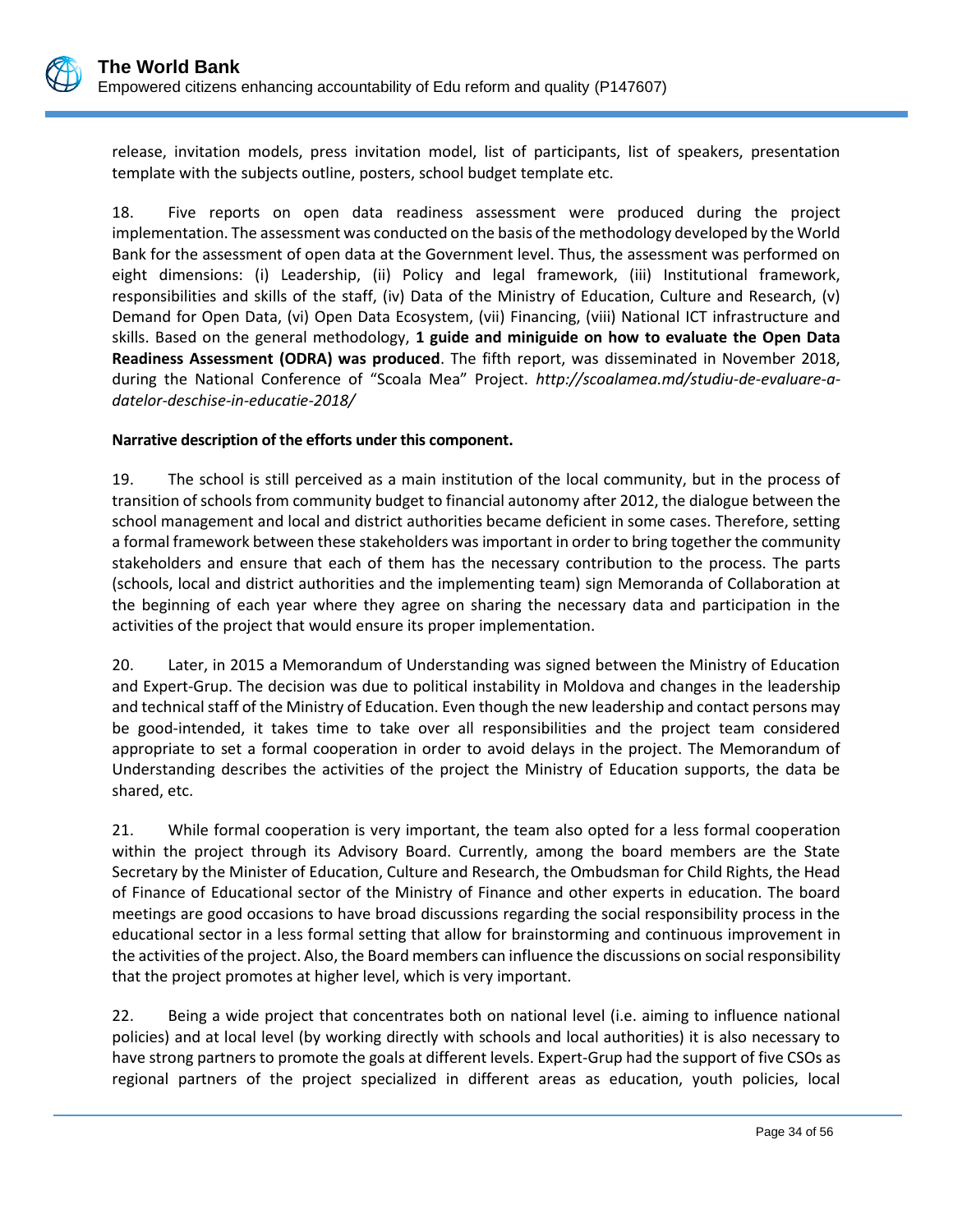release, invitation models, press invitation model, list of participants, list of speakers, presentation template with the subjects outline, posters, school budget template etc.

18. Five reports on open data readiness assessment were produced during the project implementation. The assessment was conducted on the basis of the methodology developed by the World Bank for the assessment of open data at the Government level. Thus, the assessment was performed on eight dimensions: (i) Leadership, (ii) Policy and legal framework, (iii) Institutional framework, responsibilities and skills of the staff, (iv) Data of the Ministry of Education, Culture and Research, (v) Demand for Open Data, (vi) Open Data Ecosystem, (vii) Financing, (viii) National ICT infrastructure and skills. Based on the general methodology, **1 guide and miniguide on how to evaluate the Open Data Readiness Assessment (ODRA) was produced**. The fifth report, was disseminated in November 2018, during the National Conference of "Scoala Mea" Project. *[http://scoalamea.md/studiu-de-evaluare-a](http://scoalamea.md/studiu-de-evaluare-a-datelor-deschise-in-educatie-2018/)[datelor-deschise-in-educatie-2018/](http://scoalamea.md/studiu-de-evaluare-a-datelor-deschise-in-educatie-2018/)*

### **Narrative description of the efforts under this component.**

19. The school is still perceived as a main institution of the local community, but in the process of transition of schools from community budget to financial autonomy after 2012, the dialogue between the school management and local and district authorities became deficient in some cases. Therefore, setting a formal framework between these stakeholders was important in order to bring together the community stakeholders and ensure that each of them has the necessary contribution to the process. The parts (schools, local and district authorities and the implementing team) sign Memoranda of Collaboration at the beginning of each year where they agree on sharing the necessary data and participation in the activities of the project that would ensure its proper implementation.

20. Later, in 2015 a Memorandum of Understanding was signed between the Ministry of Education and Expert-Grup. The decision was due to political instability in Moldova and changes in the leadership and technical staff of the Ministry of Education. Even though the new leadership and contact persons may be good-intended, it takes time to take over all responsibilities and the project team considered appropriate to set a formal cooperation in order to avoid delays in the project. The Memorandum of Understanding describes the activities of the project the Ministry of Education supports, the data be shared, etc.

21. While formal cooperation is very important, the team also opted for a less formal cooperation within the project through its Advisory Board. Currently, among the board members are the State Secretary by the Minister of Education, Culture and Research, the Ombudsman for Child Rights, the Head of Finance of Educational sector of the Ministry of Finance and other experts in education. The board meetings are good occasions to have broad discussions regarding the social responsibility process in the educational sector in a less formal setting that allow for brainstorming and continuous improvement in the activities of the project. Also, the Board members can influence the discussions on social responsibility that the project promotes at higher level, which is very important.

22. Being a wide project that concentrates both on national level (i.e. aiming to influence national policies) and at local level (by working directly with schools and local authorities) it is also necessary to have strong partners to promote the goals at different levels. Expert-Grup had the support of five CSOs as regional partners of the project specialized in different areas as education, youth policies, local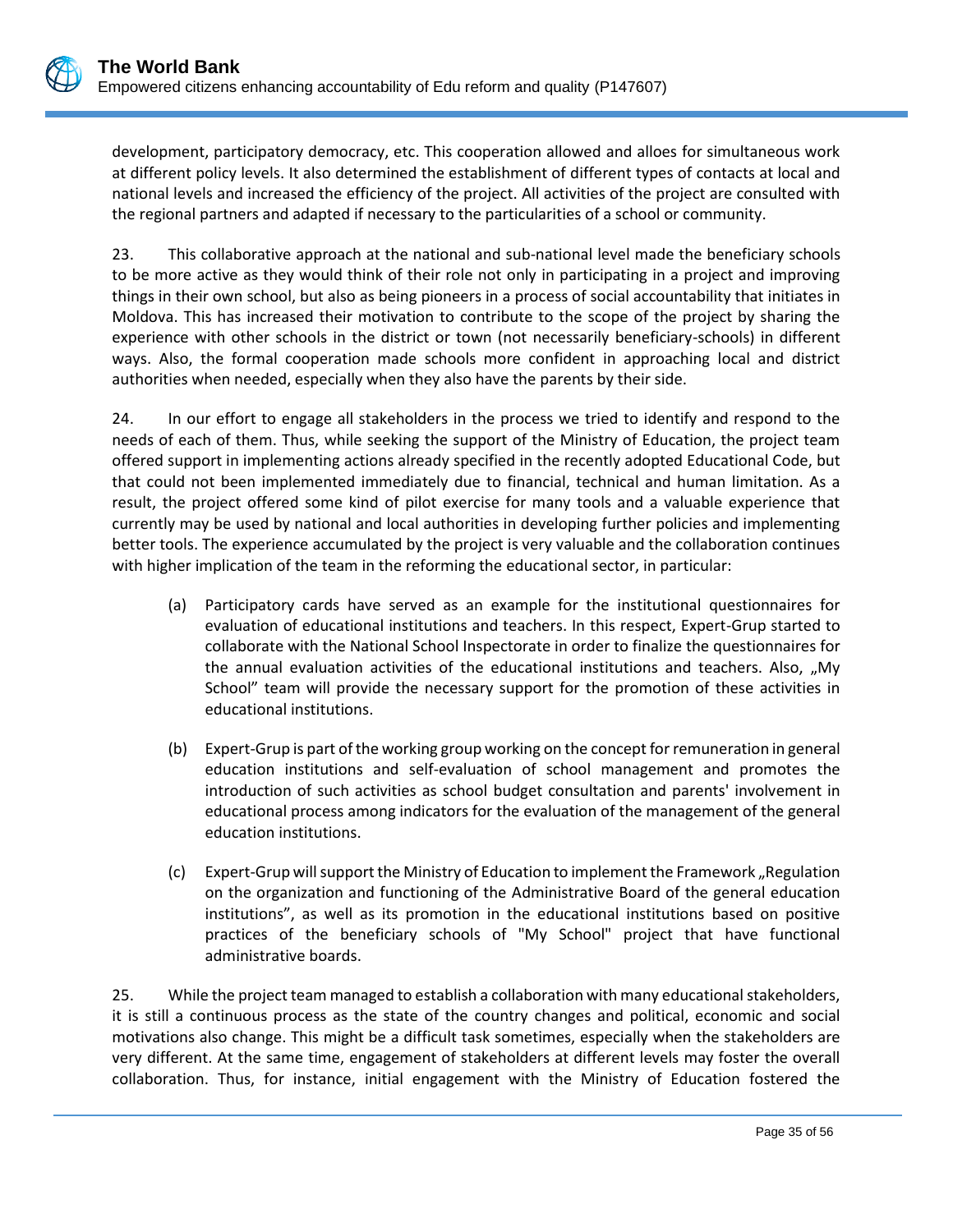development, participatory democracy, etc. This cooperation allowed and alloes for simultaneous work at different policy levels. It also determined the establishment of different types of contacts at local and national levels and increased the efficiency of the project. All activities of the project are consulted with the regional partners and adapted if necessary to the particularities of a school or community.

23. This collaborative approach at the national and sub-national level made the beneficiary schools to be more active as they would think of their role not only in participating in a project and improving things in their own school, but also as being pioneers in a process of social accountability that initiates in Moldova. This has increased their motivation to contribute to the scope of the project by sharing the experience with other schools in the district or town (not necessarily beneficiary-schools) in different ways. Also, the formal cooperation made schools more confident in approaching local and district authorities when needed, especially when they also have the parents by their side.

24. In our effort to engage all stakeholders in the process we tried to identify and respond to the needs of each of them. Thus, while seeking the support of the Ministry of Education, the project team offered support in implementing actions already specified in the recently adopted Educational Code, but that could not been implemented immediately due to financial, technical and human limitation. As a result, the project offered some kind of pilot exercise for many tools and a valuable experience that currently may be used by national and local authorities in developing further policies and implementing better tools. The experience accumulated by the project is very valuable and the collaboration continues with higher implication of the team in the reforming the educational sector, in particular:

- (a) Participatory cards have served as an example for the institutional questionnaires for evaluation of educational institutions and teachers. In this respect, Expert-Grup started to collaborate with the National School Inspectorate in order to finalize the questionnaires for the annual evaluation activities of the educational institutions and teachers. Also, "My School" team will provide the necessary support for the promotion of these activities in educational institutions.
- (b) Expert-Grup is part of the working group working on the concept for remuneration in general education institutions and self-evaluation of school management and promotes the introduction of such activities as school budget consultation and parents' involvement in educational process among indicators for the evaluation of the management of the general education institutions.
- (c) Expert-Grup will support the Ministry of Education to implement the Framework "Regulation on the organization and functioning of the Administrative Board of the general education institutions", as well as its promotion in the educational institutions based on positive practices of the beneficiary schools of "My School" project that have functional administrative boards.

25. While the project team managed to establish a collaboration with many educational stakeholders, it is still a continuous process as the state of the country changes and political, economic and social motivations also change. This might be a difficult task sometimes, especially when the stakeholders are very different. At the same time, engagement of stakeholders at different levels may foster the overall collaboration. Thus, for instance, initial engagement with the Ministry of Education fostered the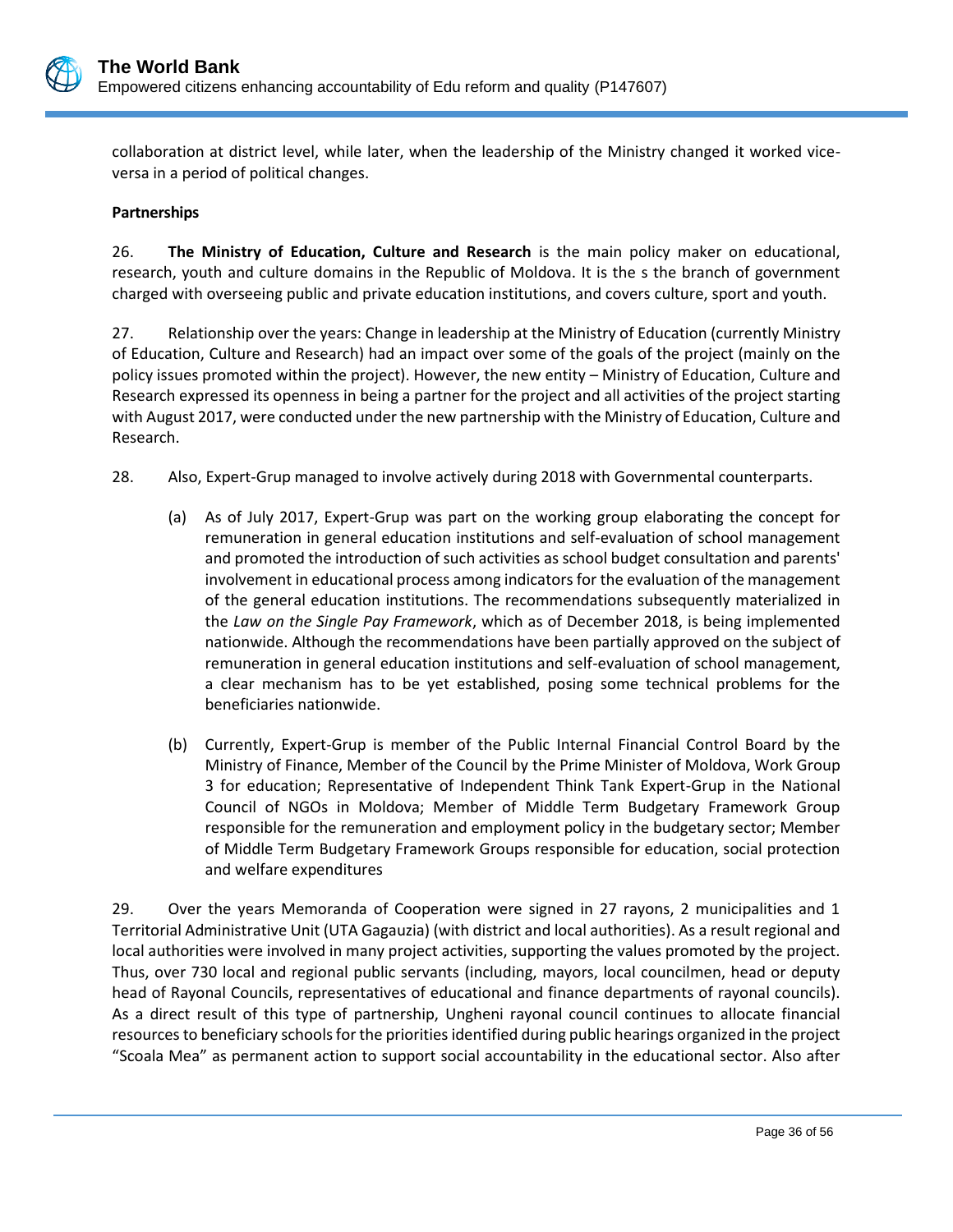

collaboration at district level, while later, when the leadership of the Ministry changed it worked viceversa in a period of political changes.

### **Partnerships**

26. **The Ministry of Education, Culture and Research** is the main policy maker on educational, research, youth and culture domains in the Republic of Moldova. It is the s the branch of government charged with overseeing public and private education institutions, and covers culture, sport and youth.

27. Relationship over the years: Change in leadership at the Ministry of Education (currently Ministry of Education, Culture and Research) had an impact over some of the goals of the project (mainly on the policy issues promoted within the project). However, the new entity – Ministry of Education, Culture and Research expressed its openness in being a partner for the project and all activities of the project starting with August 2017, were conducted under the new partnership with the Ministry of Education, Culture and Research.

- 28. Also, Expert-Grup managed to involve actively during 2018 with Governmental counterparts.
	- (a) As of July 2017, Expert-Grup was part on the working group elaborating the concept for remuneration in general education institutions and self-evaluation of school management and promoted the introduction of such activities as school budget consultation and parents' involvement in educational process among indicators for the evaluation of the management of the general education institutions. The recommendations subsequently materialized in the *[Law on the Single Pay Framework](http://lex.justice.md/md/378184/)*, which as of December 2018, is being implemented nationwide. Although the recommendations have been partially approved on the subject of remuneration in general education institutions and self-evaluation of school management, a clear mechanism has to be yet established, posing some technical problems for the beneficiaries nationwide.
	- (b) Currently, Expert-Grup is member of the Public Internal Financial Control Board by the Ministry of Finance, Member of the Council by the Prime Minister of Moldova, Work Group 3 for education; Representative of Independent Think Tank Expert-Grup in the National Council of NGOs in Moldova; Member of Middle Term Budgetary Framework Group responsible for the remuneration and employment policy in the budgetary sector; Member of Middle Term Budgetary Framework Groups responsible for education, social protection and welfare expenditures

29. Over the years Memoranda of Cooperation were signed in 27 rayons, 2 municipalities and 1 Territorial Administrative Unit (UTA Gagauzia) (with district and local authorities). As a result regional and local authorities were involved in many project activities, supporting the values promoted by the project. Thus, over 730 local and regional public servants (including, mayors, local councilmen, head or deputy head of Rayonal Councils, representatives of educational and finance departments of rayonal councils). As a direct result of this type of partnership, Ungheni rayonal council continues to allocate financial resources to beneficiary schools for the priorities identified during public hearings organized in the project "Scoala Mea" as permanent action to support social accountability in the educational sector. Also after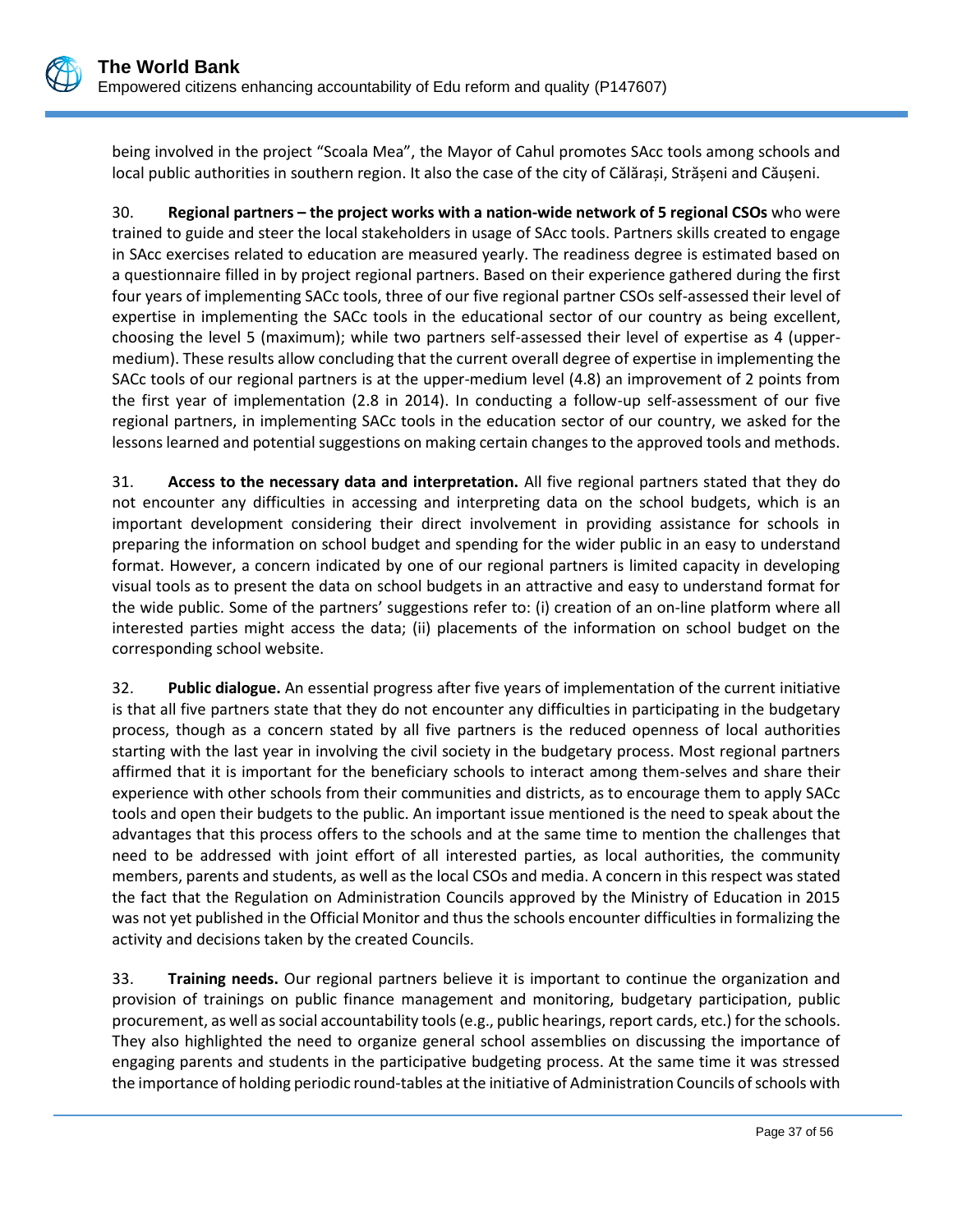

being involved in the project "Scoala Mea", the Mayor of Cahul promotes SAcc tools among schools and local public authorities in southern region. It also the case of the city of Călărași, Strășeni and Căușeni.

30. **Regional partners – the project works with a nation-wide network of 5 regional CSOs** who were trained to guide and steer the local stakeholders in usage of SAcc tools. Partners skills created to engage in SAcc exercises related to education are measured yearly. The readiness degree is estimated based on a questionnaire filled in by project regional partners. Based on their experience gathered during the first four years of implementing SACc tools, three of our five regional partner CSOs self-assessed their level of expertise in implementing the SACc tools in the educational sector of our country as being excellent, choosing the level 5 (maximum); while two partners self-assessed their level of expertise as 4 (uppermedium). These results allow concluding that the current overall degree of expertise in implementing the SACc tools of our regional partners is at the upper-medium level (4.8) an improvement of 2 points from the first year of implementation (2.8 in 2014). In conducting a follow-up self-assessment of our five regional partners, in implementing SACc tools in the education sector of our country, we asked for the lessons learned and potential suggestions on making certain changes to the approved tools and methods.

31. **Access to the necessary data and interpretation.** All five regional partners stated that they do not encounter any difficulties in accessing and interpreting data on the school budgets, which is an important development considering their direct involvement in providing assistance for schools in preparing the information on school budget and spending for the wider public in an easy to understand format. However, a concern indicated by one of our regional partners is limited capacity in developing visual tools as to present the data on school budgets in an attractive and easy to understand format for the wide public. Some of the partners' suggestions refer to: (i) creation of an on-line platform where all interested parties might access the data; (ii) placements of the information on school budget on the corresponding school website.

32. **Public dialogue.** An essential progress after five years of implementation of the current initiative is that all five partners state that they do not encounter any difficulties in participating in the budgetary process, though as a concern stated by all five partners is the reduced openness of local authorities starting with the last year in involving the civil society in the budgetary process. Most regional partners affirmed that it is important for the beneficiary schools to interact among them-selves and share their experience with other schools from their communities and districts, as to encourage them to apply SACc tools and open their budgets to the public. An important issue mentioned is the need to speak about the advantages that this process offers to the schools and at the same time to mention the challenges that need to be addressed with joint effort of all interested parties, as local authorities, the community members, parents and students, as well as the local CSOs and media. A concern in this respect was stated the fact that the Regulation on Administration Councils approved by the Ministry of Education in 2015 was not yet published in the Official Monitor and thus the schools encounter difficulties in formalizing the activity and decisions taken by the created Councils.

33. **Training needs.** Our regional partners believe it is important to continue the organization and provision of trainings on public finance management and monitoring, budgetary participation, public procurement, as well as social accountability tools (e.g., public hearings, report cards, etc.) for the schools. They also highlighted the need to organize general school assemblies on discussing the importance of engaging parents and students in the participative budgeting process. At the same time it was stressed the importance of holding periodic round-tables at the initiative of Administration Councils of schools with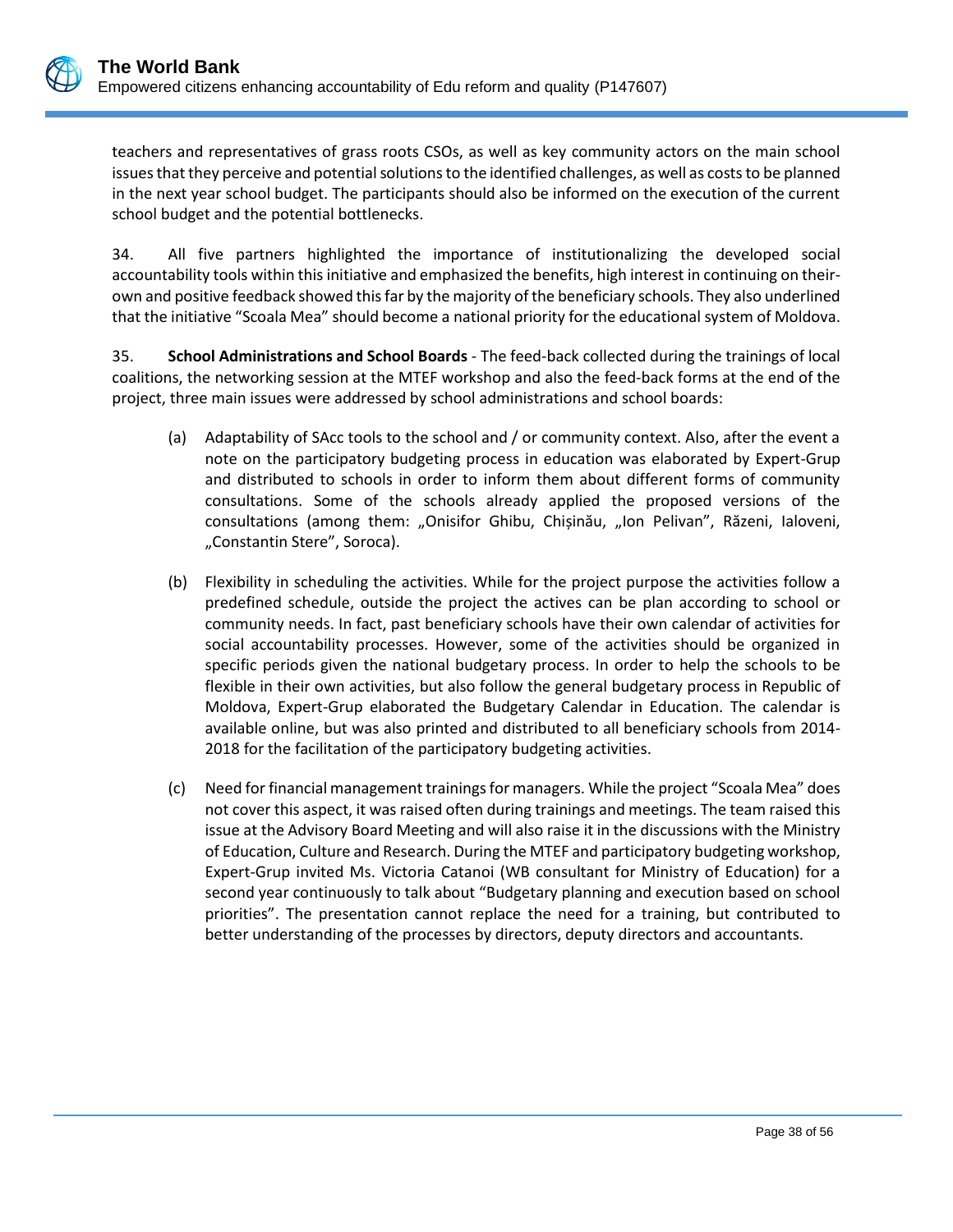teachers and representatives of grass roots CSOs, as well as key community actors on the main school issues that they perceive and potential solutions to the identified challenges, as well as costs to be planned in the next year school budget. The participants should also be informed on the execution of the current school budget and the potential bottlenecks.

34. All five partners highlighted the importance of institutionalizing the developed social accountability tools within this initiative and emphasized the benefits, high interest in continuing on theirown and positive feedback showed this far by the majority of the beneficiary schools. They also underlined that the initiative "Scoala Mea" should become a national priority for the educational system of Moldova.

35. **School Administrations and School Boards** - The feed-back collected during the trainings of local coalitions, the networking session at the MTEF workshop and also the feed-back forms at the end of the project, three main issues were addressed by school administrations and school boards:

- (a) Adaptability of SAcc tools to the school and / or community context. Also, after the event a note on the participatory budgeting process in education was elaborated by Expert-Grup and distributed to schools in order to inform them about different forms of community consultations. Some of the schools already applied the proposed versions of the consultations (among them: "Onisifor Ghibu, Chișinău, "Ion Pelivan", Răzeni, Ialoveni, "Constantin Stere", Soroca).
- (b) Flexibility in scheduling the activities. While for the project purpose the activities follow a predefined schedule, outside the project the actives can be plan according to school or community needs. In fact, past beneficiary schools have their own calendar of activities for social accountability processes. However, some of the activities should be organized in specific periods given the national budgetary process. In order to help the schools to be flexible in their own activities, but also follow the general budgetary process in Republic of Moldova, Expert-Grup elaborated the Budgetary Calendar in Education. The calendar is available online, but was also printed and distributed to all beneficiary schools from 2014- 2018 for the facilitation of the participatory budgeting activities.
- (c) Need for financial management trainings for managers. While the project "Scoala Mea" does not cover this aspect, it was raised often during trainings and meetings. The team raised this issue at the Advisory Board Meeting and will also raise it in the discussions with the Ministry of Education, Culture and Research. During the MTEF and participatory budgeting workshop, Expert-Grup invited Ms. Victoria Catanoi (WB consultant for Ministry of Education) for a second year continuously to talk about "Budgetary planning and execution based on school priorities". The presentation cannot replace the need for a training, but contributed to better understanding of the processes by directors, deputy directors and accountants.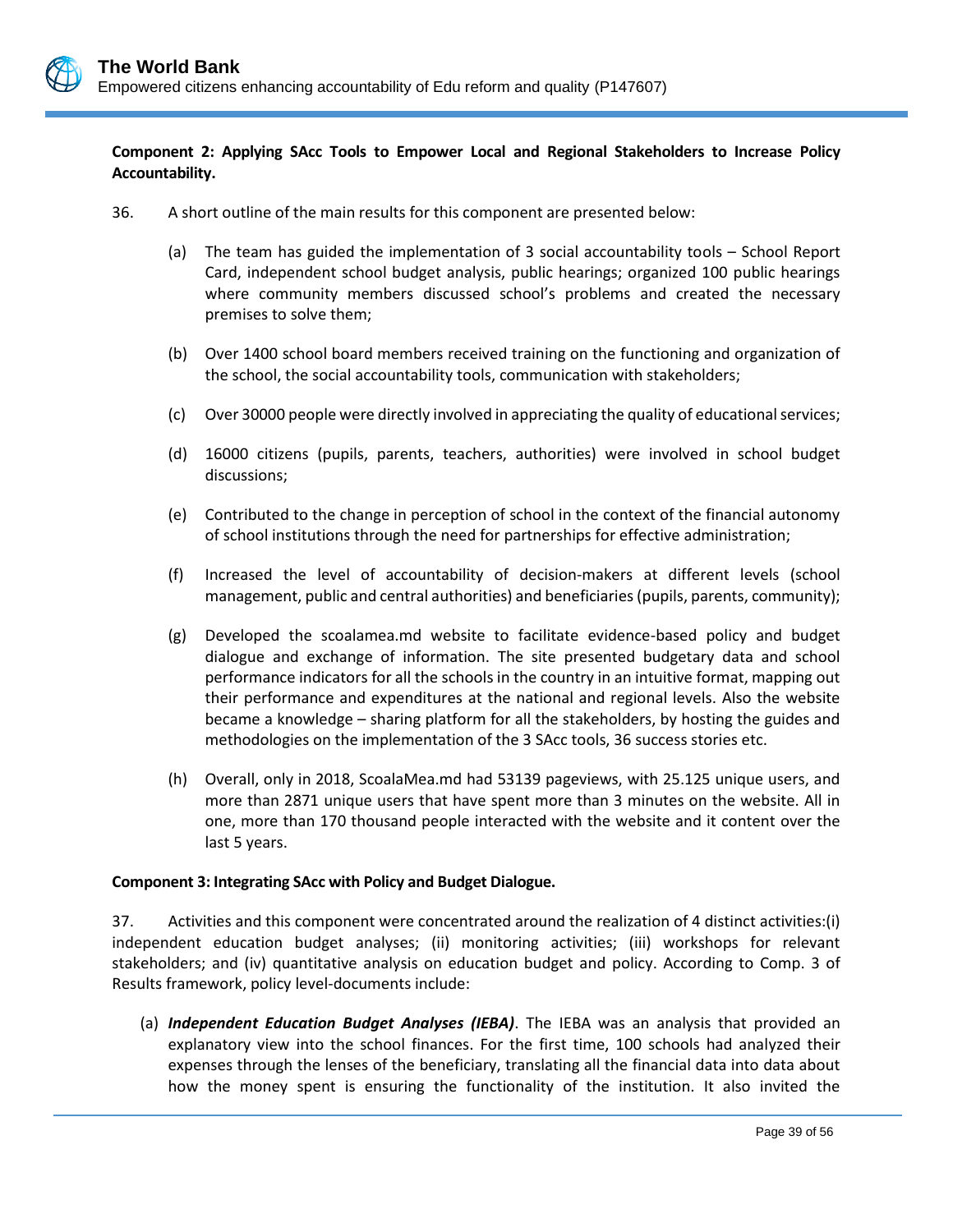

### **Component 2: Applying SAcc Tools to Empower Local and Regional Stakeholders to Increase Policy Accountability.**

- 36. A short outline of the main results for this component are presented below:
	- (a) The team has guided the implementation of 3 social accountability tools School Report Card, independent school budget analysis, public hearings; organized 100 public hearings where community members discussed school's problems and created the necessary premises to solve them;
	- (b) Over 1400 school board members received training on the functioning and organization of the school, the social accountability tools, communication with stakeholders;
	- (c) Over 30000 people were directly involved in appreciating the quality of educational services;
	- (d) 16000 citizens (pupils, parents, teachers, authorities) were involved in school budget discussions;
	- (e) Contributed to the change in perception of school in the context of the financial autonomy of school institutions through the need for partnerships for effective administration;
	- (f) Increased the level of accountability of decision-makers at different levels (school management, public and central authorities) and beneficiaries (pupils, parents, community);
	- (g) Developed the scoalamea.md website to facilitate evidence-based policy and budget dialogue and exchange of information. The site presented budgetary data and school performance indicators for all the schools in the country in an intuitive format, mapping out their performance and expenditures at the national and regional levels. Also the website became a knowledge – sharing platform for all the stakeholders, by hosting the guides and methodologies on the implementation of the 3 SAcc tools, 36 success stories etc.
	- (h) Overall, only in 2018, ScoalaMea.md had 53139 pageviews, with 25.125 unique users, and more than 2871 unique users that have spent more than 3 minutes on the website. All in one, more than 170 thousand people interacted with the website and it content over the last 5 years.

### **Component 3: Integrating SAcc with Policy and Budget Dialogue.**

37. Activities and this component were concentrated around the realization of 4 distinct activities:(i) independent education budget analyses; (ii) monitoring activities; (iii) workshops for relevant stakeholders; and (iv) quantitative analysis on education budget and policy. According to Comp. 3 of Results framework, policy level-documents include:

(a) *Independent Education Budget Analyses (IEBA)*. The IEBA was an analysis that provided an explanatory view into the school finances. For the first time, 100 schools had analyzed their expenses through the lenses of the beneficiary, translating all the financial data into data about how the money spent is ensuring the functionality of the institution. It also invited the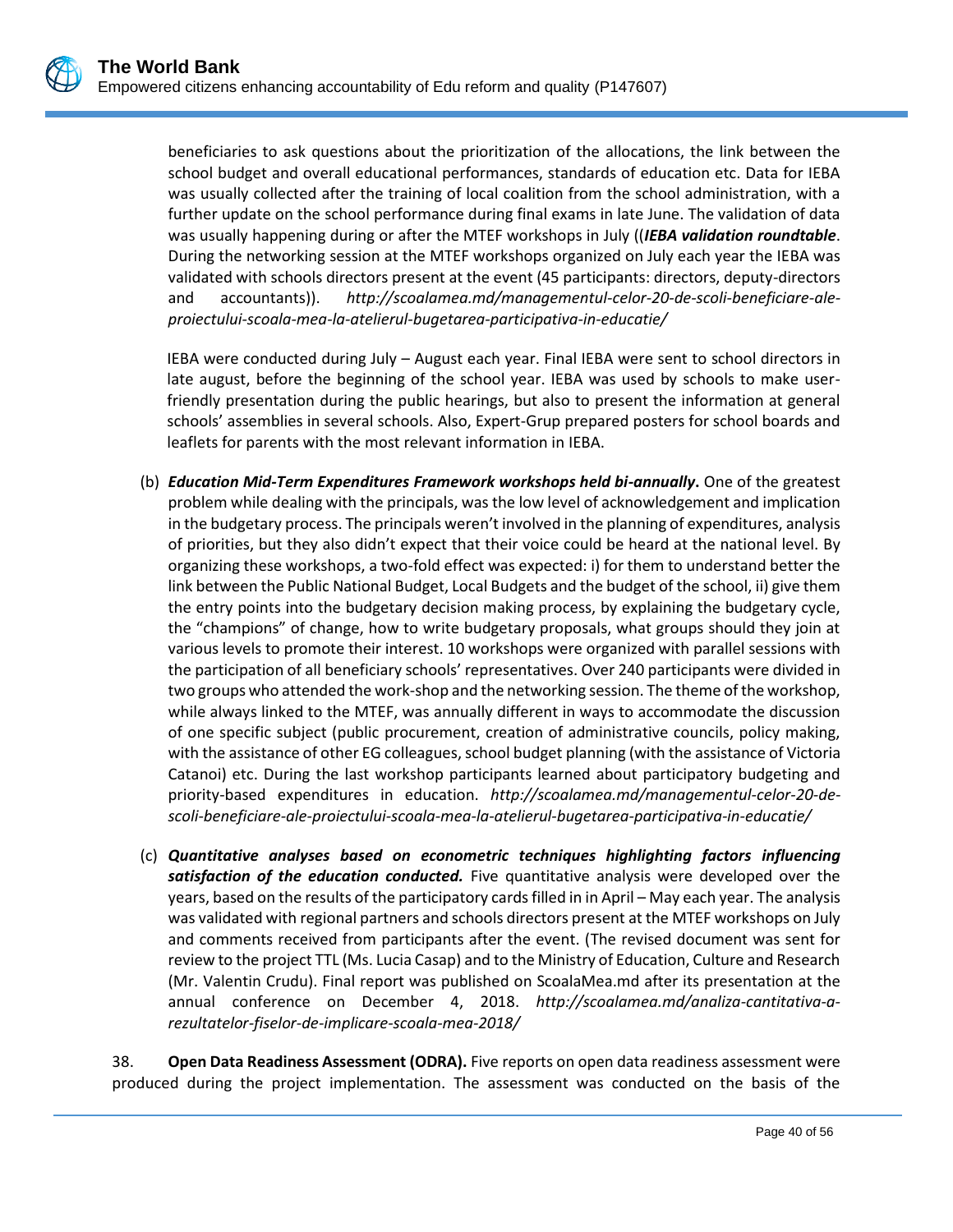beneficiaries to ask questions about the prioritization of the allocations, the link between the school budget and overall educational performances, standards of education etc. Data for IEBA was usually collected after the training of local coalition from the school administration, with a further update on the school performance during final exams in late June. The validation of data was usually happening during or after the MTEF workshops in July ((*IEBA validation roundtable*. During the networking session at the MTEF workshops organized on July each year the IEBA was validated with schools directors present at the event (45 participants: directors, deputy-directors and accountants)). *[http://scoalamea.md/managementul-celor-20-de-scoli-beneficiare-ale](http://scoalamea.md/managementul-celor-20-de-scoli-beneficiare-ale-proiectului-scoala-mea-la-atelierul-bugetarea-participativa-in-educatie/)[proiectului-scoala-mea-la-atelierul-bugetarea-participativa-in-educatie/](http://scoalamea.md/managementul-celor-20-de-scoli-beneficiare-ale-proiectului-scoala-mea-la-atelierul-bugetarea-participativa-in-educatie/)*

IEBA were conducted during July – August each year. Final IEBA were sent to school directors in late august, before the beginning of the school year. IEBA was used by schools to make userfriendly presentation during the public hearings, but also to present the information at general schools' assemblies in several schools. Also, Expert-Grup prepared posters for school boards and leaflets for parents with the most relevant information in IEBA.

- (b) *Education Mid-Term Expenditures Framework workshops held bi-annually***.** One of the greatest problem while dealing with the principals, was the low level of acknowledgement and implication in the budgetary process. The principals weren't involved in the planning of expenditures, analysis of priorities, but they also didn't expect that their voice could be heard at the national level. By organizing these workshops, a two-fold effect was expected: i) for them to understand better the link between the Public National Budget, Local Budgets and the budget of the school, ii) give them the entry points into the budgetary decision making process, by explaining the budgetary cycle, the "champions" of change, how to write budgetary proposals, what groups should they join at various levels to promote their interest. 10 workshops were organized with parallel sessions with the participation of all beneficiary schools' representatives. Over 240 participants were divided in two groups who attended the work-shop and the networking session. The theme of the workshop, while always linked to the MTEF, was annually different in ways to accommodate the discussion of one specific subject (public procurement, creation of administrative councils, policy making, with the assistance of other EG colleagues, school budget planning (with the assistance of Victoria Catanoi) etc. During the last workshop participants learned about participatory budgeting and priority-based expenditures in education. *[http://scoalamea.md/managementul-celor-20-de](http://scoalamea.md/managementul-celor-20-de-scoli-beneficiare-ale-proiectului-scoala-mea-la-atelierul-bugetarea-participativa-in-educatie/)[scoli-beneficiare-ale-proiectului-scoala-mea-la-atelierul-bugetarea-participativa-in-educatie/](http://scoalamea.md/managementul-celor-20-de-scoli-beneficiare-ale-proiectului-scoala-mea-la-atelierul-bugetarea-participativa-in-educatie/)*
- (c) *Quantitative analyses based on econometric techniques highlighting factors influencing satisfaction of the education conducted.* Five quantitative analysis were developed over the years, based on the results of the participatory cards filled in in April – May each year. The analysis was validated with regional partners and schools directors present at the MTEF workshops on July and comments received from participants after the event. [\(The](http://scoalamea.md/managementul-celor-20-de-scoli-beneficiare-ale-proiectului-scoala-mea-la-atelierul-bugetarea-participativa-in-educatie/) revised document was sent for review to the project TTL (Ms. Lucia Casap) and to the Ministry of Education, Culture and Research (Mr. Valentin Crudu). Final report was published on ScoalaMea.md after its presentation at the annual conference on December 4, 2018. *[http://scoalamea.md/analiza-cantitativa-a](http://scoalamea.md/analiza-cantitativa-a-rezultatelor-fiselor-de-implicare-scoala-mea-2018/)[rezultatelor-fiselor-de-implicare-scoala-mea-2018/](http://scoalamea.md/analiza-cantitativa-a-rezultatelor-fiselor-de-implicare-scoala-mea-2018/)*

38. **Open Data Readiness Assessment (ODRA).** Five reports on open data readiness assessment were produced during the project implementation. The assessment was conducted on the basis of the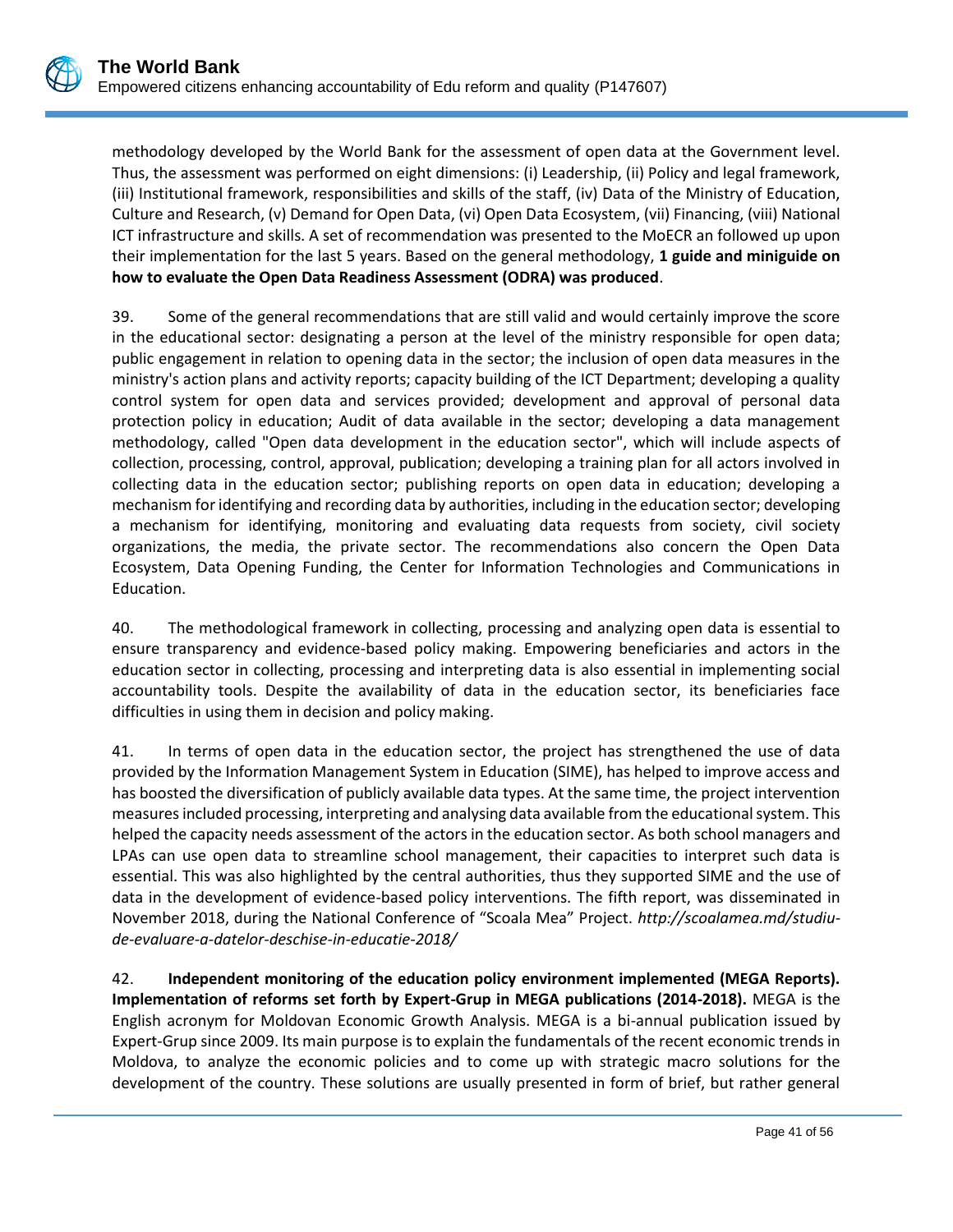methodology developed by the World Bank for the assessment of open data at the Government level. Thus, the assessment was performed on eight dimensions: (i) Leadership, (ii) Policy and legal framework, (iii) Institutional framework, responsibilities and skills of the staff, (iv) Data of the Ministry of Education, Culture and Research, (v) Demand for Open Data, (vi) Open Data Ecosystem, (vii) Financing, (viii) National ICT infrastructure and skills. A set of recommendation was presented to the MoECR an followed up upon their implementation for the last 5 years. Based on the general methodology, **1 guide and miniguide on how to evaluate the Open Data Readiness Assessment (ODRA) was produced**.

39. Some of the general recommendations that are still valid and would certainly improve the score in the educational sector: designating a person at the level of the ministry responsible for open data; public engagement in relation to opening data in the sector; the inclusion of open data measures in the ministry's action plans and activity reports; capacity building of the ICT Department; developing a quality control system for open data and services provided; development and approval of personal data protection policy in education; Audit of data available in the sector; developing a data management methodology, called "Open data development in the education sector", which will include aspects of collection, processing, control, approval, publication; developing a training plan for all actors involved in collecting data in the education sector; publishing reports on open data in education; developing a mechanism for identifying and recording data by authorities, including in the education sector; developing a mechanism for identifying, monitoring and evaluating data requests from society, civil society organizations, the media, the private sector. The recommendations also concern the Open Data Ecosystem, Data Opening Funding, the Center for Information Technologies and Communications in Education.

40. The methodological framework in collecting, processing and analyzing open data is essential to ensure transparency and evidence-based policy making. Empowering beneficiaries and actors in the education sector in collecting, processing and interpreting data is also essential in implementing social accountability tools. Despite the availability of data in the education sector, its beneficiaries face difficulties in using them in decision and policy making.

41. In terms of open data in the education sector, the project has strengthened the use of data provided by the Information Management System in Education (SIME), has helped to improve access and has boosted the diversification of publicly available data types. At the same time, the project intervention measures included processing, interpreting and analysing data available from the educational system. This helped the capacity needs assessment of the actors in the education sector. As both school managers and LPAs can use open data to streamline school management, their capacities to interpret such data is essential. This was also highlighted by the central authorities, thus they supported SIME and the use of data in the development of evidence-based policy interventions. The fifth report, was disseminated in November 2018, during the National Conference of "Scoala Mea" Project. *[http://scoalamea.md/studiu](http://scoalamea.md/studiu-de-evaluare-a-datelor-deschise-in-educatie-2018/)[de-evaluare-a-datelor-deschise-in-educatie-2018/](http://scoalamea.md/studiu-de-evaluare-a-datelor-deschise-in-educatie-2018/)*

42. **Independent monitoring of the education policy environment implemented (MEGA Reports). Implementation of reforms set forth by Expert-Grup in MEGA publications (2014-2018).** MEGA is the English acronym for Moldovan Economic Growth Analysis. MEGA is a bi-annual publication issued by Expert-Grup since 2009. Its main purpose is to explain the fundamentals of the recent economic trends in Moldova, to analyze the economic policies and to come up with strategic macro solutions for the development of the country. These solutions are usually presented in form of brief, but rather general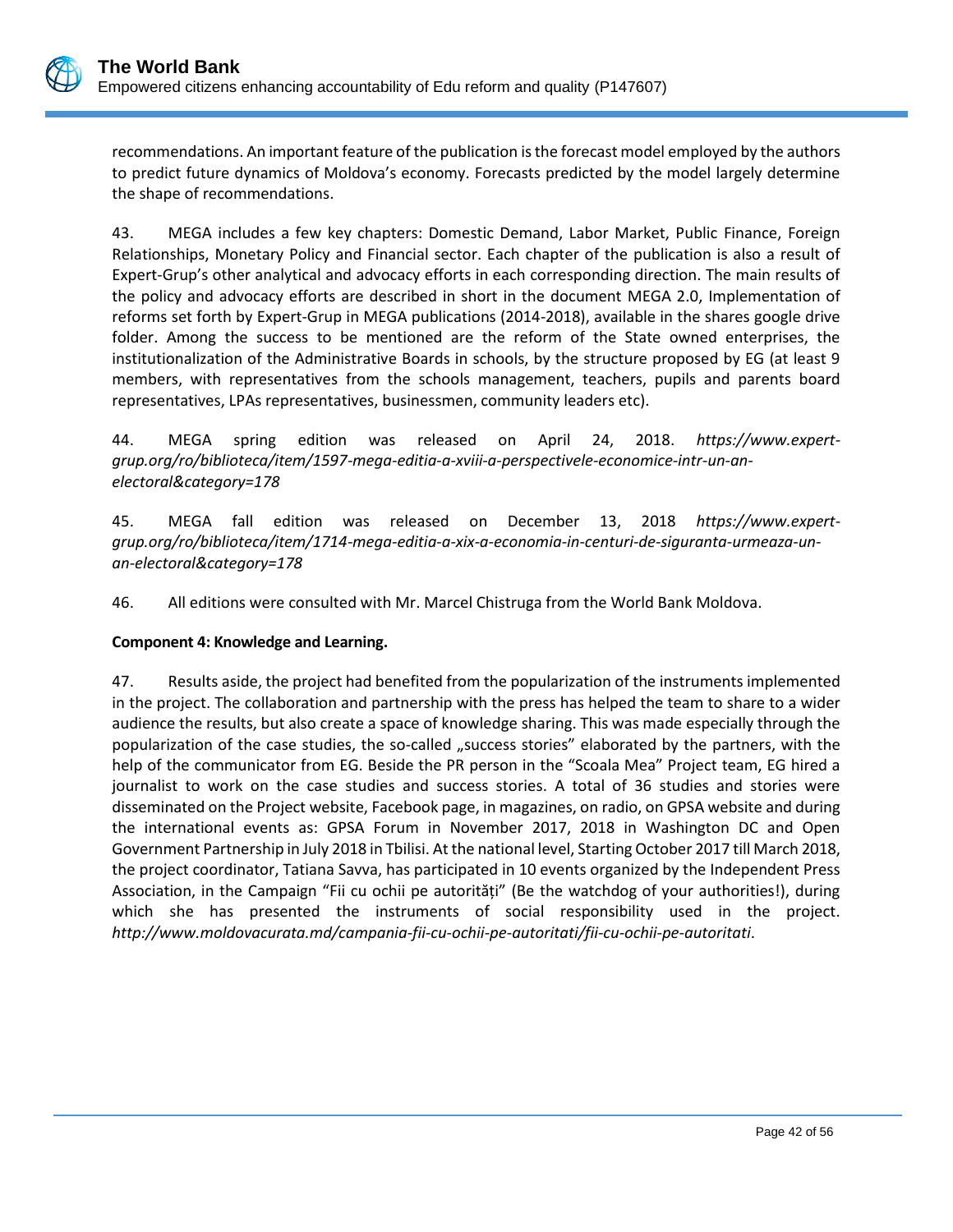recommendations. An important feature of the publication is the forecast model employed by the authors to predict future dynamics of Moldova's economy. Forecasts predicted by the model largely determine the shape of recommendations.

43. MEGA includes a few key chapters: Domestic Demand, Labor Market, Public Finance, Foreign Relationships, Monetary Policy and Financial sector. Each chapter of the publication is also a result of Expert-Grup's other analytical and advocacy efforts in each corresponding direction. The main results of the policy and advocacy efforts are described in short in the document MEGA 2.0, Implementation of reforms set forth by Expert-Grup in MEGA publications (2014-2018), available in the shares google drive folder. Among the success to be mentioned are the reform of the State owned enterprises, the institutionalization of the Administrative Boards in schools, by the structure proposed by EG (at least 9 members, with representatives from the schools management, teachers, pupils and parents board representatives, LPAs representatives, businessmen, community leaders etc).

44. MEGA spring edition was released on April 24, 2018. *https://www.expertgrup.org/ro/biblioteca/item/1597-mega-editia-a-xviii-a-perspectivele-economice-intr-un-anelectoral&category=178*

45. MEGA fall edition was released on December 13, 2018 *[https://www.expert](https://www.expert-grup.org/ro/biblioteca/item/1714-mega-editia-a-xix-a-economia-in-centuri-de-siguranta-urmeaza-un-an-electoral&category=178)[grup.org/ro/biblioteca/item/1714-mega-editia-a-xix-a-economia-in-centuri-de-siguranta-urmeaza-un](https://www.expert-grup.org/ro/biblioteca/item/1714-mega-editia-a-xix-a-economia-in-centuri-de-siguranta-urmeaza-un-an-electoral&category=178)[an-electoral&category=178](https://www.expert-grup.org/ro/biblioteca/item/1714-mega-editia-a-xix-a-economia-in-centuri-de-siguranta-urmeaza-un-an-electoral&category=178)*

46. All editions were consulted with Mr. Marcel Chistruga from the World Bank Moldova.

### **Component 4: Knowledge and Learning.**

47. Results aside, the project had benefited from the popularization of the instruments implemented in the project. The collaboration and partnership with the press has helped the team to share to a wider audience the results, but also create a space of knowledge sharing. This was made especially through the popularization of the case studies, the so-called "success stories" elaborated by the partners, with the help of the communicator from EG. Beside the PR person in the "Scoala Mea" Project team, EG hired a journalist to work on the case studies and success stories. A total of 36 studies and stories were disseminated on the Project website, Facebook page, in magazines, on radio, on GPSA website and during the international events as: GPSA Forum in November 2017, 2018 in Washington DC and Open Government Partnership in July 2018 in Tbilisi. At the national level, Starting October 2017 till March 2018, the project coordinator, Tatiana Savva, has participated in 10 events organized by the Independent Press Association, in the Campaign "Fii cu ochii pe autorități" (Be the watchdog of your authorities!), during which she has presented the instruments of social responsibility used in the project. *<http://www.moldovacurata.md/campania-fii-cu-ochii-pe-autoritati/fii-cu-ochii-pe-autoritati>*.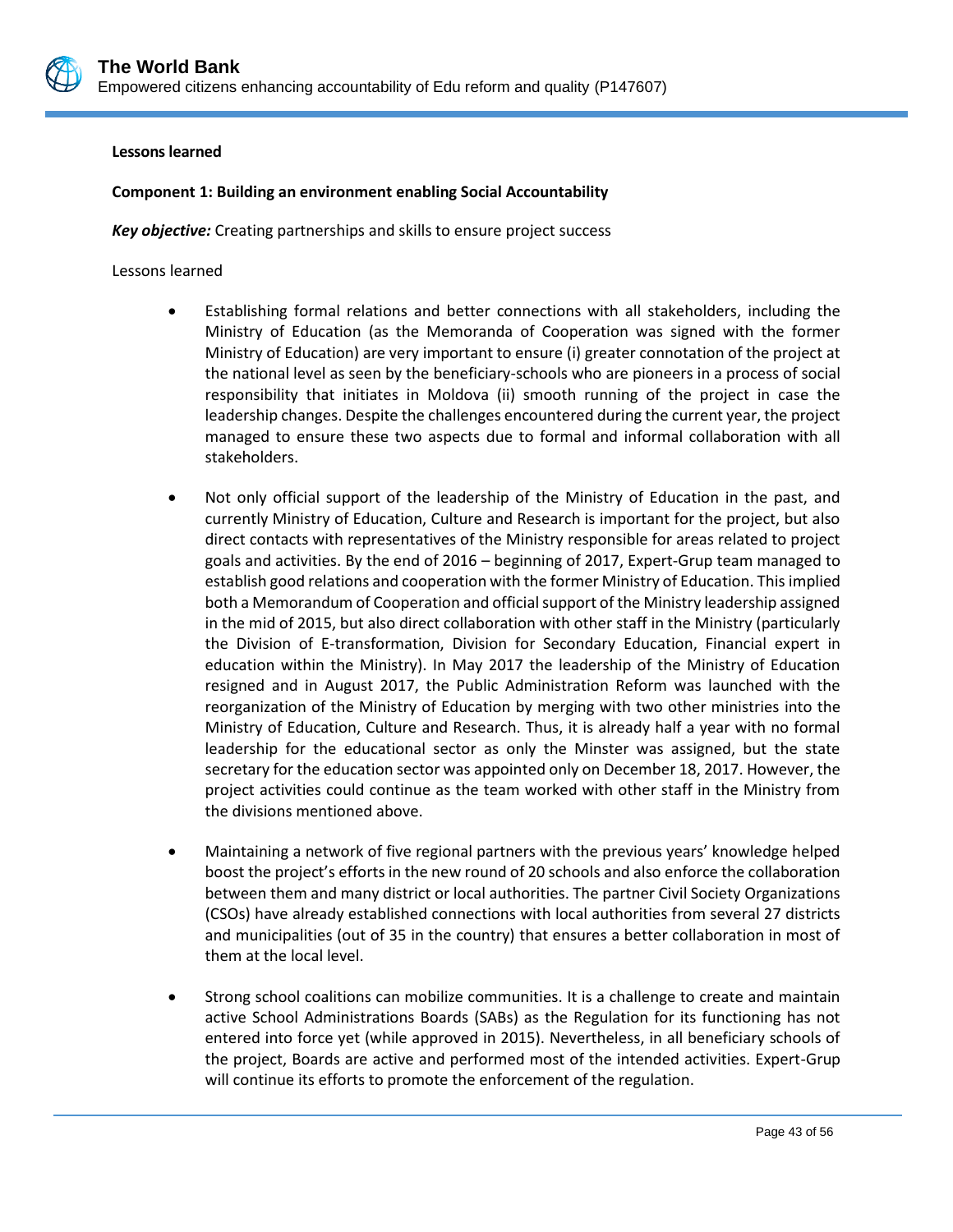

#### **Lessons learned**

### **Component 1: Building an environment enabling Social Accountability**

*Key objective:* Creating partnerships and skills to ensure project success

Lessons learned

- Establishing formal relations and better connections with all stakeholders, including the Ministry of Education (as the Memoranda of Cooperation was signed with the former Ministry of Education) are very important to ensure (i) greater connotation of the project at the national level as seen by the beneficiary-schools who are pioneers in a process of social responsibility that initiates in Moldova (ii) smooth running of the project in case the leadership changes. Despite the challenges encountered during the current year, the project managed to ensure these two aspects due to formal and informal collaboration with all stakeholders.
- Not only official support of the leadership of the Ministry of Education in the past, and currently Ministry of Education, Culture and Research is important for the project, but also direct contacts with representatives of the Ministry responsible for areas related to project goals and activities. By the end of 2016 – beginning of 2017, Expert-Grup team managed to establish good relations and cooperation with the former Ministry of Education. This implied both a Memorandum of Cooperation and official support of the Ministry leadership assigned in the mid of 2015, but also direct collaboration with other staff in the Ministry (particularly the Division of E-transformation, Division for Secondary Education, Financial expert in education within the Ministry). In May 2017 the leadership of the Ministry of Education resigned and in August 2017, the Public Administration Reform was launched with the reorganization of the Ministry of Education by merging with two other ministries into the Ministry of Education, Culture and Research. Thus, it is already half a year with no formal leadership for the educational sector as only the Minster was assigned, but the state secretary for the education sector was appointed only on December 18, 2017. However, the project activities could continue as the team worked with other staff in the Ministry from the divisions mentioned above.
- Maintaining a network of five regional partners with the previous years' knowledge helped boost the project's efforts in the new round of 20 schools and also enforce the collaboration between them and many district or local authorities. The partner Civil Society Organizations (CSOs) have already established connections with local authorities from several 27 districts and municipalities (out of 35 in the country) that ensures a better collaboration in most of them at the local level.
- Strong school coalitions can mobilize communities. It is a challenge to create and maintain active School Administrations Boards (SABs) as the Regulation for its functioning has not entered into force yet (while approved in 2015). Nevertheless, in all beneficiary schools of the project, Boards are active and performed most of the intended activities. Expert-Grup will continue its efforts to promote the enforcement of the regulation.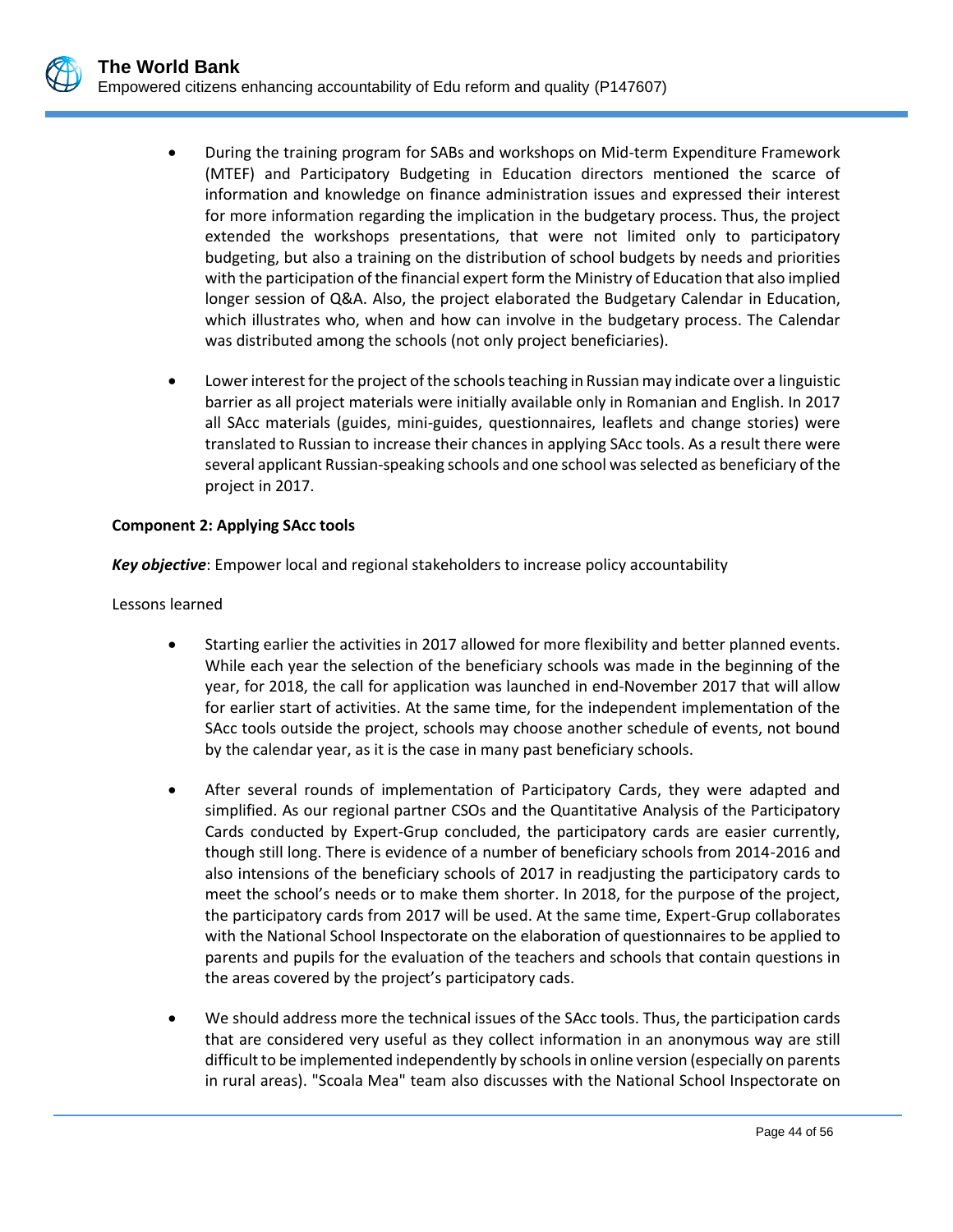

- During the training program for SABs and workshops on Mid-term Expenditure Framework (MTEF) and Participatory Budgeting in Education directors mentioned the scarce of information and knowledge on finance administration issues and expressed their interest for more information regarding the implication in the budgetary process. Thus, the project extended the workshops presentations, that were not limited only to participatory budgeting, but also a training on the distribution of school budgets by needs and priorities with the participation of the financial expert form the Ministry of Education that also implied longer session of Q&A. Also, the project elaborated the Budgetary Calendar in Education, which illustrates who, when and how can involve in the budgetary process. The Calendar was distributed among the schools (not only project beneficiaries).
- Lower interest for the project of the schools teaching in Russian may indicate over a linguistic barrier as all project materials were initially available only in Romanian and English. In 2017 all SAcc materials (guides, mini-guides, questionnaires, leaflets and change stories) were translated to Russian to increase their chances in applying SAcc tools. As a result there were several applicant Russian-speaking schools and one school was selected as beneficiary of the project in 2017.

### **Component 2: Applying SAcc tools**

*Key objective*: Empower local and regional stakeholders to increase policy accountability

Lessons learned

- Starting earlier the activities in 2017 allowed for more flexibility and better planned events. While each year the selection of the beneficiary schools was made in the beginning of the year, for 2018, the call for application was launched in end-November 2017 that will allow for earlier start of activities. At the same time, for the independent implementation of the SAcc tools outside the project, schools may choose another schedule of events, not bound by the calendar year, as it is the case in many past beneficiary schools.
- After several rounds of implementation of Participatory Cards, they were adapted and simplified. As our regional partner CSOs and the Quantitative Analysis of the Participatory Cards conducted by Expert-Grup concluded, the participatory cards are easier currently, though still long. There is evidence of a number of beneficiary schools from 2014-2016 and also intensions of the beneficiary schools of 2017 in readjusting the participatory cards to meet the school's needs or to make them shorter. In 2018, for the purpose of the project, the participatory cards from 2017 will be used. At the same time, Expert-Grup collaborates with the National School Inspectorate on the elaboration of questionnaires to be applied to parents and pupils for the evaluation of the teachers and schools that contain questions in the areas covered by the project's participatory cads.
- We should address more the technical issues of the SAcc tools. Thus, the participation cards that are considered very useful as they collect information in an anonymous way are still difficult to be implemented independently by schools in online version (especially on parents in rural areas). "Scoala Mea" team also discusses with the National School Inspectorate on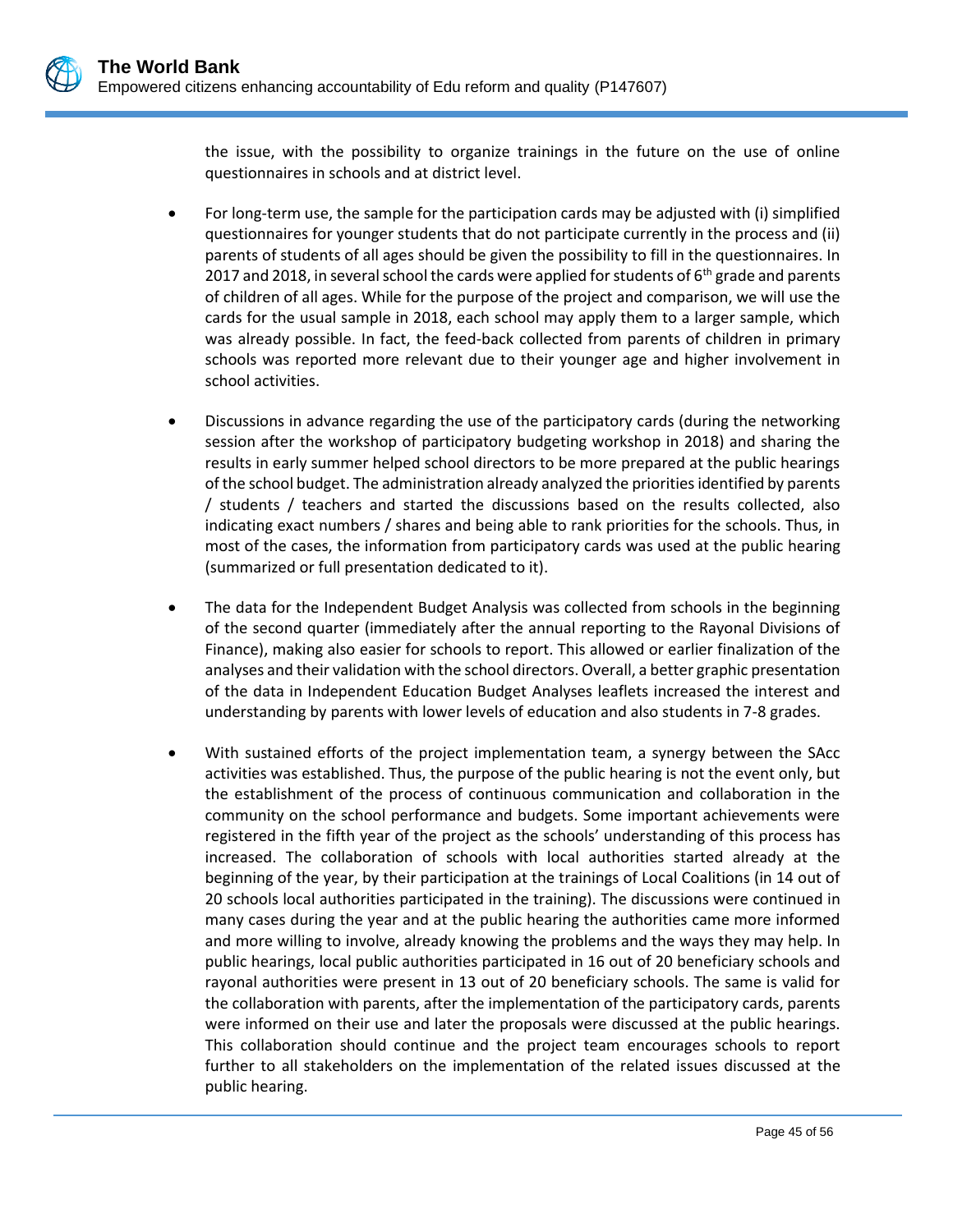the issue, with the possibility to organize trainings in the future on the use of online questionnaires in schools and at district level.

- For long-term use, the sample for the participation cards may be adjusted with (i) simplified questionnaires for younger students that do not participate currently in the process and (ii) parents of students of all ages should be given the possibility to fill in the questionnaires. In 2017 and 2018, in several school the cards were applied for students of  $6<sup>th</sup>$  grade and parents of children of all ages. While for the purpose of the project and comparison, we will use the cards for the usual sample in 2018, each school may apply them to a larger sample, which was already possible. In fact, the feed-back collected from parents of children in primary schools was reported more relevant due to their younger age and higher involvement in school activities.
- Discussions in advance regarding the use of the participatory cards (during the networking session after the workshop of participatory budgeting workshop in 2018) and sharing the results in early summer helped school directors to be more prepared at the public hearings of the school budget. The administration already analyzed the priorities identified by parents / students / teachers and started the discussions based on the results collected, also indicating exact numbers / shares and being able to rank priorities for the schools. Thus, in most of the cases, the information from participatory cards was used at the public hearing (summarized or full presentation dedicated to it).
- The data for the Independent Budget Analysis was collected from schools in the beginning of the second quarter (immediately after the annual reporting to the Rayonal Divisions of Finance), making also easier for schools to report. This allowed or earlier finalization of the analyses and their validation with the school directors. Overall, a better graphic presentation of the data in Independent Education Budget Analyses leaflets increased the interest and understanding by parents with lower levels of education and also students in 7-8 grades.
- With sustained efforts of the project implementation team, a synergy between the SAcc activities was established. Thus, the purpose of the public hearing is not the event only, but the establishment of the process of continuous communication and collaboration in the community on the school performance and budgets. Some important achievements were registered in the fifth year of the project as the schools' understanding of this process has increased. The collaboration of schools with local authorities started already at the beginning of the year, by their participation at the trainings of Local Coalitions (in 14 out of 20 schools local authorities participated in the training). The discussions were continued in many cases during the year and at the public hearing the authorities came more informed and more willing to involve, already knowing the problems and the ways they may help. In public hearings, local public authorities participated in 16 out of 20 beneficiary schools and rayonal authorities were present in 13 out of 20 beneficiary schools. The same is valid for the collaboration with parents, after the implementation of the participatory cards, parents were informed on their use and later the proposals were discussed at the public hearings. This collaboration should continue and the project team encourages schools to report further to all stakeholders on the implementation of the related issues discussed at the public hearing.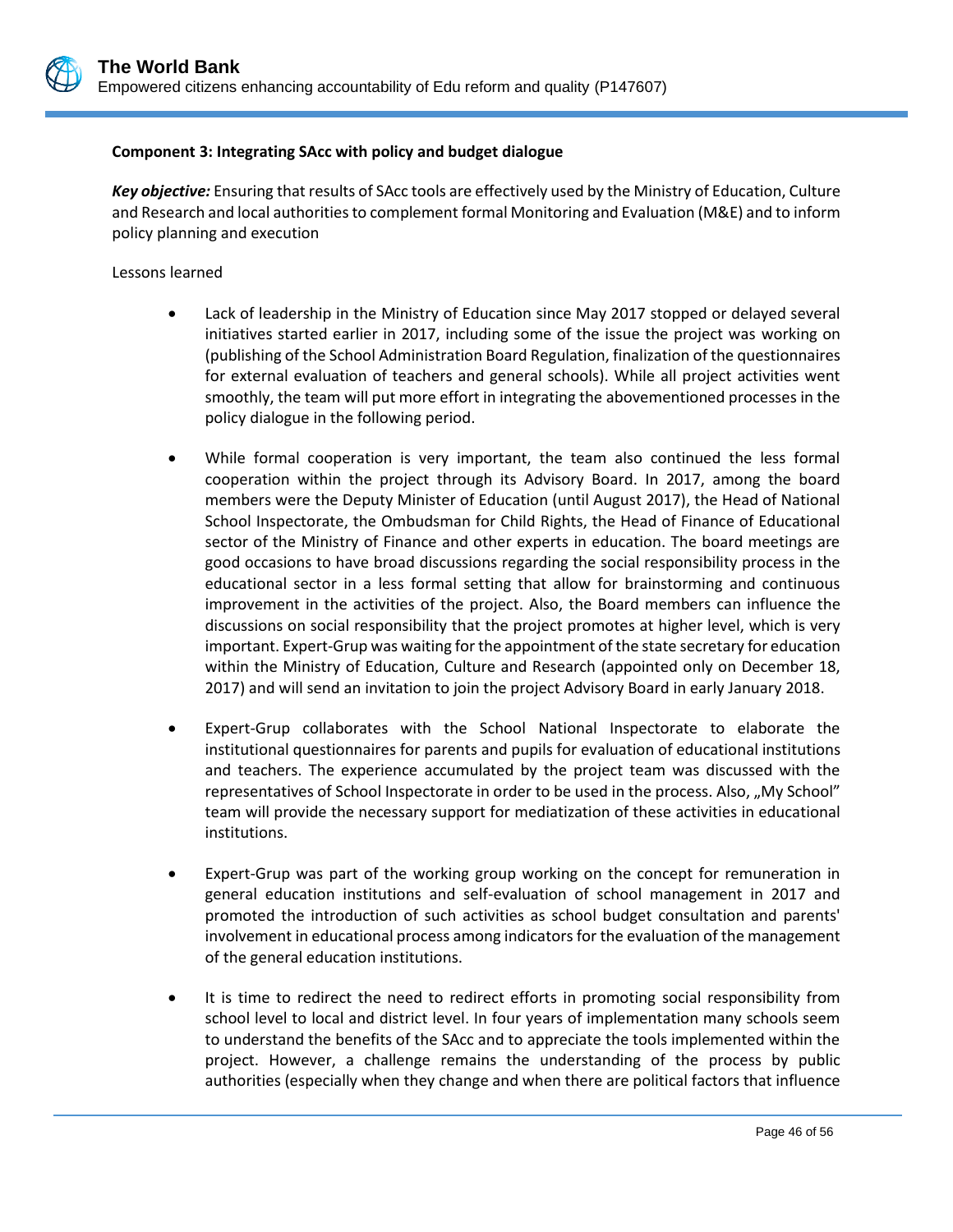### **Component 3: Integrating SAcc with policy and budget dialogue**

*Key objective:* Ensuring that results of SAcc tools are effectively used by the Ministry of Education, Culture and Research and local authorities to complement formal Monitoring and Evaluation (M&E) and to inform policy planning and execution

### Lessons learned

- Lack of leadership in the Ministry of Education since May 2017 stopped or delayed several initiatives started earlier in 2017, including some of the issue the project was working on (publishing of the School Administration Board Regulation, finalization of the questionnaires for external evaluation of teachers and general schools). While all project activities went smoothly, the team will put more effort in integrating the abovementioned processes in the policy dialogue in the following period.
- While formal cooperation is very important, the team also continued the less formal cooperation within the project through its Advisory Board. In 2017, among the board members were the Deputy Minister of Education (until August 2017), the Head of National School Inspectorate, the Ombudsman for Child Rights, the Head of Finance of Educational sector of the Ministry of Finance and other experts in education. The board meetings are good occasions to have broad discussions regarding the social responsibility process in the educational sector in a less formal setting that allow for brainstorming and continuous improvement in the activities of the project. Also, the Board members can influence the discussions on social responsibility that the project promotes at higher level, which is very important. Expert-Grup was waiting for the appointment of the state secretary for education within the Ministry of Education, Culture and Research (appointed only on December 18, 2017) and will send an invitation to join the project Advisory Board in early January 2018.
- Expert-Grup collaborates with the School National Inspectorate to elaborate the institutional questionnaires for parents and pupils for evaluation of educational institutions and teachers. The experience accumulated by the project team was discussed with the representatives of School Inspectorate in order to be used in the process. Also, "My School" team will provide the necessary support for mediatization of these activities in educational institutions.
- Expert-Grup was part of the working group working on the concept for remuneration in general education institutions and self-evaluation of school management in 2017 and promoted the introduction of such activities as school budget consultation and parents' involvement in educational process among indicators for the evaluation of the management of the general education institutions.
- It is time to redirect the need to redirect efforts in promoting social responsibility from school level to local and district level. In four years of implementation many schools seem to understand the benefits of the SAcc and to appreciate the tools implemented within the project. However, a challenge remains the understanding of the process by public authorities (especially when they change and when there are political factors that influence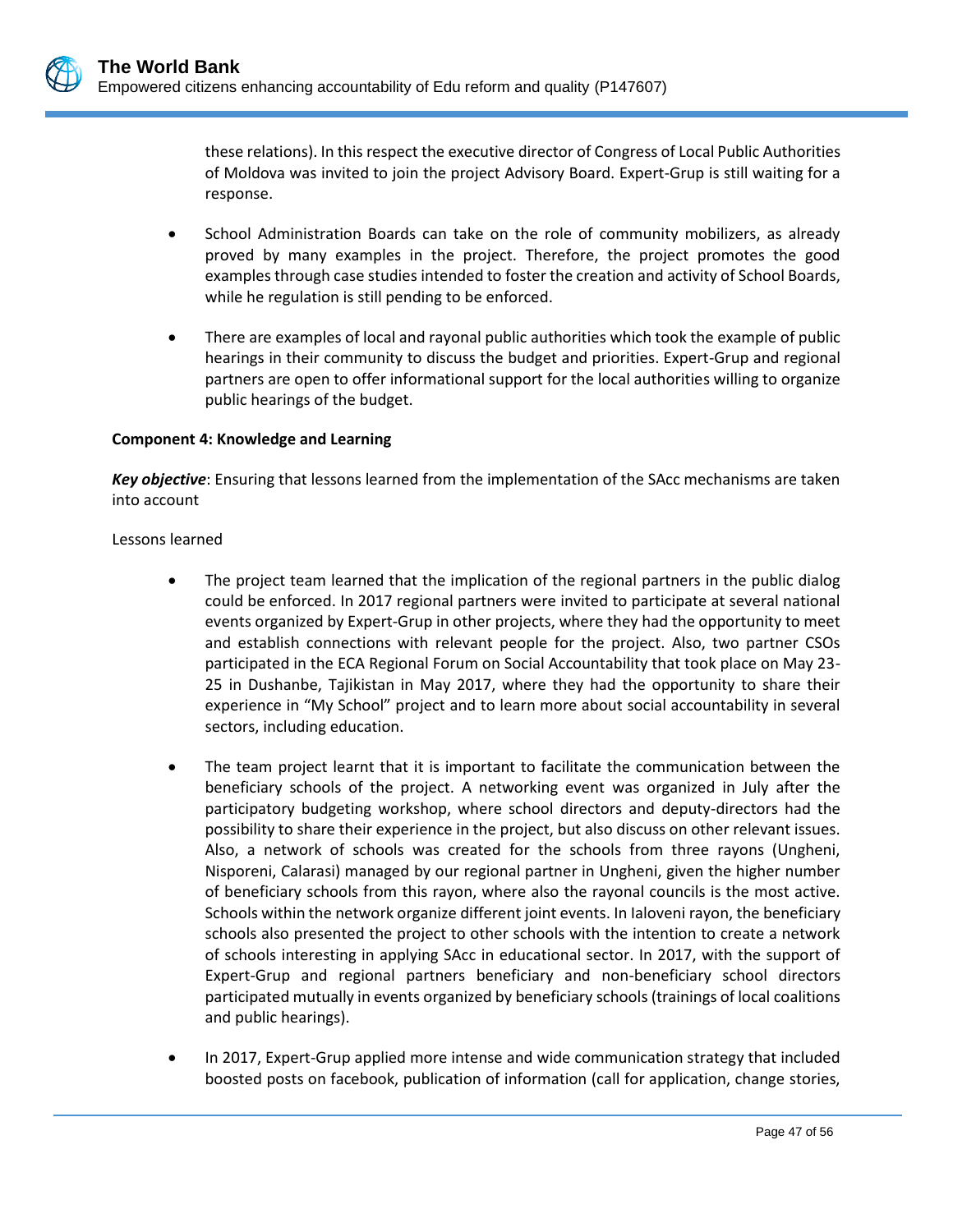these relations). In this respect the executive director of Congress of Local Public Authorities of Moldova was invited to join the project Advisory Board. Expert-Grup is still waiting for a response.

- School Administration Boards can take on the role of community mobilizers, as already proved by many examples in the project. Therefore, the project promotes the good examples through case studies intended to foster the creation and activity of School Boards, while he regulation is still pending to be enforced.
- There are examples of local and rayonal public authorities which took the example of public hearings in their community to discuss the budget and priorities. Expert-Grup and regional partners are open to offer informational support for the local authorities willing to organize public hearings of the budget.

#### **Component 4: Knowledge and Learning**

*Key objective*: Ensuring that lessons learned from the implementation of the SAcc mechanisms are taken into account

#### Lessons learned

- The project team learned that the implication of the regional partners in the public dialog could be enforced. In 2017 regional partners were invited to participate at several national events organized by Expert-Grup in other projects, where they had the opportunity to meet and establish connections with relevant people for the project. Also, two partner CSOs participated in the ECA Regional Forum on Social Accountability that took place on May 23- 25 in Dushanbe, Tajikistan in May 2017, where they had the opportunity to share their experience in "My School" project and to learn more about social accountability in several sectors, including education.
- The team project learnt that it is important to facilitate the communication between the beneficiary schools of the project. A networking event was organized in July after the participatory budgeting workshop, where school directors and deputy-directors had the possibility to share their experience in the project, but also discuss on other relevant issues. Also, a network of schools was created for the schools from three rayons (Ungheni, Nisporeni, Calarasi) managed by our regional partner in Ungheni, given the higher number of beneficiary schools from this rayon, where also the rayonal councils is the most active. Schools within the network organize different joint events. In Ialoveni rayon, the beneficiary schools also presented the project to other schools with the intention to create a network of schools interesting in applying SAcc in educational sector. In 2017, with the support of Expert-Grup and regional partners beneficiary and non-beneficiary school directors participated mutually in events organized by beneficiary schools (trainings of local coalitions and public hearings).
- In 2017, Expert-Grup applied more intense and wide communication strategy that included boosted posts on facebook, publication of information (call for application, change stories,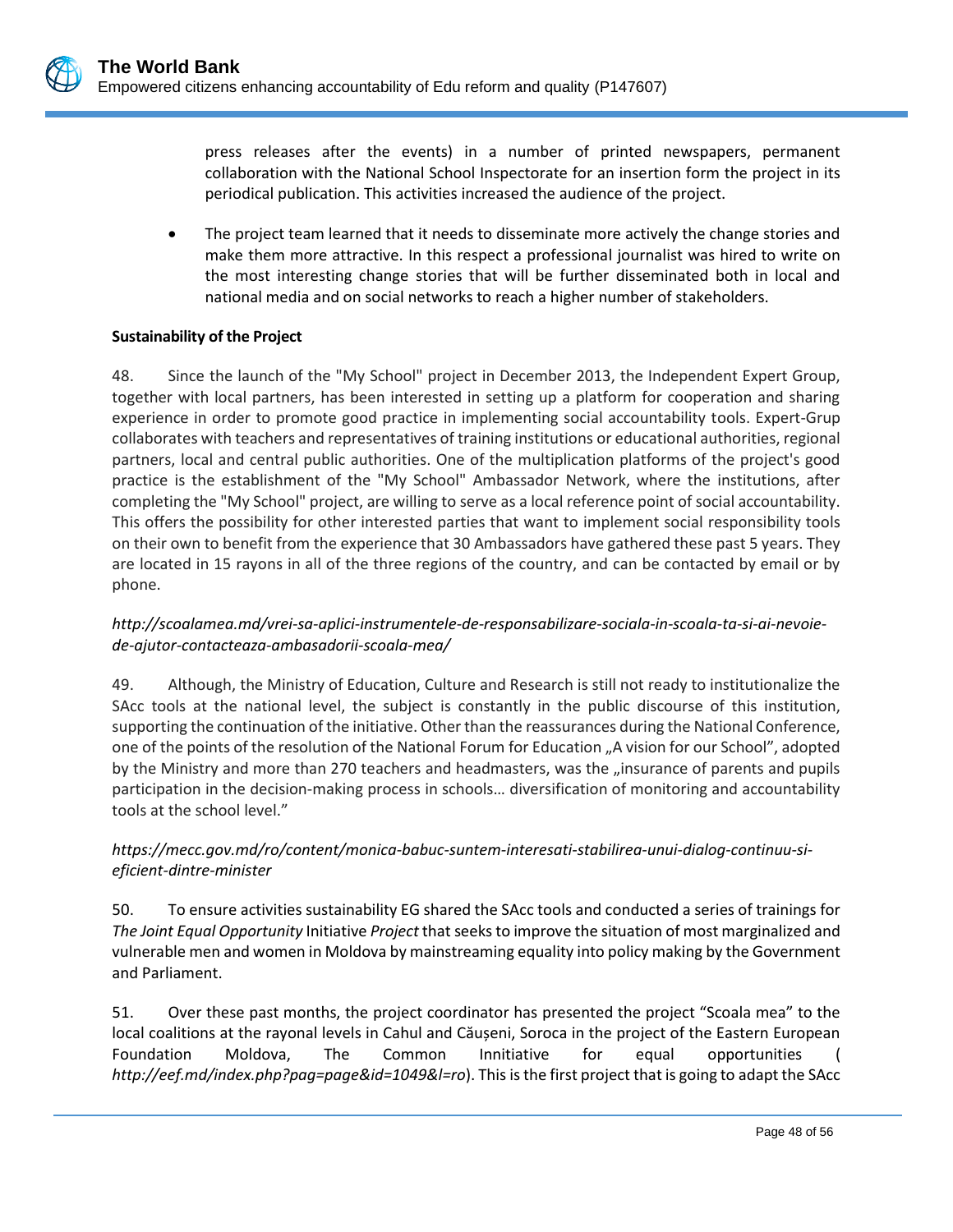press releases after the events) in a number of printed newspapers, permanent collaboration with the National School Inspectorate for an insertion form the project in its periodical publication. This activities increased the audience of the project.

• The project team learned that it needs to disseminate more actively the change stories and make them more attractive. In this respect a professional journalist was hired to write on the most interesting change stories that will be further disseminated both in local and national media and on social networks to reach a higher number of stakeholders.

### **Sustainability of the Project**

48. Since the launch of the "My School" project in December 2013, the Independent Expert Group, together with local partners, has been interested in setting up a platform for cooperation and sharing experience in order to promote good practice in implementing social accountability tools. Expert-Grup collaborates with teachers and representatives of training institutions or educational authorities, regional partners, local and central public authorities. One of the multiplication platforms of the project's good practice is the establishment of the "My School" Ambassador Network, where the institutions, after completing the "My School" project, are willing to serve as a local reference point of social accountability. This offers the possibility for other interested parties that want to implement social responsibility tools on their own to benefit from the experience that 30 Ambassadors have gathered these past 5 years. They are located in 15 rayons in all of the three regions of the country, and can be contacted by email or by phone.

### *[http://scoalamea.md/vrei-sa-aplici-instrumentele-de-responsabilizare-sociala-in-scoala-ta-si-ai-nevoie](http://scoalamea.md/vrei-sa-aplici-instrumentele-de-responsabilizare-sociala-in-scoala-ta-si-ai-nevoie-de-ajutor-contacteaza-ambasadorii-scoala-mea/)[de-ajutor-contacteaza-ambasadorii-scoala-mea/](http://scoalamea.md/vrei-sa-aplici-instrumentele-de-responsabilizare-sociala-in-scoala-ta-si-ai-nevoie-de-ajutor-contacteaza-ambasadorii-scoala-mea/)*

49. Although, the Ministry of Education, Culture and Research is still not ready to institutionalize the SAcc tools at the national level, the subject is constantly in the public discourse of this institution, supporting the continuation of the initiative. Other than the reassurances during the National Conference, one of the points of the resolution of the National Forum for Education "A vision for our School", adopted by the Ministry and more than 270 teachers and headmasters, was the "insurance of parents and pupils participation in the decision-making process in schools… diversification of monitoring and accountability tools at the school level."

### *[https://mecc.gov.md/ro/content/monica-babuc-suntem-interesati-stabilirea-unui-dialog-continuu-si](https://mecc.gov.md/ro/content/monica-babuc-suntem-interesati-stabilirea-unui-dialog-continuu-si-eficient-dintre-minister)[eficient-dintre-minister](https://mecc.gov.md/ro/content/monica-babuc-suntem-interesati-stabilirea-unui-dialog-continuu-si-eficient-dintre-minister)*

50. To ensure activities sustainability EG shared the SAcc tools and conducted a series of trainings for *The Joint Equal Opportunity* Initiative *Project* that seeks to improve the situation of most marginalized and vulnerable men and women in Moldova by mainstreaming equality into policy making by the Government and Parliament.

51. Over these past months, the project coordinator has presented the project "Scoala mea" to the local coalitions at the rayonal levels in Cahul and Căușeni, Soroca in the project of the Eastern European Foundation Moldova, The Common Innitiative for equal opportunities ( *<http://eef.md/index.php?pag=page&id=1049&l=ro>*). This is the first project that is going to adapt the SAcc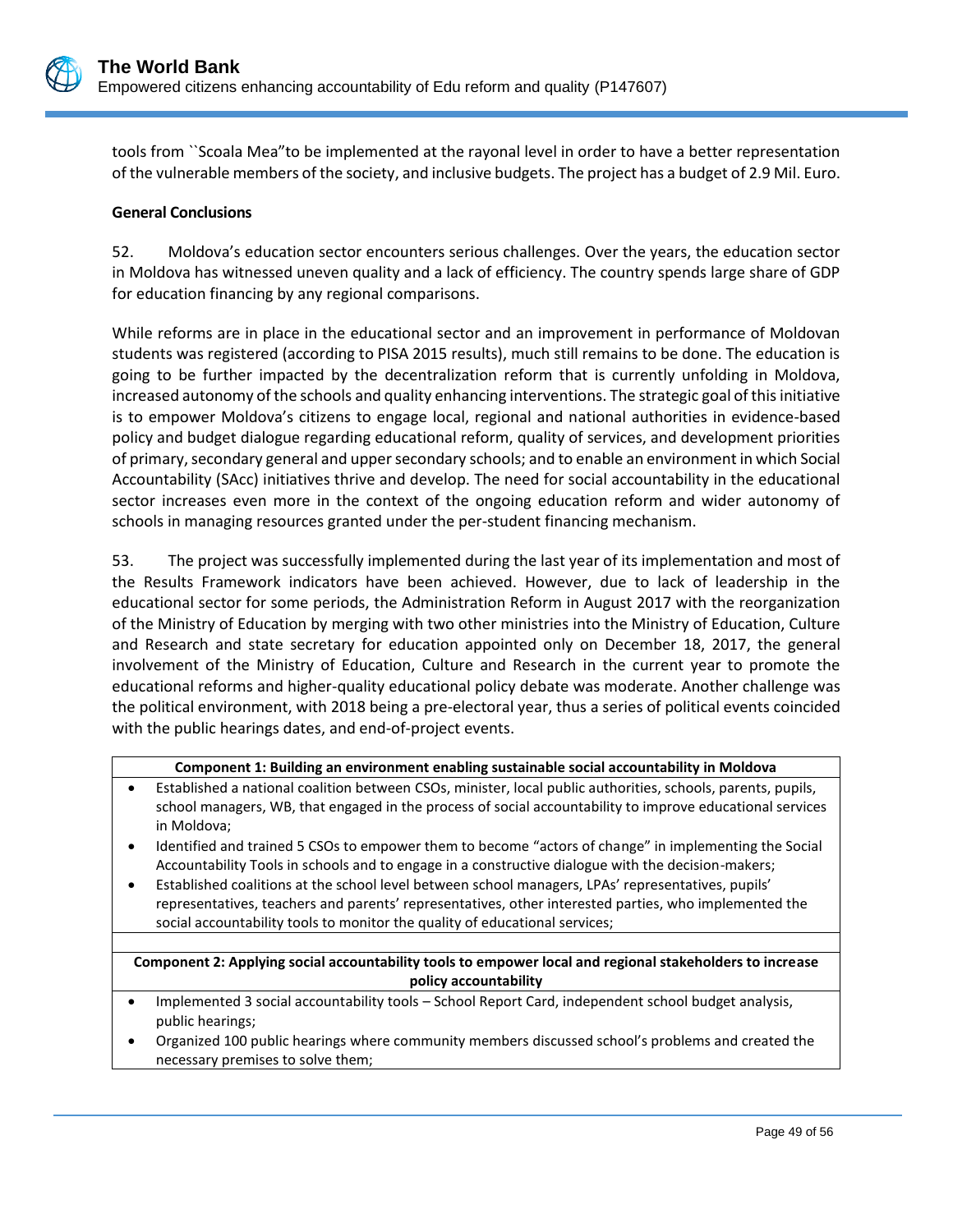

tools from ``Scoala Mea"to be implemented at the rayonal level in order to have a better representation of the vulnerable members of the society, and inclusive budgets. The project has a budget of 2.9 Mil. Euro.

### **General Conclusions**

52. Moldova's education sector encounters serious challenges. Over the years, the education sector in Moldova has witnessed uneven quality and a lack of efficiency. The country spends large share of GDP for education financing by any regional comparisons.

While reforms are in place in the educational sector and an improvement in performance of Moldovan students was registered (according to PISA 2015 results), much still remains to be done. The education is going to be further impacted by the decentralization reform that is currently unfolding in Moldova, increased autonomy of the schools and quality enhancing interventions. The strategic goal of this initiative is to empower Moldova's citizens to engage local, regional and national authorities in evidence-based policy and budget dialogue regarding educational reform, quality of services, and development priorities of primary, secondary general and upper secondary schools; and to enable an environment in which Social Accountability (SAcc) initiatives thrive and develop. The need for social accountability in the educational sector increases even more in the context of the ongoing education reform and wider autonomy of schools in managing resources granted under the per-student financing mechanism.

53. The project was successfully implemented during the last year of its implementation and most of the Results Framework indicators have been achieved. However, due to lack of leadership in the educational sector for some periods, the Administration Reform in August 2017 with the reorganization of the Ministry of Education by merging with two other ministries into the Ministry of Education, Culture and Research and state secretary for education appointed only on December 18, 2017, the general involvement of the Ministry of Education, Culture and Research in the current year to promote the educational reforms and higher-quality educational policy debate was moderate. Another challenge was the political environment, with 2018 being a pre-electoral year, thus a series of political events coincided with the public hearings dates, and end-of-project events.

|  |  | Component 1: Building an environment enabling sustainable social accountability in Moldova |
|--|--|--------------------------------------------------------------------------------------------|
|--|--|--------------------------------------------------------------------------------------------|

- Established a national coalition between CSOs, minister, local public authorities, schools, parents, pupils, school managers, WB, that engaged in the process of social accountability to improve educational services in Moldova;
- Identified and trained 5 CSOs to empower them to become "actors of change" in implementing the Social Accountability Tools in schools and to engage in a constructive dialogue with the decision-makers;
- Established coalitions at the school level between school managers, LPAs' representatives, pupils' representatives, teachers and parents' representatives, other interested parties, who implemented the social accountability tools to monitor the quality of educational services;

**Component 2: Applying social accountability tools to empower local and regional stakeholders to increase policy accountability**

- Implemented 3 social accountability tools School Report Card, independent school budget analysis, public hearings;
- Organized 100 public hearings where community members discussed school's problems and created the necessary premises to solve them;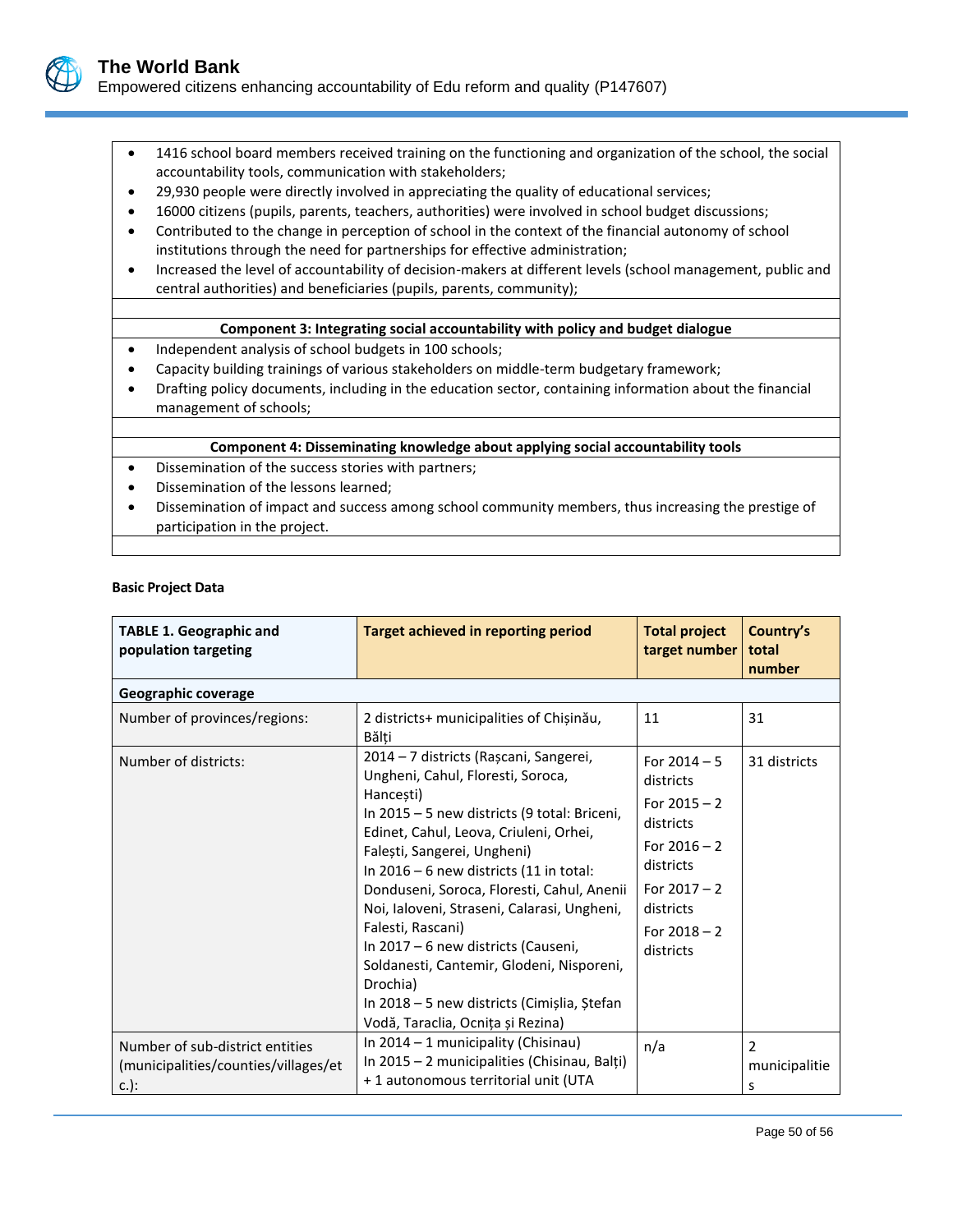

- 1416 school board members received training on the functioning and organization of the school, the social accountability tools, communication with stakeholders;
- 29,930 people were directly involved in appreciating the quality of educational services;
- 16000 citizens (pupils, parents, teachers, authorities) were involved in school budget discussions;
- Contributed to the change in perception of school in the context of the financial autonomy of school institutions through the need for partnerships for effective administration;
- Increased the level of accountability of decision-makers at different levels (school management, public and central authorities) and beneficiaries (pupils, parents, community);

#### **Component 3: Integrating social accountability with policy and budget dialogue**

- Independent analysis of school budgets in 100 schools;
- Capacity building trainings of various stakeholders on middle-term budgetary framework;
- Drafting policy documents, including in the education sector, containing information about the financial management of schools;

#### **Component 4: Disseminating knowledge about applying social accountability tools**

- Dissemination of the success stories with partners;
- Dissemination of the lessons learned;
- Dissemination of impact and success among school community members, thus increasing the prestige of participation in the project.

#### **Basic Project Data**

| <b>TABLE 1. Geographic and</b><br>population targeting                             | <b>Target achieved in reporting period</b>                                                                                                                                                                                                                                                                                                                                                                                                                                                                                                                           | <b>Total project</b><br>target number                                                                                                                   | Country's<br>total<br>number |
|------------------------------------------------------------------------------------|----------------------------------------------------------------------------------------------------------------------------------------------------------------------------------------------------------------------------------------------------------------------------------------------------------------------------------------------------------------------------------------------------------------------------------------------------------------------------------------------------------------------------------------------------------------------|---------------------------------------------------------------------------------------------------------------------------------------------------------|------------------------------|
| Geographic coverage                                                                |                                                                                                                                                                                                                                                                                                                                                                                                                                                                                                                                                                      |                                                                                                                                                         |                              |
| Number of provinces/regions:                                                       | 2 districts+ municipalities of Chișinău,<br>Bălți                                                                                                                                                                                                                                                                                                                                                                                                                                                                                                                    | 11                                                                                                                                                      | 31                           |
| Number of districts:                                                               | 2014 – 7 districts (Rașcani, Sangerei,<br>Ungheni, Cahul, Floresti, Soroca,<br>Hancești)<br>In 2015 - 5 new districts (9 total: Briceni,<br>Edinet, Cahul, Leova, Criuleni, Orhei,<br>Falești, Sangerei, Ungheni)<br>In $2016 - 6$ new districts (11 in total:<br>Donduseni, Soroca, Floresti, Cahul, Anenii<br>Noi, Ialoveni, Straseni, Calarasi, Ungheni,<br>Falesti, Rascani)<br>In 2017 – 6 new districts (Causeni,<br>Soldanesti, Cantemir, Glodeni, Nisporeni,<br>Drochia)<br>In 2018 – 5 new districts (Cimișlia, Ștefan<br>Vodă, Taraclia, Ocnița și Rezina) | For $2014 - 5$<br>districts<br>For $2015 - 2$<br>districts<br>For $2016 - 2$<br>districts<br>For $2017 - 2$<br>districts<br>For $2018 - 2$<br>districts | 31 districts                 |
| Number of sub-district entities<br>(municipalities/counties/villages/et<br>$c.$ ): | In 2014 - 1 municipality (Chisinau)<br>In 2015 - 2 municipalities (Chisinau, Balți)<br>+1 autonomous territorial unit (UTA                                                                                                                                                                                                                                                                                                                                                                                                                                           | n/a                                                                                                                                                     | 2<br>municipalitie<br>s      |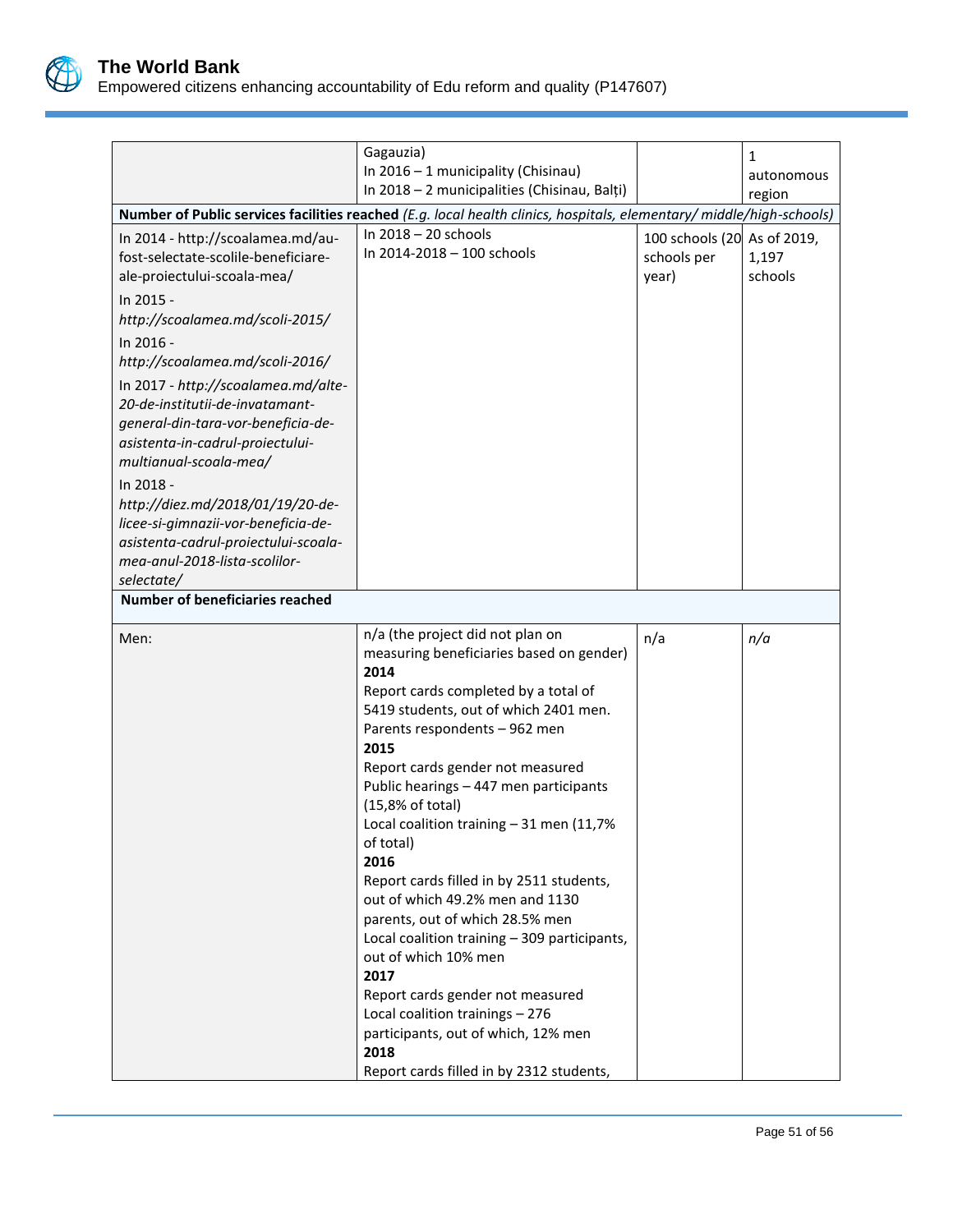

| Gagauzia)<br>In 2016 - 1 municipality (Chisinau)                                                                                                                                                                                                                                                                                                            |                                                                                                                                                                                                                                                                                                                                                                                                                                                                                                                                                                                                                                                                                                                                                        |                                                     | 1                    |  |
|-------------------------------------------------------------------------------------------------------------------------------------------------------------------------------------------------------------------------------------------------------------------------------------------------------------------------------------------------------------|--------------------------------------------------------------------------------------------------------------------------------------------------------------------------------------------------------------------------------------------------------------------------------------------------------------------------------------------------------------------------------------------------------------------------------------------------------------------------------------------------------------------------------------------------------------------------------------------------------------------------------------------------------------------------------------------------------------------------------------------------------|-----------------------------------------------------|----------------------|--|
|                                                                                                                                                                                                                                                                                                                                                             | In 2018 - 2 municipalities (Chisinau, Balți)                                                                                                                                                                                                                                                                                                                                                                                                                                                                                                                                                                                                                                                                                                           |                                                     | autonomous<br>region |  |
|                                                                                                                                                                                                                                                                                                                                                             | Number of Public services facilities reached (E.g. local health clinics, hospitals, elementary/middle/high-schools)                                                                                                                                                                                                                                                                                                                                                                                                                                                                                                                                                                                                                                    |                                                     |                      |  |
| In 2014 - http://scoalamea.md/au-<br>fost-selectate-scolile-beneficiare-<br>ale-proiectului-scoala-mea/<br>In 2015 -<br>http://scoalamea.md/scoli-2015/<br>In 2016 -<br>http://scoalamea.md/scoli-2016/<br>In 2017 - http://scoalamea.md/alte-<br>20-de-institutii-de-invatamant-<br>general-din-tara-vor-beneficia-de-<br>asistenta-in-cadrul-proiectului- | In 2018 - 20 schools<br>In 2014-2018 - 100 schools                                                                                                                                                                                                                                                                                                                                                                                                                                                                                                                                                                                                                                                                                                     | 100 schools (20 As of 2019,<br>schools per<br>year) | 1,197<br>schools     |  |
| multianual-scoala-mea/<br>In 2018 -<br>http://diez.md/2018/01/19/20-de-<br>licee-si-gimnazii-vor-beneficia-de-<br>asistenta-cadrul-proiectului-scoala-<br>mea-anul-2018-lista-scolilor-<br>selectate/                                                                                                                                                       |                                                                                                                                                                                                                                                                                                                                                                                                                                                                                                                                                                                                                                                                                                                                                        |                                                     |                      |  |
| <b>Number of beneficiaries reached</b>                                                                                                                                                                                                                                                                                                                      |                                                                                                                                                                                                                                                                                                                                                                                                                                                                                                                                                                                                                                                                                                                                                        |                                                     |                      |  |
| Men:                                                                                                                                                                                                                                                                                                                                                        | n/a (the project did not plan on<br>measuring beneficiaries based on gender)<br>2014<br>Report cards completed by a total of<br>5419 students, out of which 2401 men.<br>Parents respondents - 962 men<br>2015<br>Report cards gender not measured<br>Public hearings - 447 men participants<br>(15,8% of total)<br>Local coalition training $-31$ men (11,7%<br>of total)<br>2016<br>Report cards filled in by 2511 students,<br>out of which 49.2% men and 1130<br>parents, out of which 28.5% men<br>Local coalition training - 309 participants,<br>out of which 10% men<br>2017<br>Report cards gender not measured<br>Local coalition trainings - 276<br>participants, out of which, 12% men<br>2018<br>Report cards filled in by 2312 students, | n/a                                                 | n/a                  |  |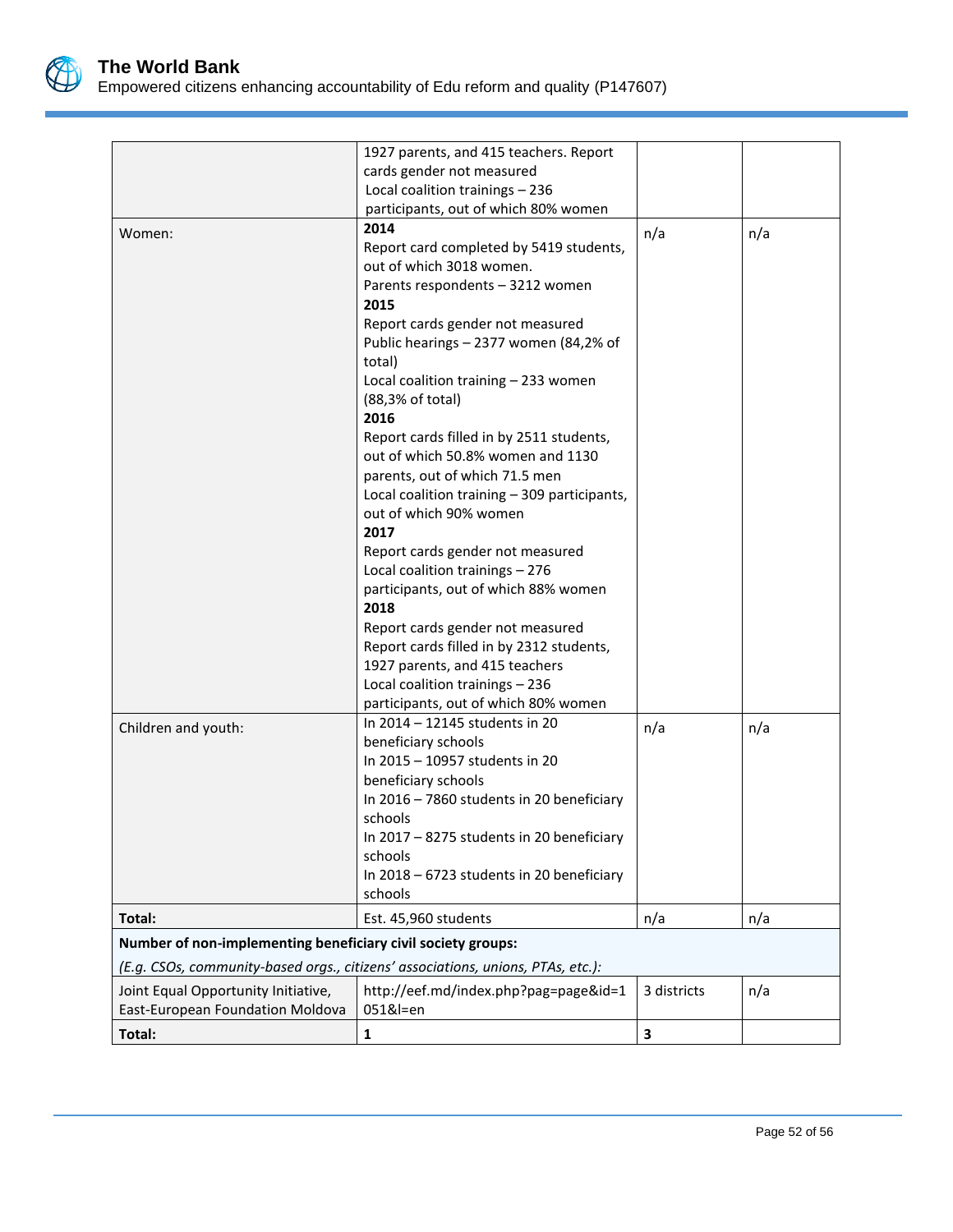

|                                                              | 1927 parents, and 415 teachers. Report                                          |             |     |
|--------------------------------------------------------------|---------------------------------------------------------------------------------|-------------|-----|
| cards gender not measured                                    |                                                                                 |             |     |
|                                                              | Local coalition trainings - 236                                                 |             |     |
|                                                              | participants, out of which 80% women                                            |             |     |
| Women:                                                       | 2014                                                                            | n/a         | n/a |
|                                                              | Report card completed by 5419 students,                                         |             |     |
|                                                              | out of which 3018 women.                                                        |             |     |
|                                                              | Parents respondents - 3212 women                                                |             |     |
|                                                              | 2015                                                                            |             |     |
|                                                              | Report cards gender not measured                                                |             |     |
|                                                              | Public hearings - 2377 women (84,2% of                                          |             |     |
|                                                              | total)                                                                          |             |     |
|                                                              | Local coalition training - 233 women                                            |             |     |
|                                                              | (88,3% of total)                                                                |             |     |
|                                                              | 2016                                                                            |             |     |
|                                                              | Report cards filled in by 2511 students,                                        |             |     |
|                                                              | out of which 50.8% women and 1130                                               |             |     |
|                                                              | parents, out of which 71.5 men                                                  |             |     |
|                                                              | Local coalition training - 309 participants,                                    |             |     |
|                                                              | out of which 90% women                                                          |             |     |
|                                                              | 2017                                                                            |             |     |
|                                                              | Report cards gender not measured                                                |             |     |
|                                                              | Local coalition trainings - 276                                                 |             |     |
|                                                              | participants, out of which 88% women                                            |             |     |
|                                                              | 2018                                                                            |             |     |
|                                                              | Report cards gender not measured                                                |             |     |
|                                                              | Report cards filled in by 2312 students,                                        |             |     |
|                                                              | 1927 parents, and 415 teachers                                                  |             |     |
|                                                              | Local coalition trainings - 236                                                 |             |     |
|                                                              |                                                                                 |             |     |
|                                                              | participants, out of which 80% women                                            |             |     |
| Children and youth:                                          | In 2014 - 12145 students in 20                                                  | n/a         | n/a |
|                                                              | beneficiary schools                                                             |             |     |
|                                                              | In 2015 - 10957 students in 20                                                  |             |     |
|                                                              | beneficiary schools                                                             |             |     |
|                                                              | In 2016 - 7860 students in 20 beneficiary                                       |             |     |
|                                                              | schools                                                                         |             |     |
|                                                              | In 2017 - 8275 students in 20 beneficiary                                       |             |     |
|                                                              | schools                                                                         |             |     |
|                                                              | In 2018 - 6723 students in 20 beneficiary                                       |             |     |
|                                                              | schools                                                                         |             |     |
| Total:                                                       | Est. 45,960 students                                                            | n/a         | n/a |
| Number of non-implementing beneficiary civil society groups: |                                                                                 |             |     |
|                                                              | (E.g. CSOs, community-based orgs., citizens' associations, unions, PTAs, etc.): |             |     |
| Joint Equal Opportunity Initiative,                          | http://eef.md/index.php?pag=page&id=1                                           | 3 districts | n/a |
| East-European Foundation Moldova                             | 051&l=en                                                                        |             |     |
| Total:                                                       | 1                                                                               | 3           |     |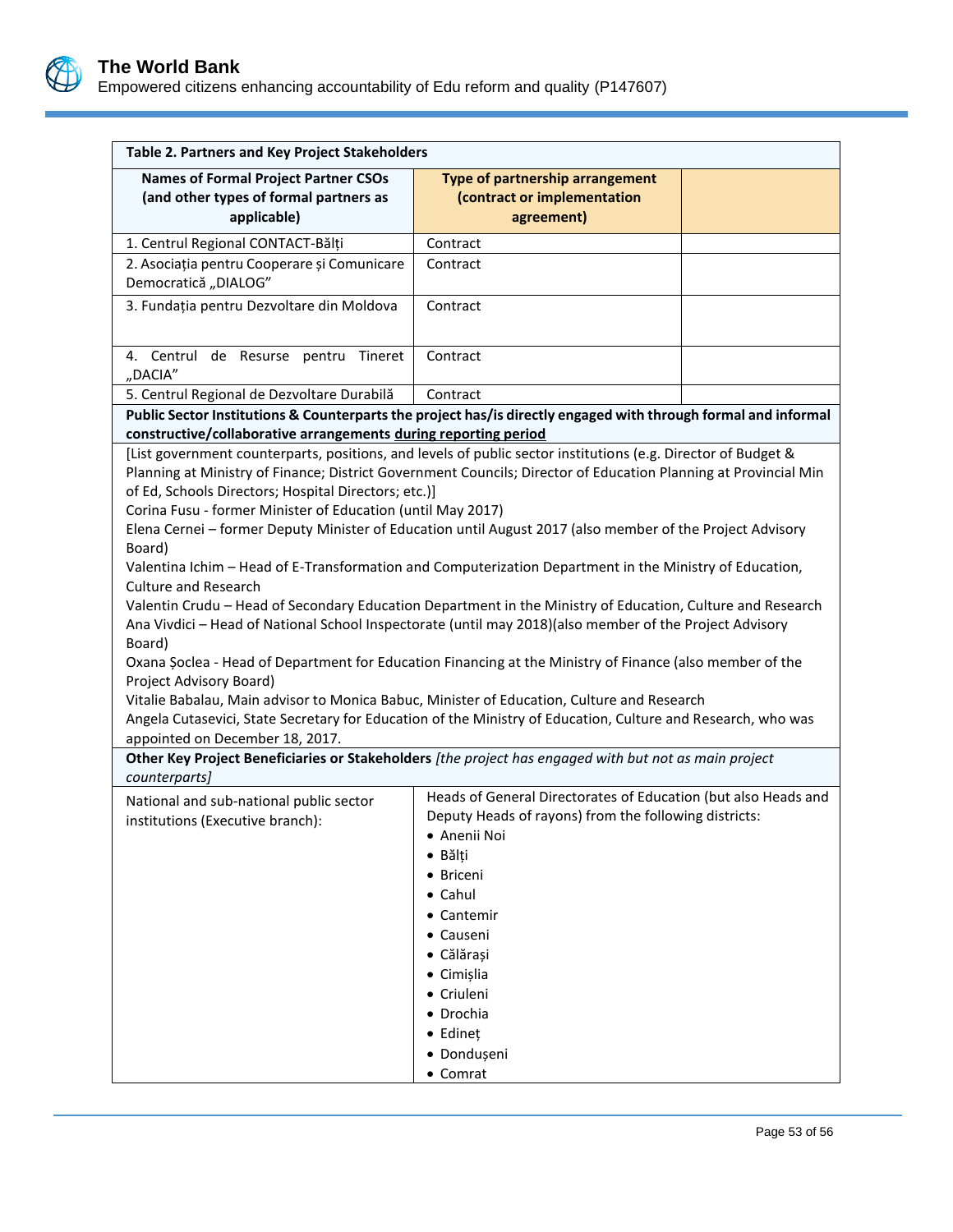

| Table 2. Partners and Key Project Stakeholders                                                                                                                                                                                                                                                                                                                                                                                                                                                                                                                                                                                                                                                                                                                                                                                                                                                                                                                                                     |                                                                                                                                                                                                                                                                                                     |  |  |  |
|----------------------------------------------------------------------------------------------------------------------------------------------------------------------------------------------------------------------------------------------------------------------------------------------------------------------------------------------------------------------------------------------------------------------------------------------------------------------------------------------------------------------------------------------------------------------------------------------------------------------------------------------------------------------------------------------------------------------------------------------------------------------------------------------------------------------------------------------------------------------------------------------------------------------------------------------------------------------------------------------------|-----------------------------------------------------------------------------------------------------------------------------------------------------------------------------------------------------------------------------------------------------------------------------------------------------|--|--|--|
| <b>Names of Formal Project Partner CSOs</b><br>(and other types of formal partners as<br>applicable)                                                                                                                                                                                                                                                                                                                                                                                                                                                                                                                                                                                                                                                                                                                                                                                                                                                                                               | Type of partnership arrangement<br>(contract or implementation<br>agreement)                                                                                                                                                                                                                        |  |  |  |
| 1. Centrul Regional CONTACT-Bălți                                                                                                                                                                                                                                                                                                                                                                                                                                                                                                                                                                                                                                                                                                                                                                                                                                                                                                                                                                  | Contract                                                                                                                                                                                                                                                                                            |  |  |  |
| 2. Asociația pentru Cooperare și Comunicare<br>Democratică "DIALOG"                                                                                                                                                                                                                                                                                                                                                                                                                                                                                                                                                                                                                                                                                                                                                                                                                                                                                                                                | Contract                                                                                                                                                                                                                                                                                            |  |  |  |
| 3. Fundația pentru Dezvoltare din Moldova                                                                                                                                                                                                                                                                                                                                                                                                                                                                                                                                                                                                                                                                                                                                                                                                                                                                                                                                                          | Contract                                                                                                                                                                                                                                                                                            |  |  |  |
| 4. Centrul de Resurse pentru Tineret<br>"DACIA"                                                                                                                                                                                                                                                                                                                                                                                                                                                                                                                                                                                                                                                                                                                                                                                                                                                                                                                                                    | Contract                                                                                                                                                                                                                                                                                            |  |  |  |
| 5. Centrul Regional de Dezvoltare Durabilă                                                                                                                                                                                                                                                                                                                                                                                                                                                                                                                                                                                                                                                                                                                                                                                                                                                                                                                                                         | Contract                                                                                                                                                                                                                                                                                            |  |  |  |
| Public Sector Institutions & Counterparts the project has/is directly engaged with through formal and informal                                                                                                                                                                                                                                                                                                                                                                                                                                                                                                                                                                                                                                                                                                                                                                                                                                                                                     |                                                                                                                                                                                                                                                                                                     |  |  |  |
| constructive/collaborative arrangements during reporting period                                                                                                                                                                                                                                                                                                                                                                                                                                                                                                                                                                                                                                                                                                                                                                                                                                                                                                                                    |                                                                                                                                                                                                                                                                                                     |  |  |  |
| [List government counterparts, positions, and levels of public sector institutions (e.g. Director of Budget &<br>Planning at Ministry of Finance; District Government Councils; Director of Education Planning at Provincial Min<br>of Ed, Schools Directors; Hospital Directors; etc.)]<br>Corina Fusu - former Minister of Education (until May 2017)<br>Elena Cernei - former Deputy Minister of Education until August 2017 (also member of the Project Advisory<br>Board)<br>Valentina Ichim - Head of E-Transformation and Computerization Department in the Ministry of Education,<br><b>Culture and Research</b><br>Valentin Crudu - Head of Secondary Education Department in the Ministry of Education, Culture and Research<br>Ana Vivdici - Head of National School Inspectorate (until may 2018)(also member of the Project Advisory<br>Board)<br>Oxana Soclea - Head of Department for Education Financing at the Ministry of Finance (also member of the<br>Project Advisory Board) |                                                                                                                                                                                                                                                                                                     |  |  |  |
| Angela Cutasevici, State Secretary for Education of the Ministry of Education, Culture and Research, who was<br>appointed on December 18, 2017.                                                                                                                                                                                                                                                                                                                                                                                                                                                                                                                                                                                                                                                                                                                                                                                                                                                    |                                                                                                                                                                                                                                                                                                     |  |  |  |
| Other Key Project Beneficiaries or Stakeholders [the project has engaged with but not as main project<br>counterparts]                                                                                                                                                                                                                                                                                                                                                                                                                                                                                                                                                                                                                                                                                                                                                                                                                                                                             |                                                                                                                                                                                                                                                                                                     |  |  |  |
| National and sub-national public sector<br>institutions (Executive branch):                                                                                                                                                                                                                                                                                                                                                                                                                                                                                                                                                                                                                                                                                                                                                                                                                                                                                                                        | Heads of General Directorates of Education (but also Heads and<br>Deputy Heads of rayons) from the following districts:<br>• Anenii Noi<br>• Bălți<br>• Briceni<br>• Cahul<br>• Cantemir<br>• Causeni<br>· Călărași<br>• Cimișlia<br>• Criuleni<br>• Drochia<br>• Edineț<br>· Dondușeni<br>• Comrat |  |  |  |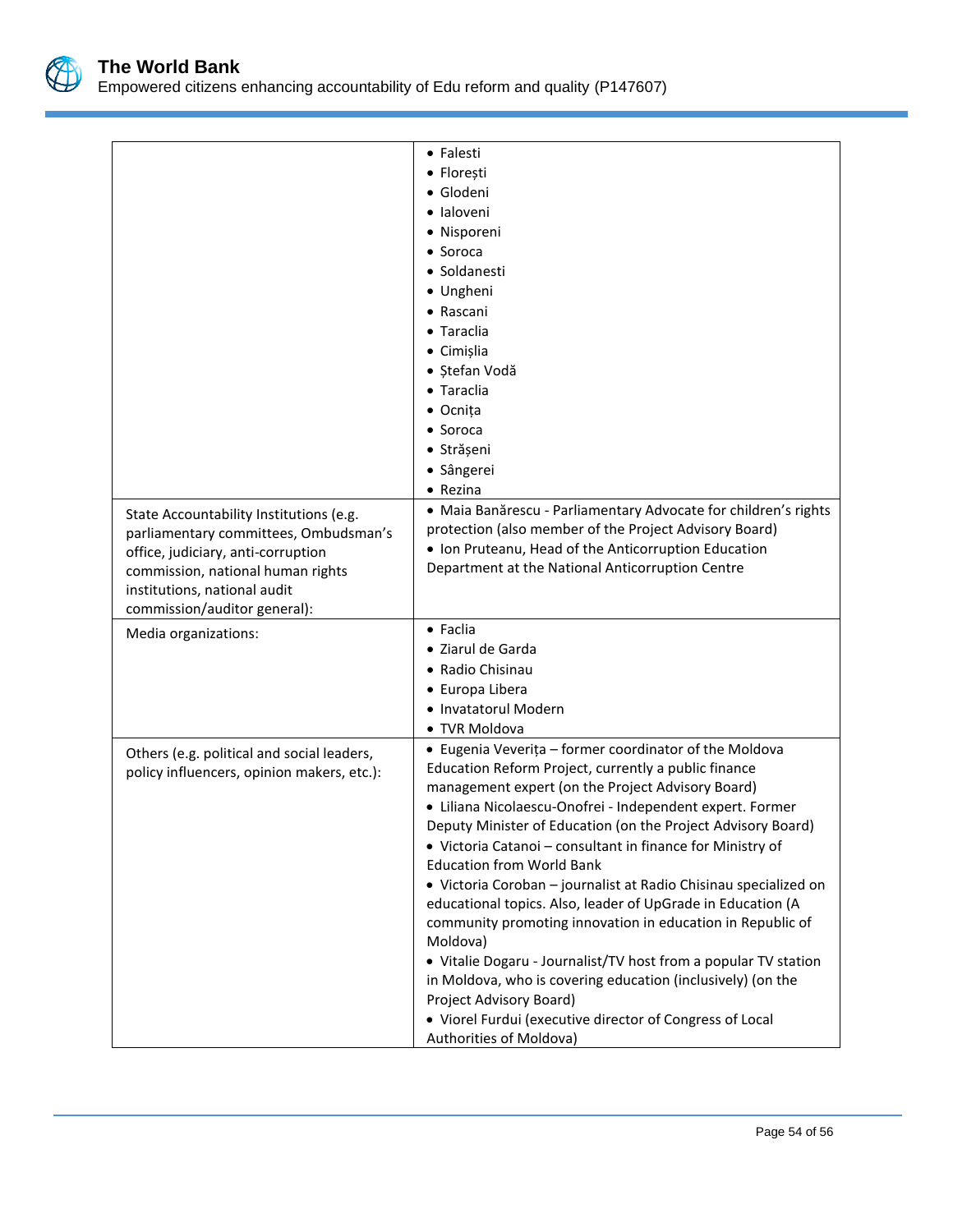

|                                            | • Falesti                                                        |  |  |
|--------------------------------------------|------------------------------------------------------------------|--|--|
|                                            | • Florești                                                       |  |  |
|                                            | · Glodeni                                                        |  |  |
|                                            | · Ialoveni                                                       |  |  |
|                                            | • Nisporeni                                                      |  |  |
|                                            | • Soroca                                                         |  |  |
|                                            | • Soldanesti                                                     |  |  |
|                                            | • Ungheni                                                        |  |  |
|                                            | • Rascani                                                        |  |  |
|                                            | • Taraclia                                                       |  |  |
|                                            | • Cimișlia                                                       |  |  |
|                                            | • Ștefan Vodă                                                    |  |  |
|                                            | • Taraclia                                                       |  |  |
|                                            | • Ocnița                                                         |  |  |
|                                            | • Soroca                                                         |  |  |
|                                            | · Strășeni                                                       |  |  |
|                                            | · Sângerei                                                       |  |  |
|                                            | $\bullet$ Rezina                                                 |  |  |
| State Accountability Institutions (e.g.    | · Maia Banărescu - Parliamentary Advocate for children's rights  |  |  |
| parliamentary committees, Ombudsman's      | protection (also member of the Project Advisory Board)           |  |  |
| office, judiciary, anti-corruption         | . Ion Pruteanu, Head of the Anticorruption Education             |  |  |
| commission, national human rights          | Department at the National Anticorruption Centre                 |  |  |
| institutions, national audit               |                                                                  |  |  |
| commission/auditor general):               |                                                                  |  |  |
| Media organizations:                       | • Faclia                                                         |  |  |
|                                            | • Ziarul de Garda                                                |  |  |
|                                            | • Radio Chisinau                                                 |  |  |
|                                            | • Europa Libera                                                  |  |  |
|                                            | • Invatatorul Modern                                             |  |  |
|                                            | • TVR Moldova                                                    |  |  |
| Others (e.g. political and social leaders, | • Eugenia Veverița - former coordinator of the Moldova           |  |  |
| policy influencers, opinion makers, etc.): | Education Reform Project, currently a public finance             |  |  |
|                                            | management expert (on the Project Advisory Board)                |  |  |
|                                            | · Liliana Nicolaescu-Onofrei - Independent expert. Former        |  |  |
|                                            | Deputy Minister of Education (on the Project Advisory Board)     |  |  |
|                                            | • Victoria Catanoi - consultant in finance for Ministry of       |  |  |
|                                            | <b>Education from World Bank</b>                                 |  |  |
|                                            | · Victoria Coroban - journalist at Radio Chisinau specialized on |  |  |
|                                            | educational topics. Also, leader of UpGrade in Education (A      |  |  |
|                                            | community promoting innovation in education in Republic of       |  |  |
|                                            | Moldova)                                                         |  |  |
|                                            | • Vitalie Dogaru - Journalist/TV host from a popular TV station  |  |  |
|                                            | in Moldova, who is covering education (inclusively) (on the      |  |  |
|                                            | Project Advisory Board)                                          |  |  |
|                                            | • Viorel Furdui (executive director of Congress of Local         |  |  |
|                                            | Authorities of Moldova)                                          |  |  |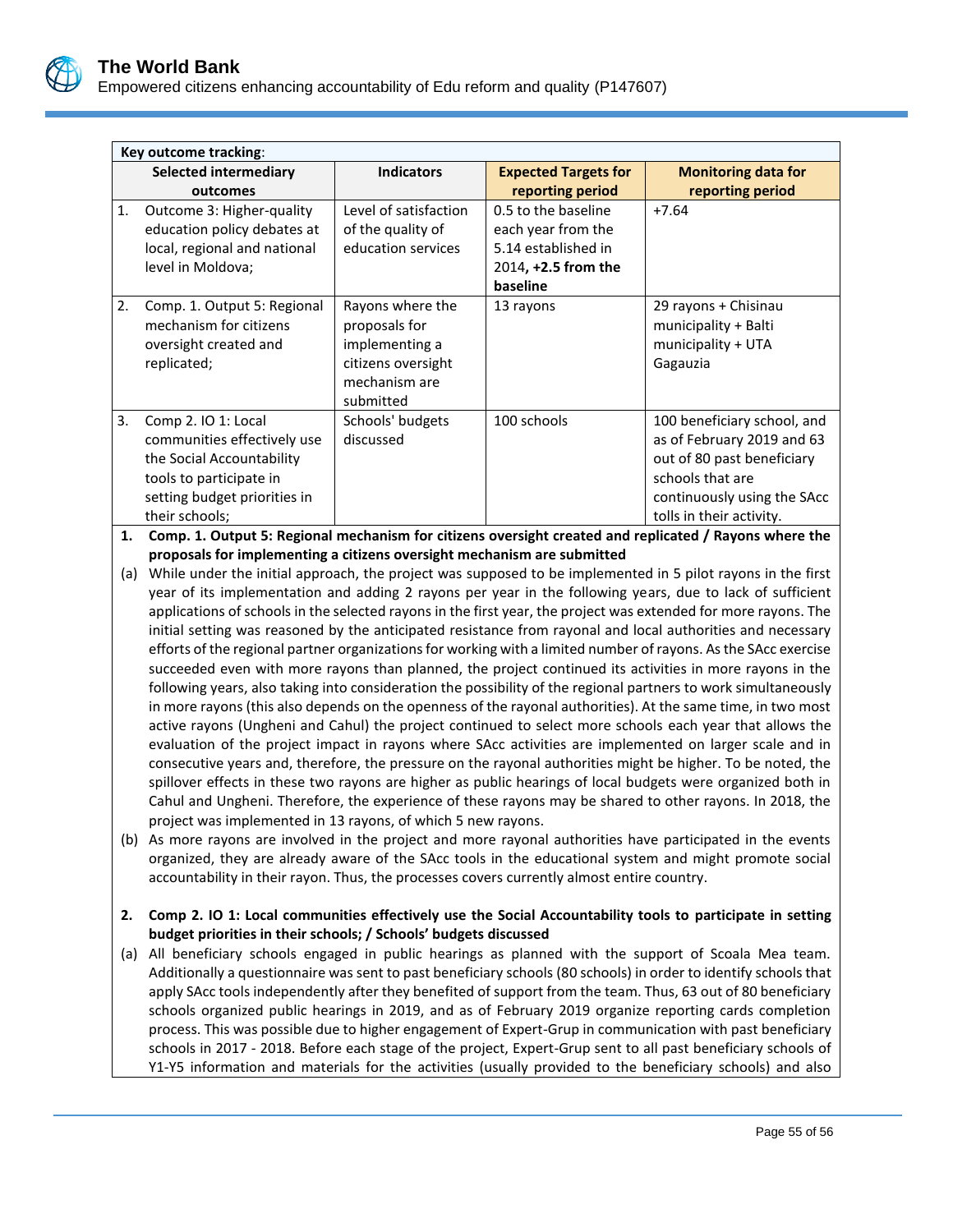

|                | Key outcome tracking:                                                                                                                                        |                                                                                                         |                                                                                                     |                                                                                                                                                                        |  |  |
|----------------|--------------------------------------------------------------------------------------------------------------------------------------------------------------|---------------------------------------------------------------------------------------------------------|-----------------------------------------------------------------------------------------------------|------------------------------------------------------------------------------------------------------------------------------------------------------------------------|--|--|
|                | Selected intermediary<br>outcomes                                                                                                                            | <b>Indicators</b>                                                                                       | <b>Expected Targets for</b><br>reporting period                                                     | <b>Monitoring data for</b><br>reporting period                                                                                                                         |  |  |
| $\mathbf{1}$ . | Outcome 3: Higher-quality<br>education policy debates at<br>local, regional and national<br>level in Moldova;                                                | Level of satisfaction<br>of the quality of<br>education services                                        | 0.5 to the baseline<br>each year from the<br>5.14 established in<br>2014, +2.5 from the<br>baseline | $+7.64$                                                                                                                                                                |  |  |
| 2.             | Comp. 1. Output 5: Regional<br>mechanism for citizens<br>oversight created and<br>replicated;                                                                | Rayons where the<br>proposals for<br>implementing a<br>citizens oversight<br>mechanism are<br>submitted | 13 rayons                                                                                           | 29 rayons + Chisinau<br>municipality + Balti<br>municipality + UTA<br>Gagauzia                                                                                         |  |  |
| 3.             | Comp 2. IO 1: Local<br>communities effectively use<br>the Social Accountability<br>tools to participate in<br>setting budget priorities in<br>their schools; | Schools' budgets<br>discussed                                                                           | 100 schools                                                                                         | 100 beneficiary school, and<br>as of February 2019 and 63<br>out of 80 past beneficiary<br>schools that are<br>continuously using the SAcc<br>tolls in their activity. |  |  |

**1. Comp. 1. Output 5: Regional mechanism for citizens oversight created and replicated / Rayons where the proposals for implementing a citizens oversight mechanism are submitted**

- (a) While under the initial approach, the project was supposed to be implemented in 5 pilot rayons in the first year of its implementation and adding 2 rayons per year in the following years, due to lack of sufficient applications of schools in the selected rayons in the first year, the project was extended for more rayons. The initial setting was reasoned by the anticipated resistance from rayonal and local authorities and necessary efforts of the regional partner organizations for working with a limited number of rayons. As the SAcc exercise succeeded even with more rayons than planned, the project continued its activities in more rayons in the following years, also taking into consideration the possibility of the regional partners to work simultaneously in more rayons (this also depends on the openness of the rayonal authorities). At the same time, in two most active rayons (Ungheni and Cahul) the project continued to select more schools each year that allows the evaluation of the project impact in rayons where SAcc activities are implemented on larger scale and in consecutive years and, therefore, the pressure on the rayonal authorities might be higher. To be noted, the spillover effects in these two rayons are higher as public hearings of local budgets were organized both in Cahul and Ungheni. Therefore, the experience of these rayons may be shared to other rayons. In 2018, the project was implemented in 13 rayons, of which 5 new rayons.
- (b) As more rayons are involved in the project and more rayonal authorities have participated in the events organized, they are already aware of the SAcc tools in the educational system and might promote social accountability in their rayon. Thus, the processes covers currently almost entire country.

### **2. Comp 2. IO 1: Local communities effectively use the Social Accountability tools to participate in setting budget priorities in their schools; / Schools' budgets discussed**

(a) All beneficiary schools engaged in public hearings as planned with the support of Scoala Mea team. Additionally a questionnaire was sent to past beneficiary schools (80 schools) in order to identify schools that apply SAcc tools independently after they benefited of support from the team. Thus, 63 out of 80 beneficiary schools organized public hearings in 2019, and as of February 2019 organize reporting cards completion process. This was possible due to higher engagement of Expert-Grup in communication with past beneficiary schools in 2017 - 2018. Before each stage of the project, Expert-Grup sent to all past beneficiary schools of Y1-Y5 information and materials for the activities (usually provided to the beneficiary schools) and also